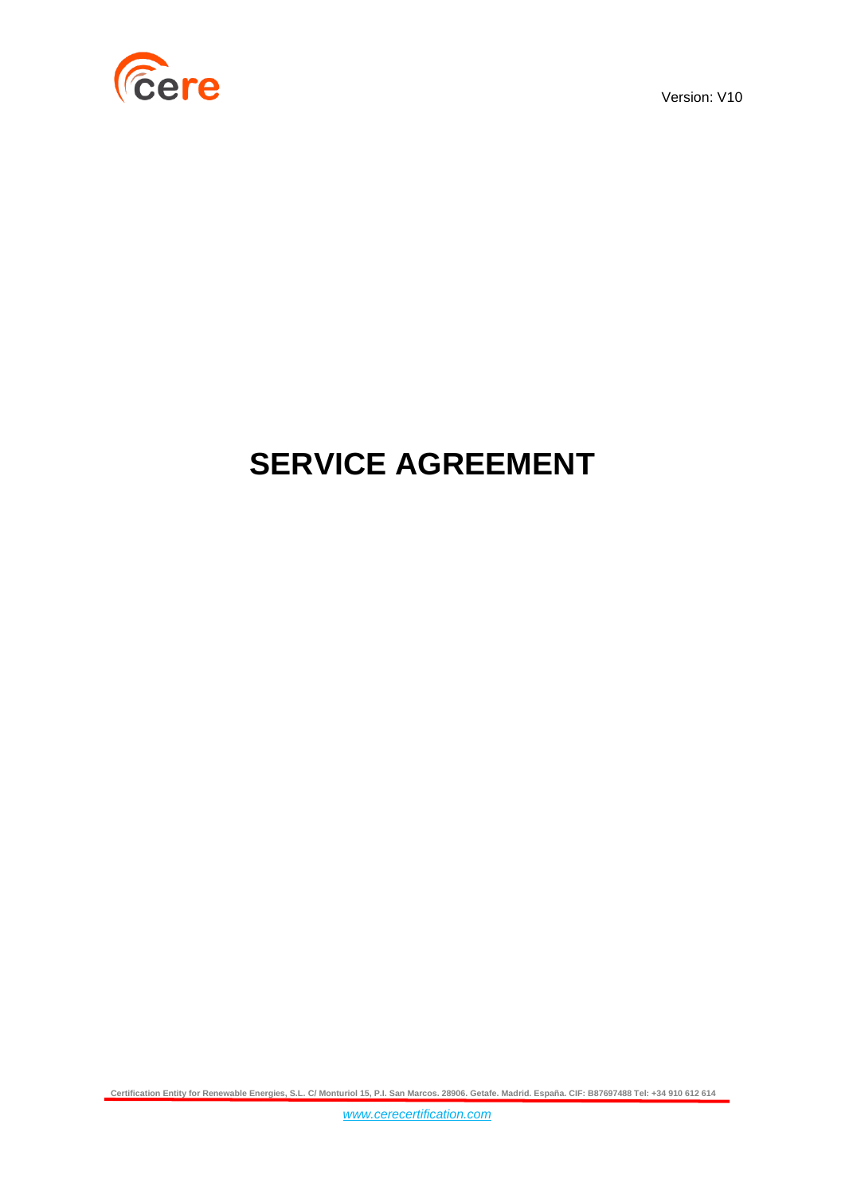

Version: V10

# **SERVICE AGREEMENT**

**Certification Entity for Renewable Energies, S.L. C/ Monturiol 15, P.I. San Marcos. 28906. Getafe. Madrid. España. CIF: B87697488 Tel: +34 910 612 614**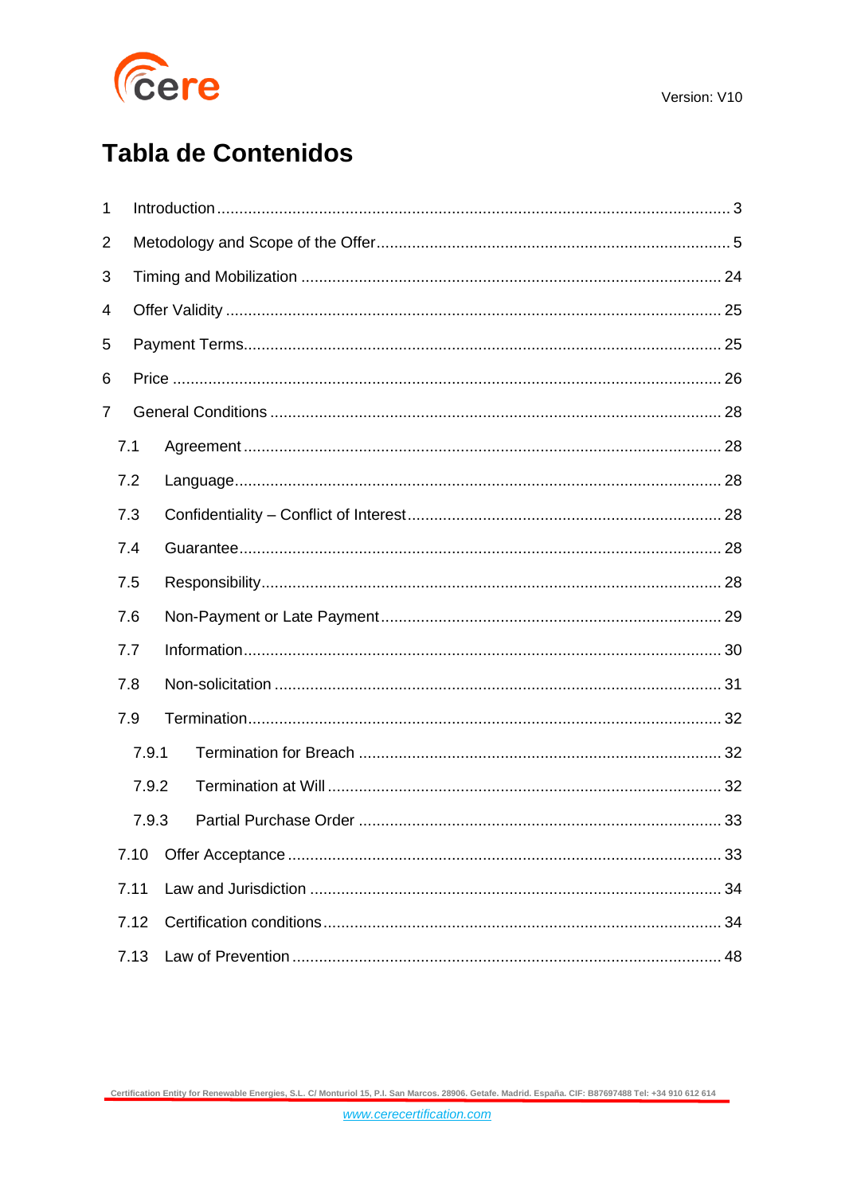

# **Tabla de Contenidos**

| 1 |       |  |  |    |  |  |  |
|---|-------|--|--|----|--|--|--|
| 2 |       |  |  |    |  |  |  |
| 3 |       |  |  |    |  |  |  |
| 4 |       |  |  |    |  |  |  |
| 5 |       |  |  |    |  |  |  |
| 6 |       |  |  |    |  |  |  |
| 7 |       |  |  |    |  |  |  |
|   | 7.1   |  |  |    |  |  |  |
|   | 7.2   |  |  |    |  |  |  |
|   | 7.3   |  |  |    |  |  |  |
|   | 7.4   |  |  |    |  |  |  |
|   | 7.5   |  |  |    |  |  |  |
|   | 7.6   |  |  |    |  |  |  |
|   | 7.7   |  |  |    |  |  |  |
|   | 7.8   |  |  |    |  |  |  |
|   | 7.9   |  |  |    |  |  |  |
|   | 7.9.1 |  |  |    |  |  |  |
|   | 7.9.2 |  |  |    |  |  |  |
|   | 7.9.3 |  |  |    |  |  |  |
|   | 7.10  |  |  | 33 |  |  |  |
|   | 7.11  |  |  |    |  |  |  |
|   | 7.12  |  |  |    |  |  |  |
|   | 7.13  |  |  |    |  |  |  |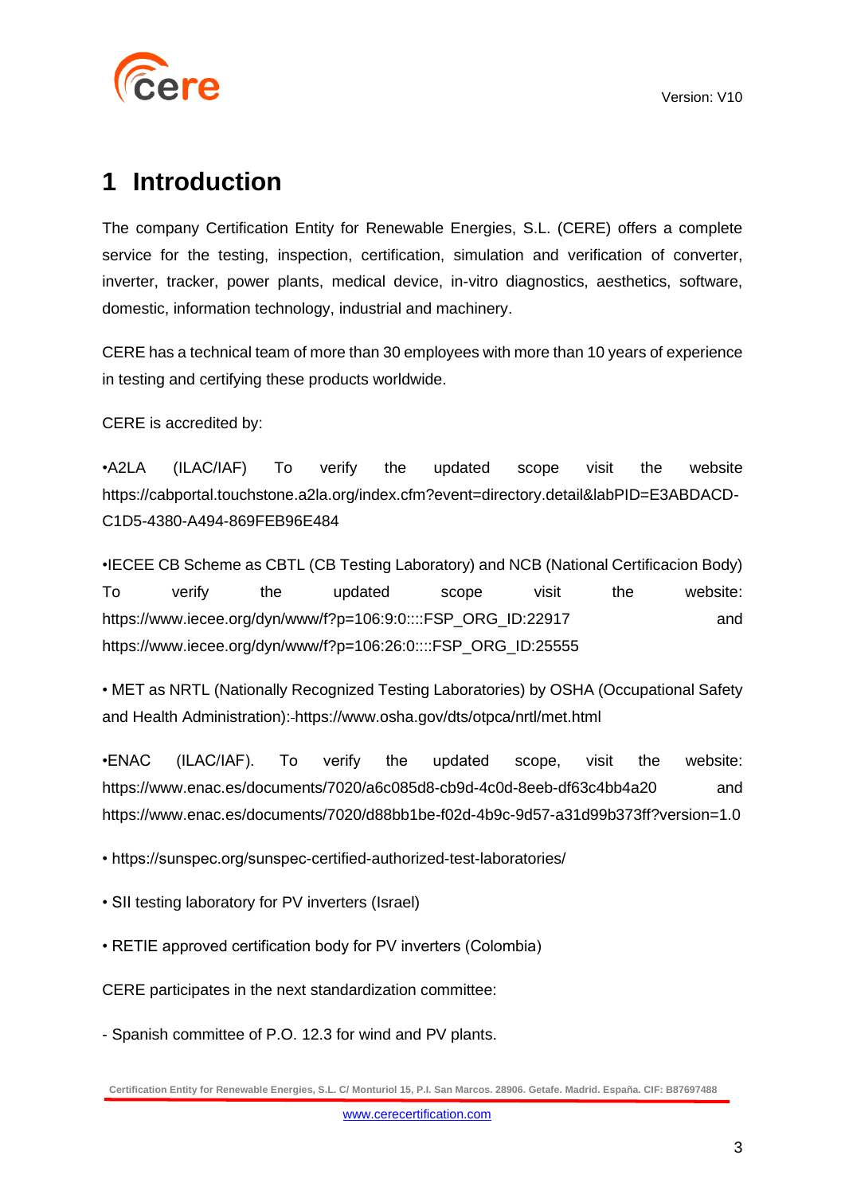

## <span id="page-2-0"></span>**1 Introduction**

The company Certification Entity for Renewable Energies, S.L. (CERE) offers a complete service for the testing, inspection, certification, simulation and verification of converter, inverter, tracker, power plants, medical device, in-vitro diagnostics, aesthetics, software, domestic, information technology, industrial and machinery.

CERE has a technical team of more than 30 employees with more than 10 years of experience in testing and certifying these products worldwide.

CERE is accredited by:

•A2LA (ILAC/IAF) To verify the updated scope visit the website [https://cabportal.touchstone.a2la.org/index.cfm?event=directory.detail&labPID=E3ABDACD-](https://cabportal.touchstone.a2la.org/index.cfm?event=directory.detail&labPID=E3ABDACD-C1D5-4380-A494-869FEB96E484)[C1D5-4380-A494-869FEB96E484](https://cabportal.touchstone.a2la.org/index.cfm?event=directory.detail&labPID=E3ABDACD-C1D5-4380-A494-869FEB96E484)

•IECEE CB Scheme as CBTL (CB Testing Laboratory) and NCB (National Certificacion Body) To verify the updated scope visit the website: [https://www.iecee.org/dyn/www/f?p=106:9:0::::FSP\\_ORG\\_ID:22917](https://www.iecee.org/dyn/www/f?p=106:9:0::::FSP_ORG_ID:22917) and [https://www.iecee.org/dyn/www/f?p=106:26:0::::FSP\\_ORG\\_ID:25555](https://www.iecee.org/dyn/www/f?p=106:26:0::::FSP_ORG_ID:25555)

• MET as NRTL (Nationally Recognized Testing Laboratories) by OSHA (Occupational Safety and Health Administration): <https://www.osha.gov/dts/otpca/nrtl/met.html>

•ENAC (ILAC/IAF). To verify the updated scope, visit the website: https://www.enac.es/documents/7020/a6c085d8-cb9d-4c0d-8eeb-df63c4bb4a20 and https://www.enac.es/documents/7020/d88bb1be-f02d-4b9c-9d57-a31d99b373ff?version=1.0

• https://sunspec.org/sunspec-certified-authorized-test-laboratories/

• SII testing laboratory for PV inverters (Israel)

• RETIE approved certification body for PV inverters (Colombia)

CERE participates in the next standardization committee:

- Spanish committee of P.O. 12.3 for wind and PV plants.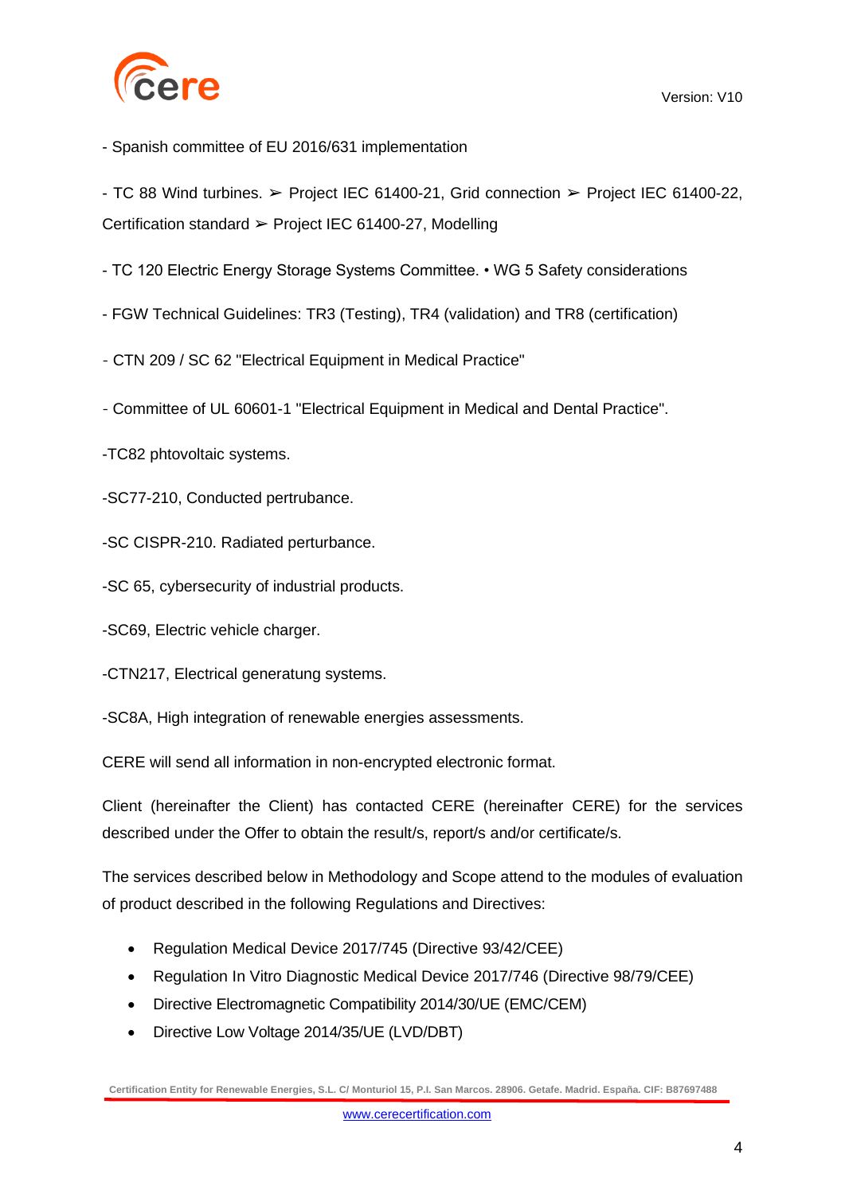

- Spanish committee of EU 2016/631 implementation

- TC 88 Wind turbines. ➢ Project IEC 61400-21, Grid connection ➢ Project IEC 61400-22, Certification standard ➢ Project IEC 61400-27, Modelling

- TC 120 Electric Energy Storage Systems Committee. • WG 5 Safety considerations

- FGW Technical Guidelines: TR3 (Testing), TR4 (validation) and TR8 (certification)

- CTN 209 / SC 62 "Electrical Equipment in Medical Practice"

- Committee of UL 60601-1 "Electrical Equipment in Medical and Dental Practice".

-TC82 phtovoltaic systems.

-SC77-210, Conducted pertrubance.

-SC CISPR-210. Radiated perturbance.

-SC 65, cybersecurity of industrial products.

-SC69, Electric vehicle charger.

-CTN217, Electrical generatung systems.

-SC8A, High integration of renewable energies assessments.

CERE will send all information in non-encrypted electronic format.

Client (hereinafter the Client) has contacted CERE (hereinafter CERE) for the services described under the Offer to obtain the result/s, report/s and/or certificate/s.

The services described below in Methodology and Scope attend to the modules of evaluation of product described in the following Regulations and Directives:

- Regulation Medical Device 2017/745 (Directive 93/42/CEE)
- Regulation In Vitro Diagnostic Medical Device 2017/746 (Directive 98/79/CEE)
- Directive Electromagnetic Compatibility 2014/30/UE (EMC/CEM)
- Directive Low Voltage 2014/35/UE (LVD/DBT)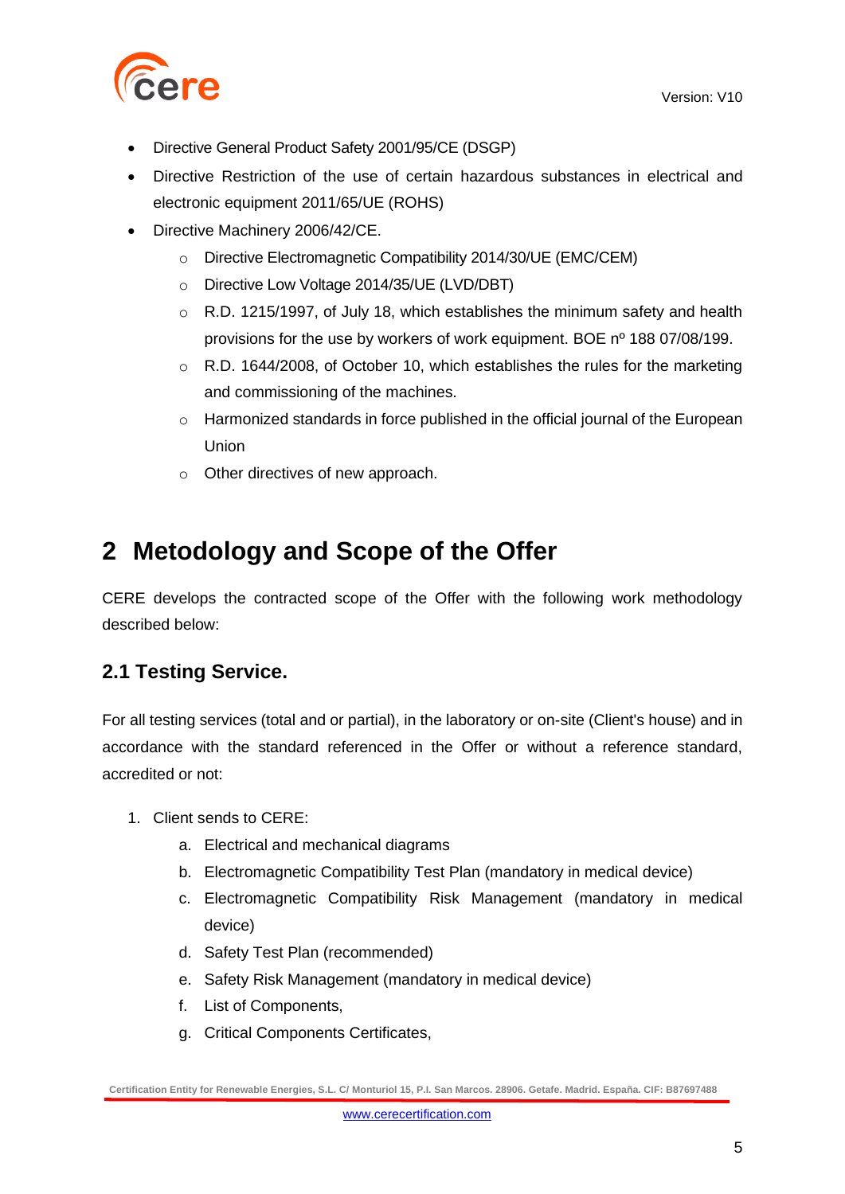

- Directive General Product Safety 2001/95/CE (DSGP)
- Directive Restriction of the use of certain hazardous substances in electrical and electronic equipment 2011/65/UE (ROHS)
- Directive Machinery 2006/42/CE.
	- o Directive Electromagnetic Compatibility 2014/30/UE (EMC/CEM)
	- o Directive Low Voltage 2014/35/UE (LVD/DBT)
	- o R.D. 1215/1997, of July 18, which establishes the minimum safety and health provisions for the use by workers of work equipment. BOE nº 188 07/08/199.
	- $\circ$  R.D. 1644/2008, of October 10, which establishes the rules for the marketing and commissioning of the machines.
	- o Harmonized standards in force published in the official journal of the European Union
	- o Other directives of new approach.

## <span id="page-4-0"></span>**2 Metodology and Scope of the Offer**

CERE develops the contracted scope of the Offer with the following work methodology described below:

### **2.1 Testing Service.**

For all testing services (total and or partial), in the laboratory or on-site (Client's house) and in accordance with the standard referenced in the Offer or without a reference standard, accredited or not:

- 1. Client sends to CERE:
	- a. Electrical and mechanical diagrams
	- b. Electromagnetic Compatibility Test Plan (mandatory in medical device)
	- c. Electromagnetic Compatibility Risk Management (mandatory in medical device)
	- d. Safety Test Plan (recommended)
	- e. Safety Risk Management (mandatory in medical device)
	- f. List of Components,
	- g. Critical Components Certificates,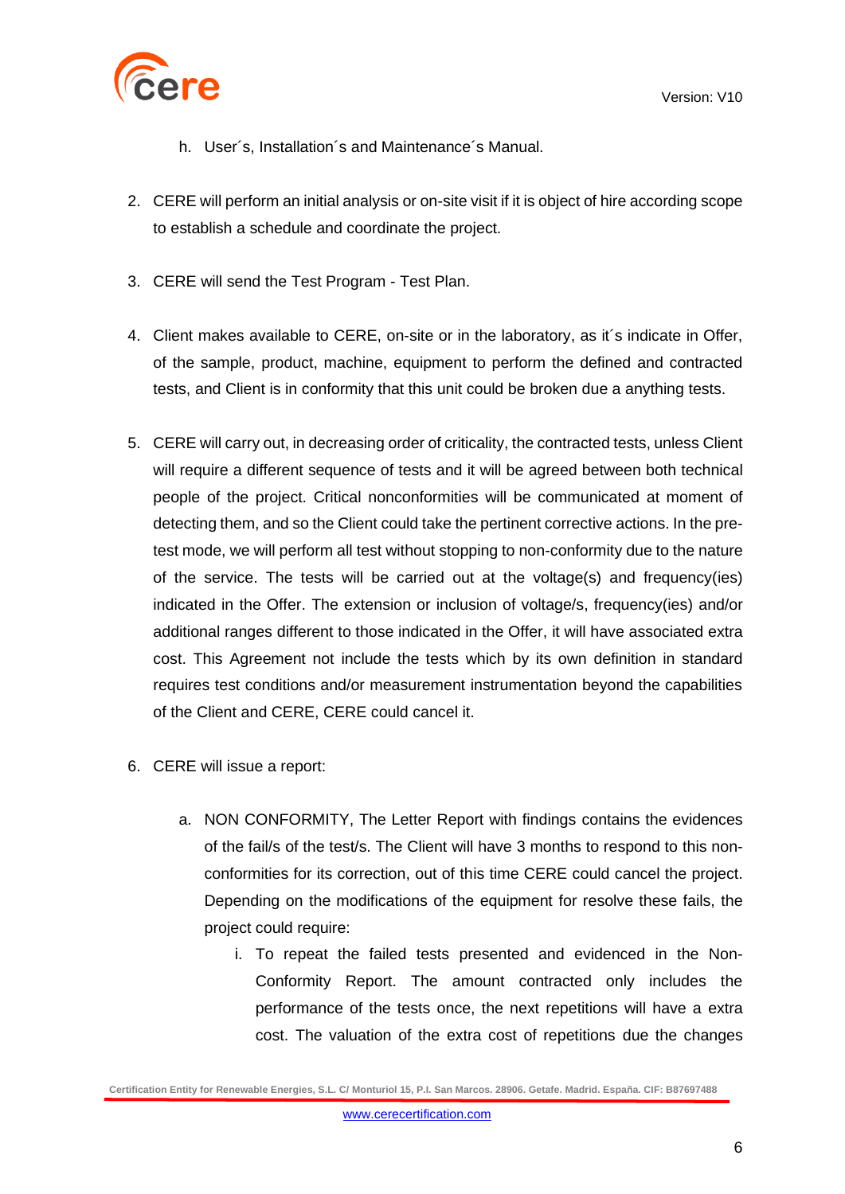

- h. User´s, Installation´s and Maintenance´s Manual.
- 2. CERE will perform an initial analysis or on-site visit if it is object of hire according scope to establish a schedule and coordinate the project.
- 3. CERE will send the Test Program Test Plan.
- 4. Client makes available to CERE, on-site or in the laboratory, as it´s indicate in Offer, of the sample, product, machine, equipment to perform the defined and contracted tests, and Client is in conformity that this unit could be broken due a anything tests.
- 5. CERE will carry out, in decreasing order of criticality, the contracted tests, unless Client will require a different sequence of tests and it will be agreed between both technical people of the project. Critical nonconformities will be communicated at moment of detecting them, and so the Client could take the pertinent corrective actions. In the pretest mode, we will perform all test without stopping to non-conformity due to the nature of the service. The tests will be carried out at the voltage(s) and frequency(ies) indicated in the Offer. The extension or inclusion of voltage/s, frequency(ies) and/or additional ranges different to those indicated in the Offer, it will have associated extra cost. This Agreement not include the tests which by its own definition in standard requires test conditions and/or measurement instrumentation beyond the capabilities of the Client and CERE, CERE could cancel it.
- 6. CERE will issue a report:
	- a. NON CONFORMITY, The Letter Report with findings contains the evidences of the fail/s of the test/s. The Client will have 3 months to respond to this nonconformities for its correction, out of this time CERE could cancel the project. Depending on the modifications of the equipment for resolve these fails, the project could require:
		- i. To repeat the failed tests presented and evidenced in the Non-Conformity Report. The amount contracted only includes the performance of the tests once, the next repetitions will have a extra cost. The valuation of the extra cost of repetitions due the changes

**Certification Entity for Renewable Energies, S.L. C/ Monturiol 15, P.I. San Marcos. 28906. Getafe. Madrid. España. CIF: B87697488**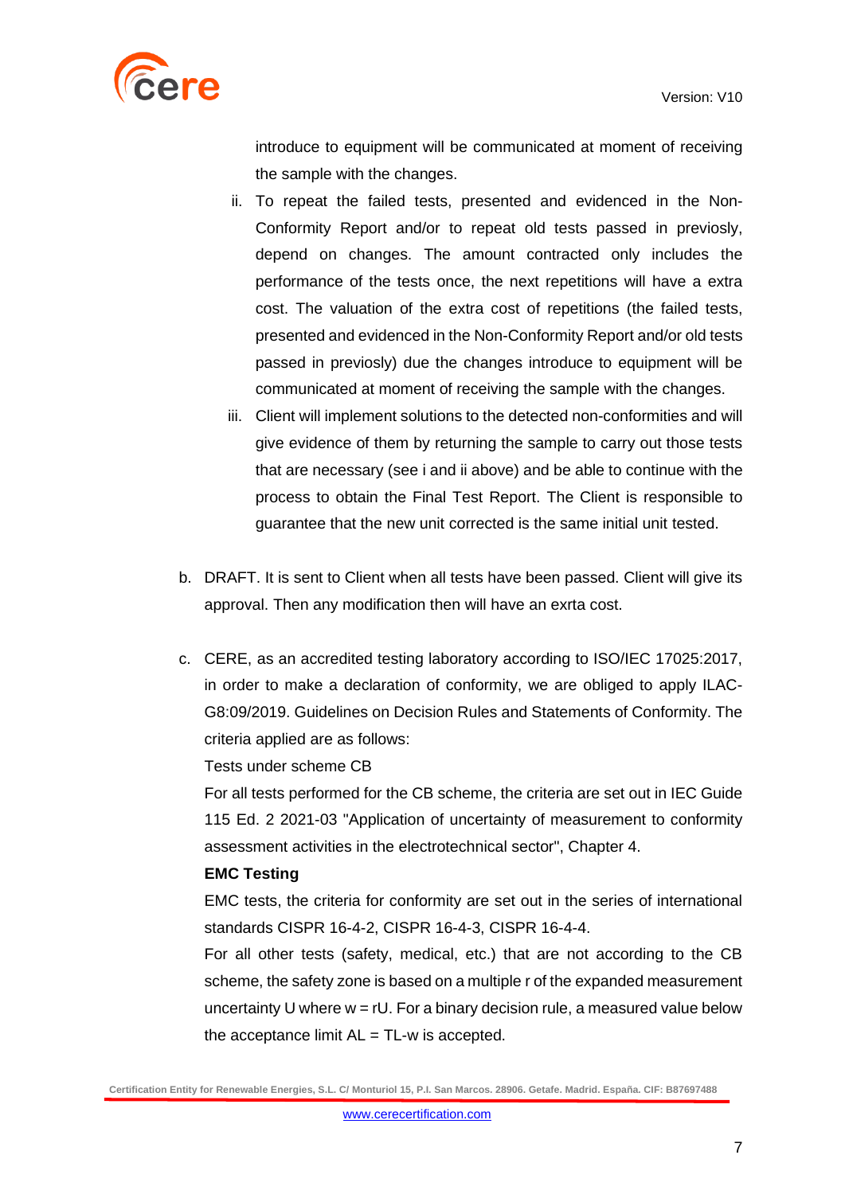

introduce to equipment will be communicated at moment of receiving the sample with the changes.

- ii. To repeat the failed tests, presented and evidenced in the Non-Conformity Report and/or to repeat old tests passed in previosly, depend on changes. The amount contracted only includes the performance of the tests once, the next repetitions will have a extra cost. The valuation of the extra cost of repetitions (the failed tests, presented and evidenced in the Non-Conformity Report and/or old tests passed in previosly) due the changes introduce to equipment will be communicated at moment of receiving the sample with the changes.
- iii. Client will implement solutions to the detected non-conformities and will give evidence of them by returning the sample to carry out those tests that are necessary (see i and ii above) and be able to continue with the process to obtain the Final Test Report. The Client is responsible to guarantee that the new unit corrected is the same initial unit tested.
- b. DRAFT. It is sent to Client when all tests have been passed. Client will give its approval. Then any modification then will have an exrta cost.
- c. CERE, as an accredited testing laboratory according to ISO/IEC 17025:2017, in order to make a declaration of conformity, we are obliged to apply ILAC-G8:09/2019. Guidelines on Decision Rules and Statements of Conformity. The criteria applied are as follows:

Tests under scheme CB

For all tests performed for the CB scheme, the criteria are set out in IEC Guide 115 Ed. 2 2021-03 "Application of uncertainty of measurement to conformity assessment activities in the electrotechnical sector", Chapter 4.

#### **EMC Testing**

EMC tests, the criteria for conformity are set out in the series of international standards CISPR 16-4-2, CISPR 16-4-3, CISPR 16-4-4.

For all other tests (safety, medical, etc.) that are not according to the CB scheme, the safety zone is based on a multiple r of the expanded measurement uncertainty U where  $w = rU$ . For a binary decision rule, a measured value below the acceptance limit  $AL = TL-w$  is accepted.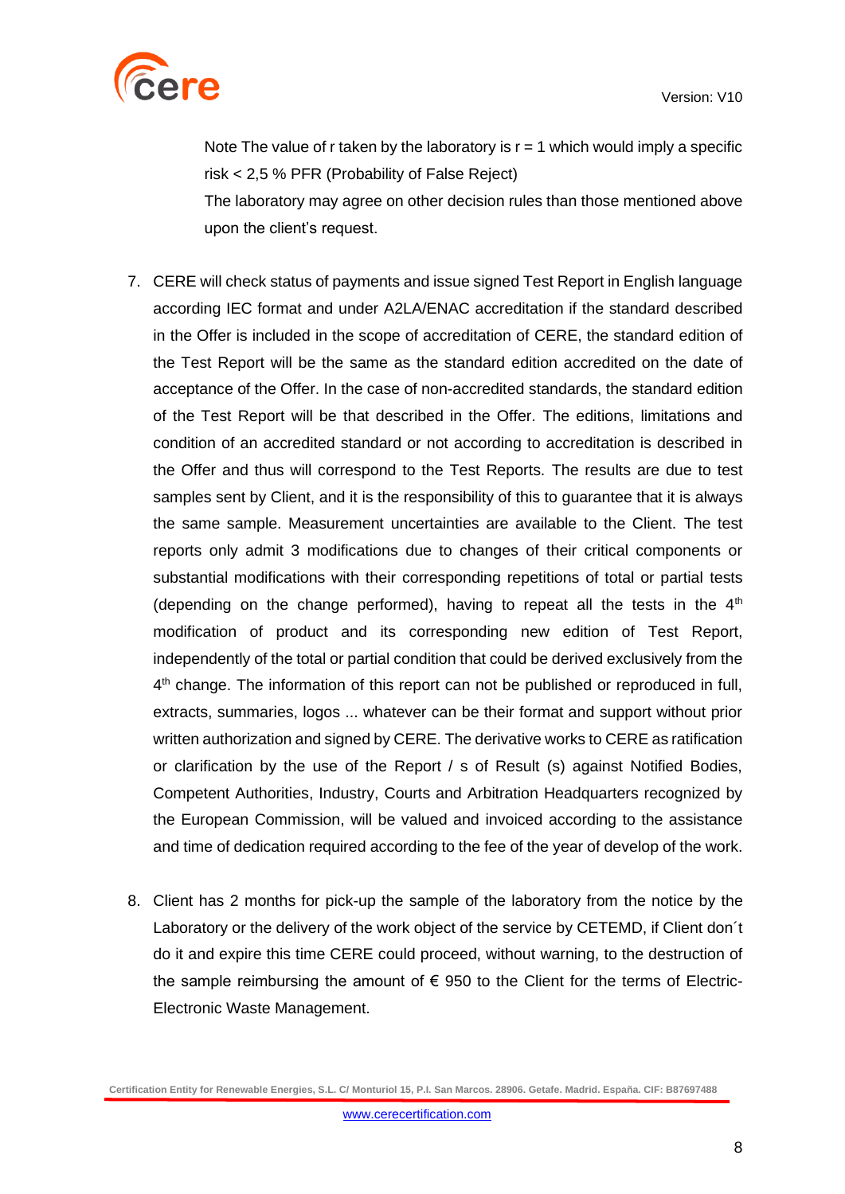

Note The value of r taken by the laboratory is  $r = 1$  which would imply a specific risk < 2,5 % PFR (Probability of False Reject) The laboratory may agree on other decision rules than those mentioned above

upon the client's request.

- 7. CERE will check status of payments and issue signed Test Report in English language according IEC format and under A2LA/ENAC accreditation if the standard described in the Offer is included in the scope of accreditation of CERE, the standard edition of the Test Report will be the same as the standard edition accredited on the date of acceptance of the Offer. In the case of non-accredited standards, the standard edition of the Test Report will be that described in the Offer. The editions, limitations and condition of an accredited standard or not according to accreditation is described in the Offer and thus will correspond to the Test Reports. The results are due to test samples sent by Client, and it is the responsibility of this to guarantee that it is always the same sample. Measurement uncertainties are available to the Client. The test reports only admit 3 modifications due to changes of their critical components or substantial modifications with their corresponding repetitions of total or partial tests (depending on the change performed), having to repeat all the tests in the  $4<sup>th</sup>$ modification of product and its corresponding new edition of Test Report, independently of the total or partial condition that could be derived exclusively from the 4<sup>th</sup> change. The information of this report can not be published or reproduced in full, extracts, summaries, logos ... whatever can be their format and support without prior written authorization and signed by CERE. The derivative works to CERE as ratification or clarification by the use of the Report / s of Result (s) against Notified Bodies, Competent Authorities, Industry, Courts and Arbitration Headquarters recognized by the European Commission, will be valued and invoiced according to the assistance and time of dedication required according to the fee of the year of develop of the work.
- 8. Client has 2 months for pick-up the sample of the laboratory from the notice by the Laboratory or the delivery of the work object of the service by CETEMD, if Client don´t do it and expire this time CERE could proceed, without warning, to the destruction of the sample reimbursing the amount of  $\epsilon$  950 to the Client for the terms of Electric-Electronic Waste Management.

**Certification Entity for Renewable Energies, S.L. C/ Monturiol 15, P.I. San Marcos. 28906. Getafe. Madrid. España. CIF: B87697488**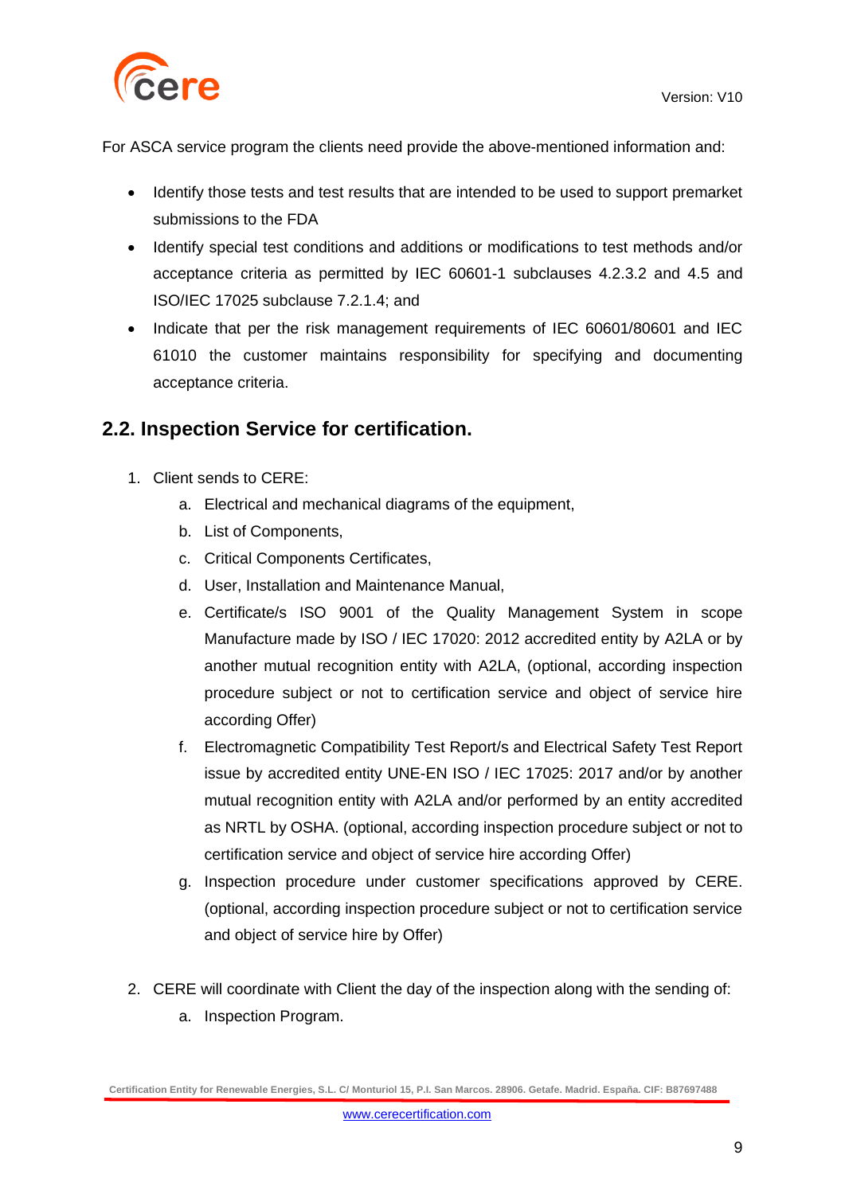

For ASCA service program the clients need provide the above-mentioned information and:

- Identify those tests and test results that are intended to be used to support premarket submissions to the FDA
- Identify special test conditions and additions or modifications to test methods and/or acceptance criteria as permitted by IEC 60601-1 subclauses 4.2.3.2 and 4.5 and ISO/IEC 17025 subclause 7.2.1.4; and
- Indicate that per the risk management requirements of IEC 60601/80601 and IEC 61010 the customer maintains responsibility for specifying and documenting acceptance criteria.

### **2.2. Inspection Service for certification.**

- 1. Client sends to CERE:
	- a. Electrical and mechanical diagrams of the equipment,
	- b. List of Components,
	- c. Critical Components Certificates,
	- d. User, Installation and Maintenance Manual,
	- e. Certificate/s ISO 9001 of the Quality Management System in scope Manufacture made by ISO / IEC 17020: 2012 accredited entity by A2LA or by another mutual recognition entity with A2LA, (optional, according inspection procedure subject or not to certification service and object of service hire according Offer)
	- f. Electromagnetic Compatibility Test Report/s and Electrical Safety Test Report issue by accredited entity UNE-EN ISO / IEC 17025: 2017 and/or by another mutual recognition entity with A2LA and/or performed by an entity accredited as NRTL by OSHA. (optional, according inspection procedure subject or not to certification service and object of service hire according Offer)
	- g. Inspection procedure under customer specifications approved by CERE. (optional, according inspection procedure subject or not to certification service and object of service hire by Offer)
- 2. CERE will coordinate with Client the day of the inspection along with the sending of:
	- a. Inspection Program.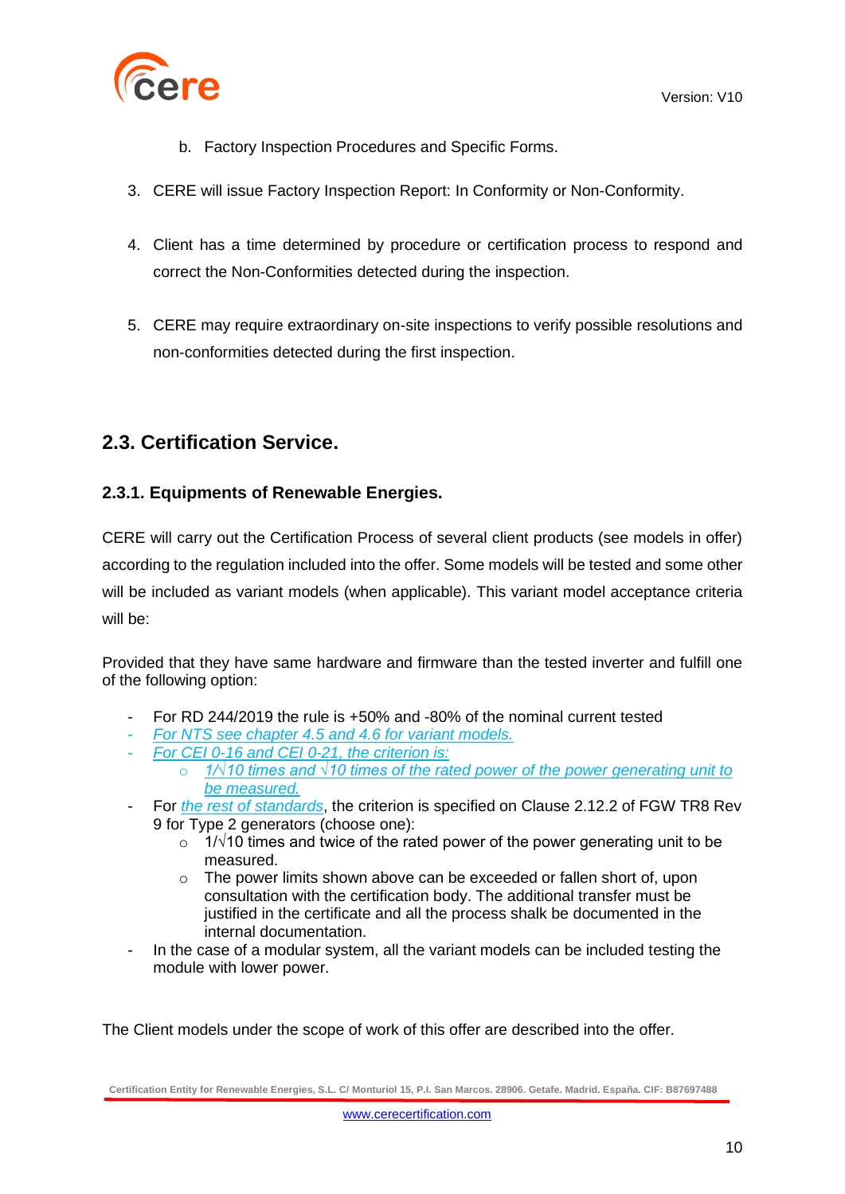



- b. Factory Inspection Procedures and Specific Forms.
- 3. CERE will issue Factory Inspection Report: In Conformity or Non-Conformity.
- 4. Client has a time determined by procedure or certification process to respond and correct the Non-Conformities detected during the inspection.
- 5. CERE may require extraordinary on-site inspections to verify possible resolutions and non-conformities detected during the first inspection.

### **2.3. Certification Service.**

### **2.3.1. Equipments of Renewable Energies.**

CERE will carry out the Certification Process of several client products (see models in offer) according to the regulation included into the offer. Some models will be tested and some other will be included as variant models (when applicable). This variant model acceptance criteria will be:

Provided that they have same hardware and firmware than the tested inverter and fulfill one of the following option:

- For RD 244/2019 the rule is +50% and -80% of the nominal current tested
- *For NTS see chapter 4.5 and 4.6 for variant models.*
- *For CEI 0-16 and CEI 0-21, the criterion is:* 
	- o *1/√10 times and √10 times of the rated power of the power generating unit to be measured.*
- For *the rest of standards*, the criterion is specified on Clause 2.12.2 of FGW TR8 Rev 9 for Type 2 generators (choose one):
	- $\circ$  1/√10 times and twice of the rated power of the power generating unit to be measured.
	- o The power limits shown above can be exceeded or fallen short of, upon consultation with the certification body. The additional transfer must be justified in the certificate and all the process shalk be documented in the internal documentation.
- In the case of a modular system, all the variant models can be included testing the module with lower power.

The Client models under the scope of work of this offer are described into the offer.

**Certification Entity for Renewable Energies, S.L. C/ Monturiol 15, P.I. San Marcos. 28906. Getafe. Madrid. España. CIF: B87697488**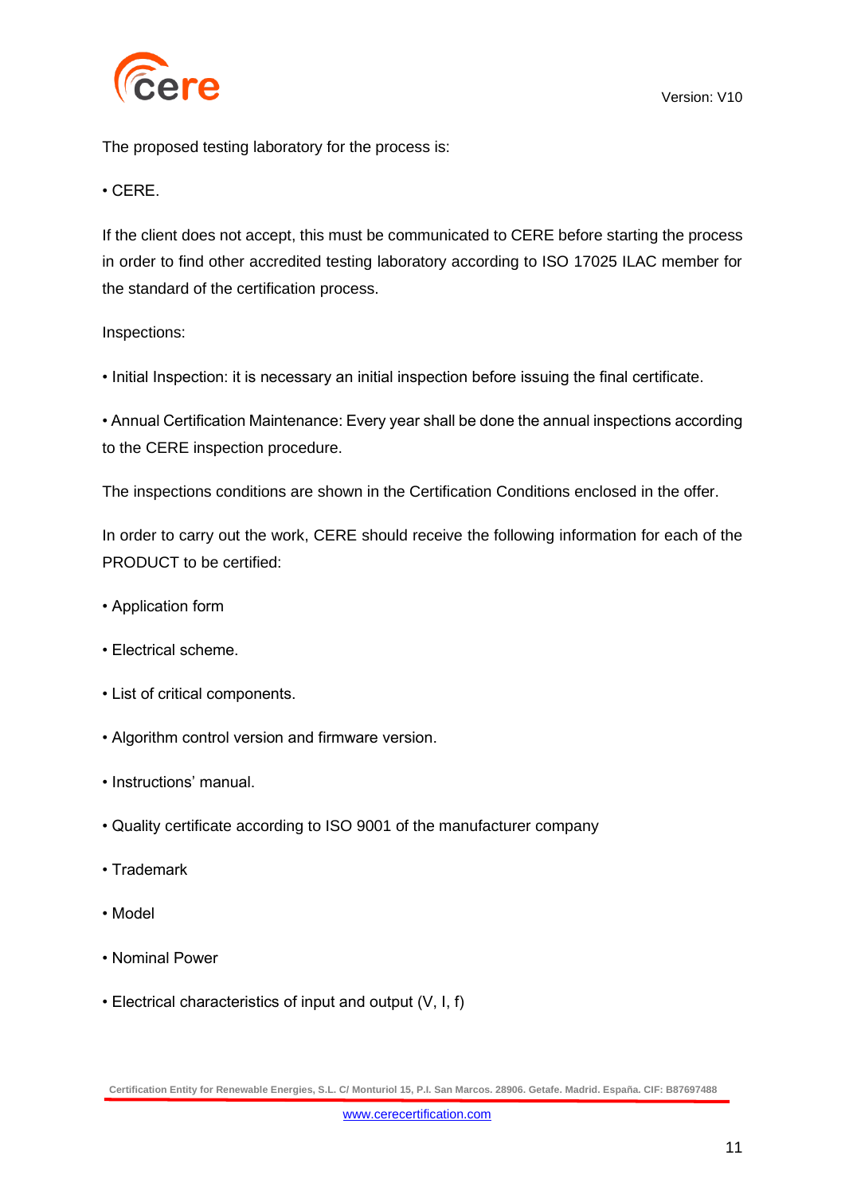

The proposed testing laboratory for the process is:

### • CERE.

If the client does not accept, this must be communicated to CERE before starting the process in order to find other accredited testing laboratory according to ISO 17025 ILAC member for the standard of the certification process.

#### Inspections:

• Initial Inspection: it is necessary an initial inspection before issuing the final certificate.

• Annual Certification Maintenance: Every year shall be done the annual inspections according to the CERE inspection procedure.

The inspections conditions are shown in the Certification Conditions enclosed in the offer.

In order to carry out the work, CERE should receive the following information for each of the PRODUCT to be certified:

- Application form
- Electrical scheme.
- List of critical components.
- Algorithm control version and firmware version.
- Instructions' manual.
- Quality certificate according to ISO 9001 of the manufacturer company
- Trademark
- Model
- Nominal Power
- Electrical characteristics of input and output (V, I, f)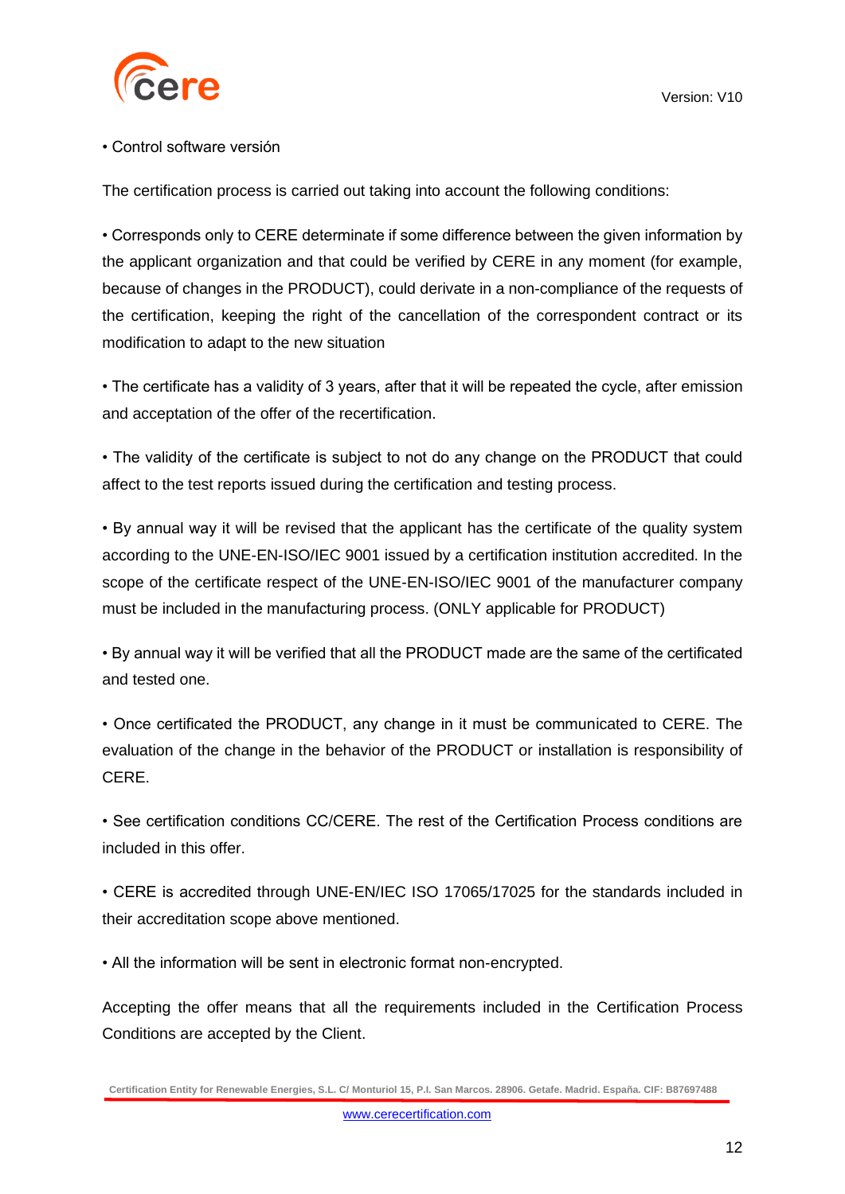

### • Control software versión

The certification process is carried out taking into account the following conditions:

• Corresponds only to CERE determinate if some difference between the given information by the applicant organization and that could be verified by CERE in any moment (for example, because of changes in the PRODUCT), could derivate in a non-compliance of the requests of the certification, keeping the right of the cancellation of the correspondent contract or its modification to adapt to the new situation

• The certificate has a validity of 3 years, after that it will be repeated the cycle, after emission and acceptation of the offer of the recertification.

• The validity of the certificate is subject to not do any change on the PRODUCT that could affect to the test reports issued during the certification and testing process.

• By annual way it will be revised that the applicant has the certificate of the quality system according to the UNE-EN-ISO/IEC 9001 issued by a certification institution accredited. In the scope of the certificate respect of the UNE-EN-ISO/IEC 9001 of the manufacturer company must be included in the manufacturing process. (ONLY applicable for PRODUCT)

• By annual way it will be verified that all the PRODUCT made are the same of the certificated and tested one.

• Once certificated the PRODUCT, any change in it must be communicated to CERE. The evaluation of the change in the behavior of the PRODUCT or installation is responsibility of CERE.

• See certification conditions CC/CERE. The rest of the Certification Process conditions are included in this offer.

• CERE is accredited through UNE-EN/IEC ISO 17065/17025 for the standards included in their accreditation scope above mentioned.

• All the information will be sent in electronic format non-encrypted.

Accepting the offer means that all the requirements included in the Certification Process Conditions are accepted by the Client.

**Certification Entity for Renewable Energies, S.L. C/ Monturiol 15, P.I. San Marcos. 28906. Getafe. Madrid. España. CIF: B87697488**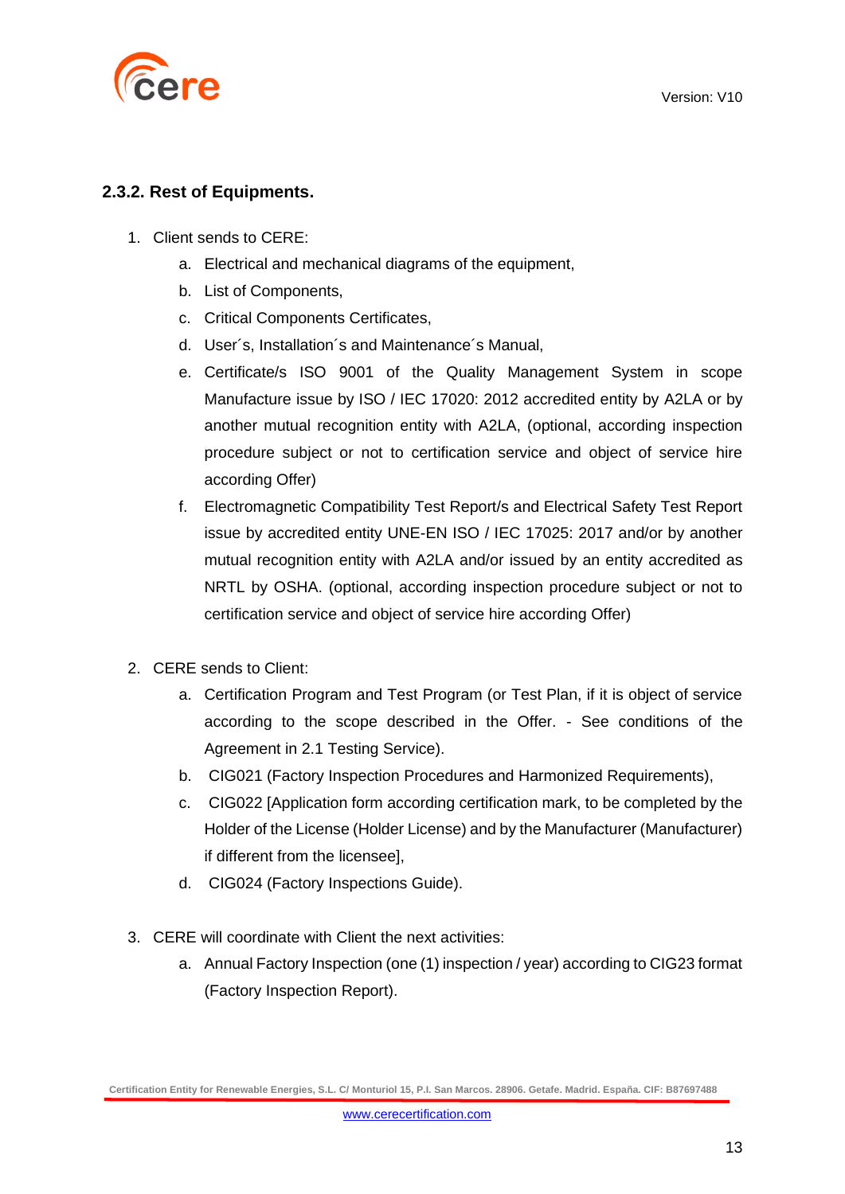

### **2.3.2. Rest of Equipments.**

- 1. Client sends to CERE:
	- a. Electrical and mechanical diagrams of the equipment,
	- b. List of Components,
	- c. Critical Components Certificates,
	- d. User´s, Installation´s and Maintenance´s Manual,
	- e. Certificate/s ISO 9001 of the Quality Management System in scope Manufacture issue by ISO / IEC 17020: 2012 accredited entity by A2LA or by another mutual recognition entity with A2LA, (optional, according inspection procedure subject or not to certification service and object of service hire according Offer)
	- f. Electromagnetic Compatibility Test Report/s and Electrical Safety Test Report issue by accredited entity UNE-EN ISO / IEC 17025: 2017 and/or by another mutual recognition entity with A2LA and/or issued by an entity accredited as NRTL by OSHA. (optional, according inspection procedure subject or not to certification service and object of service hire according Offer)
- 2. CERE sends to Client:
	- a. Certification Program and Test Program (or Test Plan, if it is object of service according to the scope described in the Offer. - See conditions of the Agreement in 2.1 Testing Service).
	- b. CIG021 (Factory Inspection Procedures and Harmonized Requirements),
	- c. CIG022 [Application form according certification mark, to be completed by the Holder of the License (Holder License) and by the Manufacturer (Manufacturer) if different from the licensee],
	- d. CIG024 (Factory Inspections Guide).
- 3. CERE will coordinate with Client the next activities:
	- a. Annual Factory Inspection (one (1) inspection / year) according to CIG23 format (Factory Inspection Report).

**Certification Entity for Renewable Energies, S.L. C/ Monturiol 15, P.I. San Marcos. 28906. Getafe. Madrid. España. CIF: B87697488**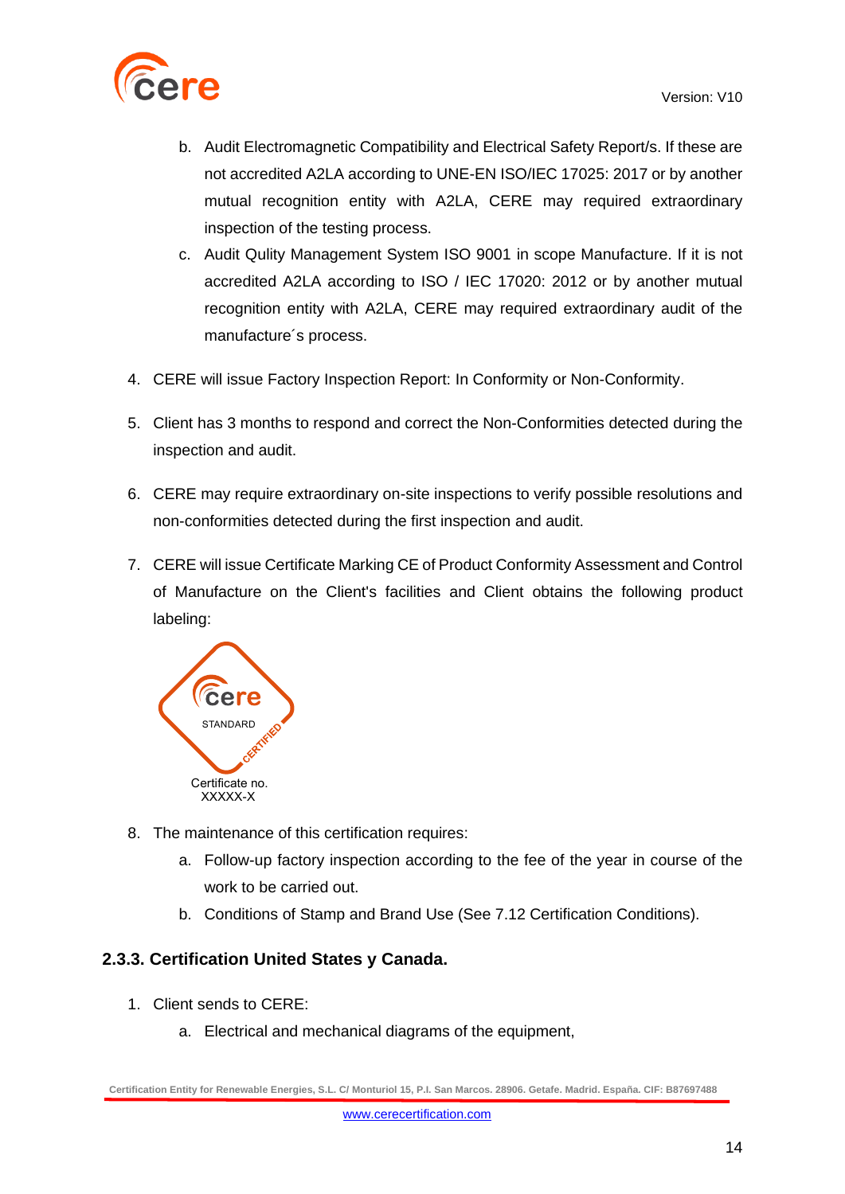

- b. Audit Electromagnetic Compatibility and Electrical Safety Report/s. If these are not accredited A2LA according to UNE-EN ISO/IEC 17025: 2017 or by another mutual recognition entity with A2LA, CERE may required extraordinary inspection of the testing process.
- c. Audit Qulity Management System ISO 9001 in scope Manufacture. If it is not accredited A2LA according to ISO / IEC 17020: 2012 or by another mutual recognition entity with A2LA, CERE may required extraordinary audit of the manufacture´s process.
- 4. CERE will issue Factory Inspection Report: In Conformity or Non-Conformity.
- 5. Client has 3 months to respond and correct the Non-Conformities detected during the inspection and audit.
- 6. CERE may require extraordinary on-site inspections to verify possible resolutions and non-conformities detected during the first inspection and audit.
- 7. CERE will issue Certificate Marking CE of Product Conformity Assessment and Control of Manufacture on the Client's facilities and Client obtains the following product labeling:



- 8. The maintenance of this certification requires:
	- a. Follow-up factory inspection according to the fee of the year in course of the work to be carried out.
	- b. Conditions of Stamp and Brand Use (See 7.12 Certification Conditions).

### **2.3.3. Certification United States y Canada.**

- 1. Client sends to CERE:
	- a. Electrical and mechanical diagrams of the equipment,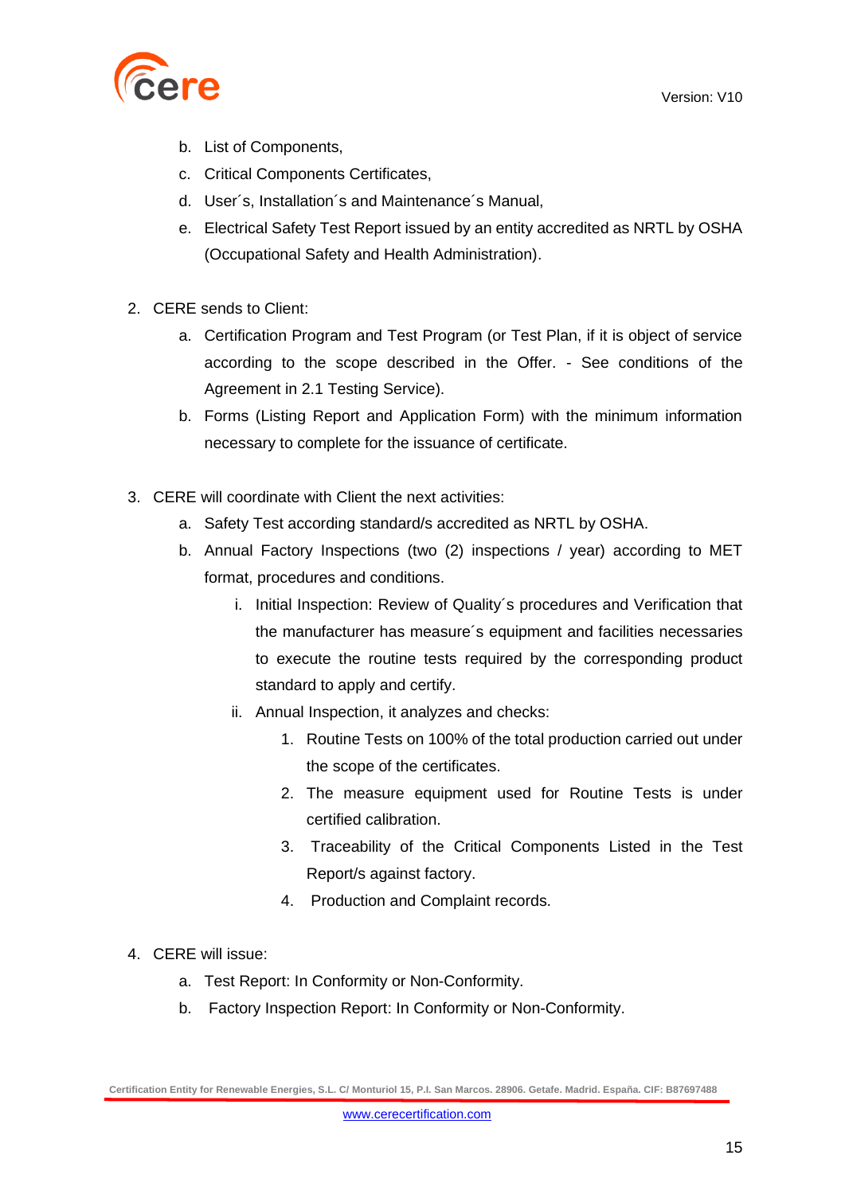

- b. List of Components,
- c. Critical Components Certificates,
- d. User´s, Installation´s and Maintenance´s Manual,
- e. Electrical Safety Test Report issued by an entity accredited as NRTL by OSHA (Occupational Safety and Health Administration).
- 2. CERE sends to Client:
	- a. Certification Program and Test Program (or Test Plan, if it is object of service according to the scope described in the Offer. - See conditions of the Agreement in 2.1 Testing Service).
	- b. Forms (Listing Report and Application Form) with the minimum information necessary to complete for the issuance of certificate.
- 3. CERE will coordinate with Client the next activities:
	- a. Safety Test according standard/s accredited as NRTL by OSHA.
	- b. Annual Factory Inspections (two (2) inspections / year) according to MET format, procedures and conditions.
		- i. Initial Inspection: Review of Quality´s procedures and Verification that the manufacturer has measure´s equipment and facilities necessaries to execute the routine tests required by the corresponding product standard to apply and certify.
		- ii. Annual Inspection, it analyzes and checks:
			- 1. Routine Tests on 100% of the total production carried out under the scope of the certificates.
			- 2. The measure equipment used for Routine Tests is under certified calibration.
			- 3. Traceability of the Critical Components Listed in the Test Report/s against factory.
			- 4. Production and Complaint records.
- 4. CERE will issue:
	- a. Test Report: In Conformity or Non-Conformity.
	- b. Factory Inspection Report: In Conformity or Non-Conformity.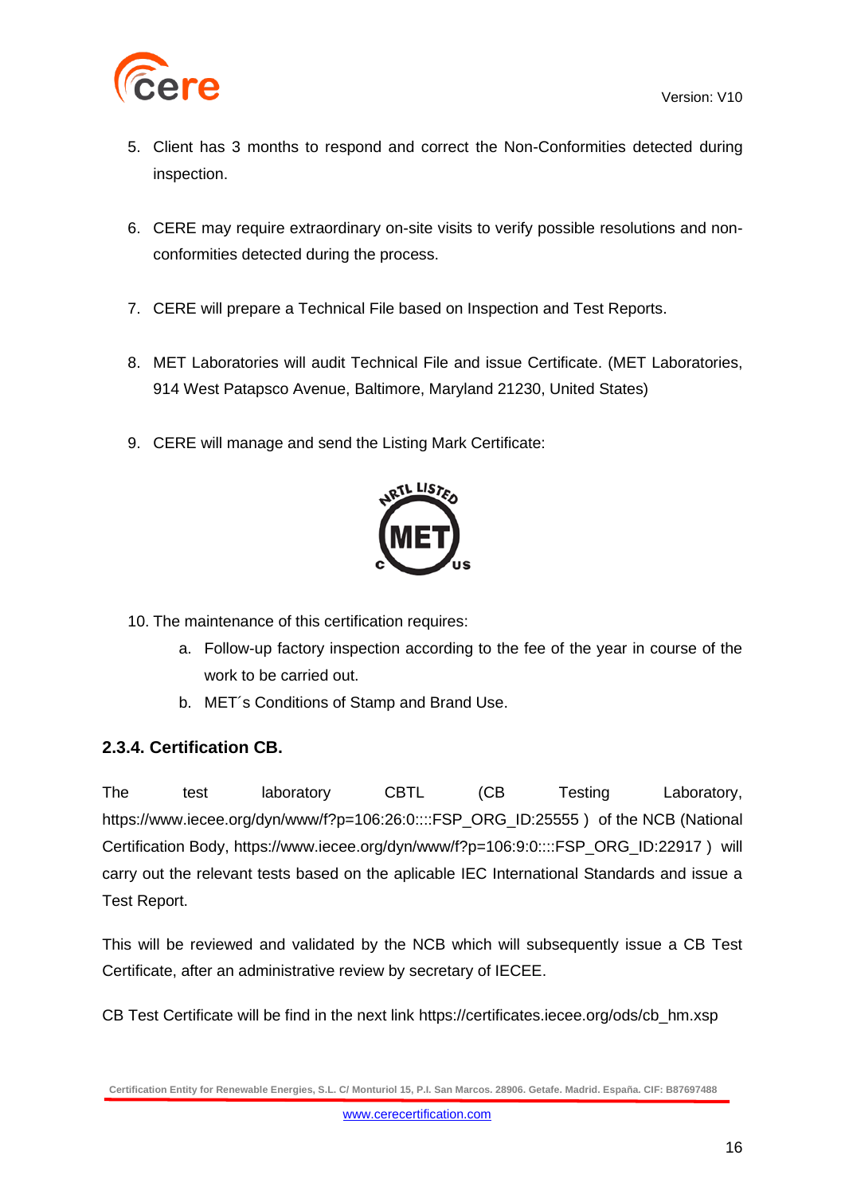

- 5. Client has 3 months to respond and correct the Non-Conformities detected during inspection.
- 6. CERE may require extraordinary on-site visits to verify possible resolutions and nonconformities detected during the process.
- 7. CERE will prepare a Technical File based on Inspection and Test Reports.
- 8. MET Laboratories will audit Technical File and issue Certificate. (MET Laboratories, 914 West Patapsco Avenue, Baltimore, Maryland 21230, United States)
- 9. CERE will manage and send the Listing Mark Certificate:



- 10. The maintenance of this certification requires:
	- a. Follow-up factory inspection according to the fee of the year in course of the work to be carried out.
	- b. MET´s Conditions of Stamp and Brand Use.

### **2.3.4. Certification CB.**

The test laboratory CBTL (CB Testing Laboratory, [https://www.iecee.org/dyn/www/f?p=106:26:0::::FSP\\_ORG\\_ID:25555](https://www.iecee.org/dyn/www/f?p=106:26:0::::FSP_ORG_ID:25555)) of the NCB (National Certification Body, [https://www.iecee.org/dyn/www/f?p=106:9:0::::FSP\\_ORG\\_ID:22917](https://www.iecee.org/dyn/www/f?p=106:9:0::::FSP_ORG_ID:22917) ) will carry out the relevant tests based on the aplicable IEC International Standards and issue a Test Report.

This will be reviewed and validated by the NCB which will subsequently issue a CB Test Certificate, after an administrative review by secretary of IECEE.

CB Test Certificate will be find in the next link [https://certificates.iecee.org/ods/cb\\_hm.xsp](https://certificates.iecee.org/ods/cb_hm.xsp)

**Certification Entity for Renewable Energies, S.L. C/ Monturiol 15, P.I. San Marcos. 28906. Getafe. Madrid. España. CIF: B87697488**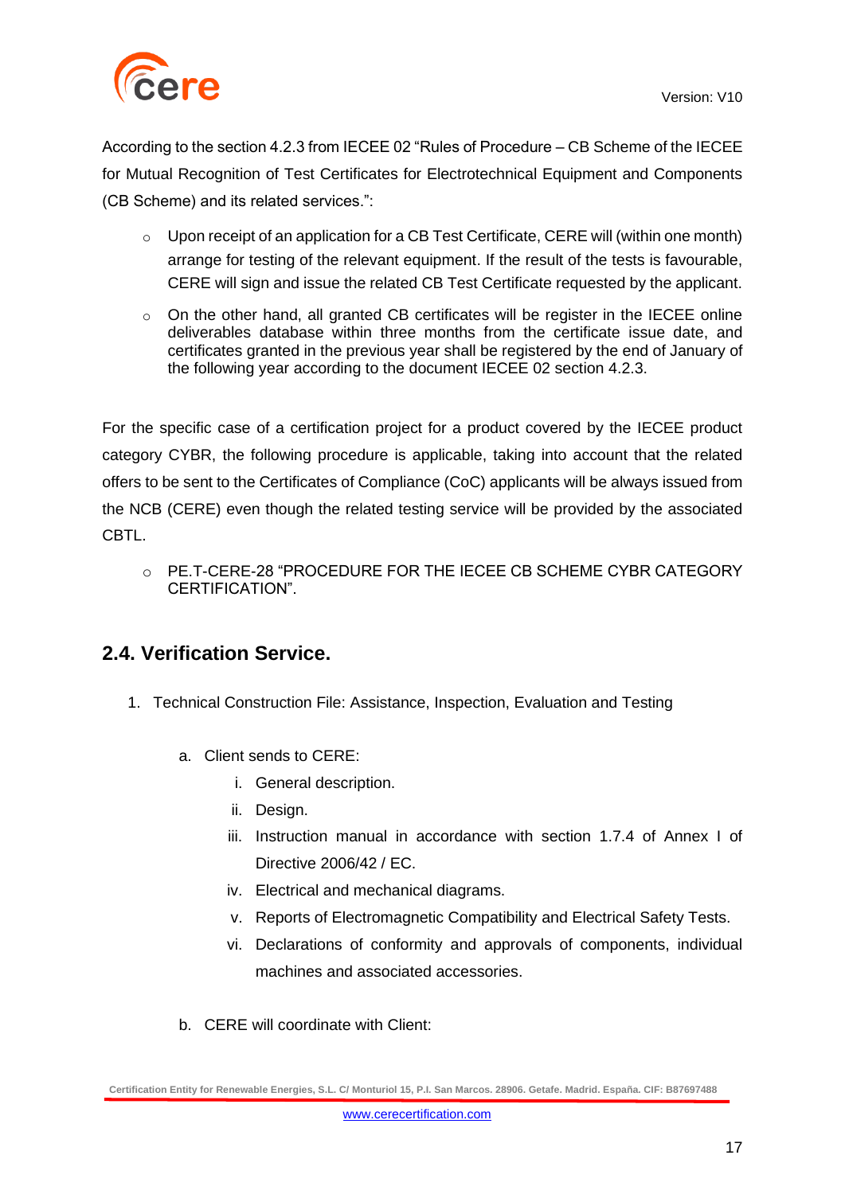

According to the section 4.2.3 from IECEE 02 "Rules of Procedure – CB Scheme of the IECEE for Mutual Recognition of Test Certificates for Electrotechnical Equipment and Components (CB Scheme) and its related services.":

- o Upon receipt of an application for a CB Test Certificate, CERE will (within one month) arrange for testing of the relevant equipment. If the result of the tests is favourable, CERE will sign and issue the related CB Test Certificate requested by the applicant.
- $\circ$  On the other hand, all granted CB certificates will be register in the IECEE online deliverables database within three months from the certificate issue date, and certificates granted in the previous year shall be registered by the end of January of the following year according to the document IECEE 02 section 4.2.3.

For the specific case of a certification project for a product covered by the IECEE product category CYBR, the following procedure is applicable, taking into account that the related offers to be sent to the Certificates of Compliance (CoC) applicants will be always issued from the NCB (CERE) even though the related testing service will be provided by the associated CBTL.

o PE.T-CERE-28 "PROCEDURE FOR THE IECEE CB SCHEME CYBR CATEGORY CERTIFICATION".

### **2.4. Verification Service.**

- 1. Technical Construction File: Assistance, Inspection, Evaluation and Testing
	- a. Client sends to CERE:
		- i. General description.
		- ii. Design.
		- iii. Instruction manual in accordance with section 1.7.4 of Annex I of Directive 2006/42 / EC.
		- iv. Electrical and mechanical diagrams.
		- v. Reports of Electromagnetic Compatibility and Electrical Safety Tests.
		- vi. Declarations of conformity and approvals of components, individual machines and associated accessories.
	- b. CERE will coordinate with Client:

**Certification Entity for Renewable Energies, S.L. C/ Monturiol 15, P.I. San Marcos. 28906. Getafe. Madrid. España. CIF: B87697488**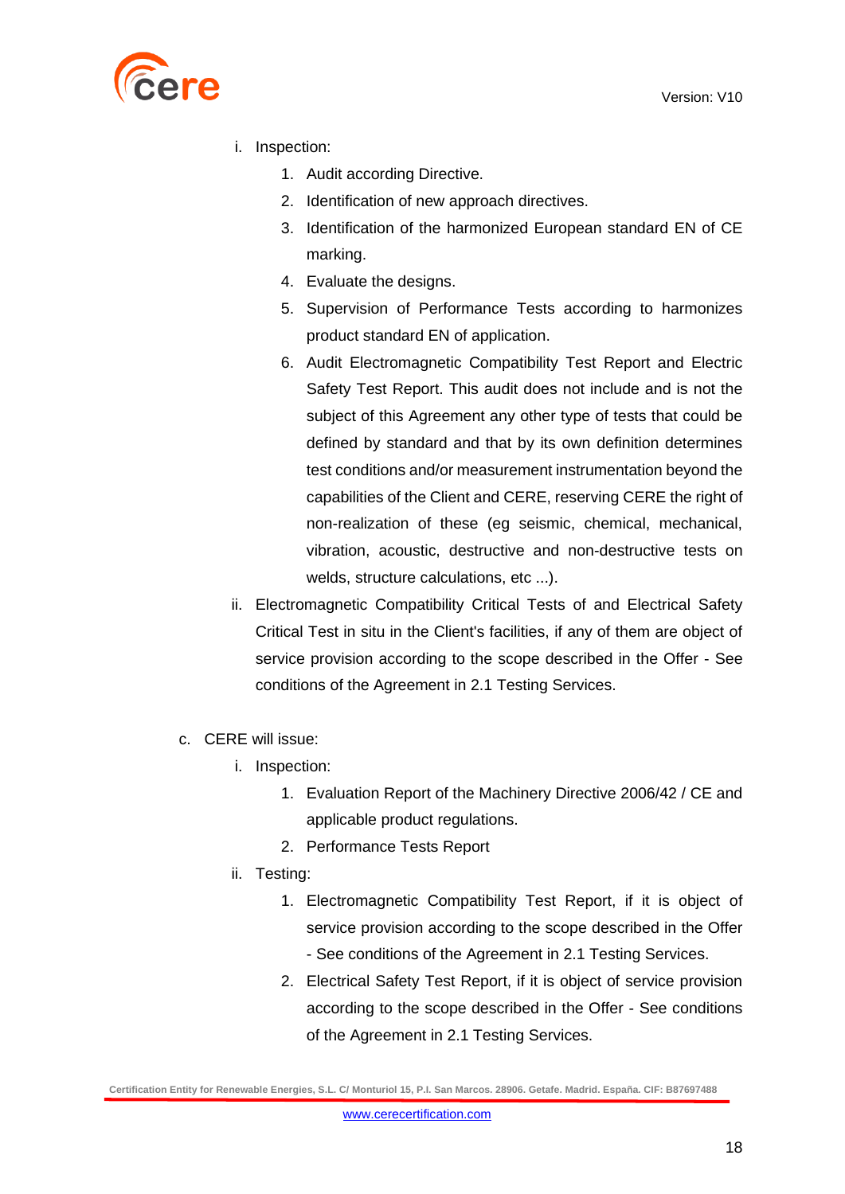

- i. Inspection:
	- 1. Audit according Directive.
	- 2. Identification of new approach directives.
	- 3. Identification of the harmonized European standard EN of CE marking.
	- 4. Evaluate the designs.
	- 5. Supervision of Performance Tests according to harmonizes product standard EN of application.
	- 6. Audit Electromagnetic Compatibility Test Report and Electric Safety Test Report. This audit does not include and is not the subject of this Agreement any other type of tests that could be defined by standard and that by its own definition determines test conditions and/or measurement instrumentation beyond the capabilities of the Client and CERE, reserving CERE the right of non-realization of these (eg seismic, chemical, mechanical, vibration, acoustic, destructive and non-destructive tests on welds, structure calculations, etc ...).
- ii. Electromagnetic Compatibility Critical Tests of and Electrical Safety Critical Test in situ in the Client's facilities, if any of them are object of service provision according to the scope described in the Offer - See conditions of the Agreement in 2.1 Testing Services.
- c. CERE will issue:
	- i. Inspection:
		- 1. Evaluation Report of the Machinery Directive 2006/42 / CE and applicable product regulations.
		- 2. Performance Tests Report
	- ii. Testing:
		- 1. Electromagnetic Compatibility Test Report, if it is object of service provision according to the scope described in the Offer - See conditions of the Agreement in 2.1 Testing Services.
		- 2. Electrical Safety Test Report, if it is object of service provision according to the scope described in the Offer - See conditions of the Agreement in 2.1 Testing Services.

**Certification Entity for Renewable Energies, S.L. C/ Monturiol 15, P.I. San Marcos. 28906. Getafe. Madrid. España. CIF: B87697488**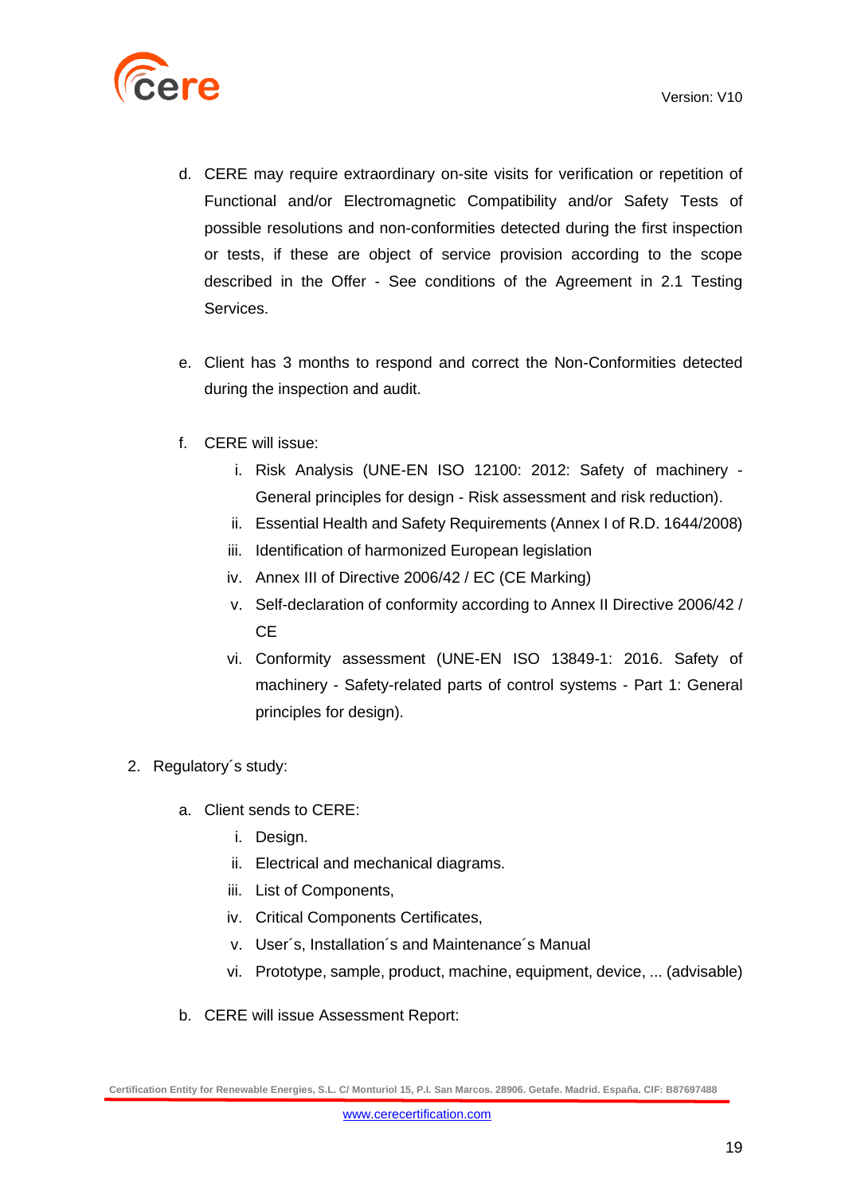

- d. CERE may require extraordinary on-site visits for verification or repetition of Functional and/or Electromagnetic Compatibility and/or Safety Tests of possible resolutions and non-conformities detected during the first inspection or tests, if these are object of service provision according to the scope described in the Offer - See conditions of the Agreement in 2.1 Testing Services.
- e. Client has 3 months to respond and correct the Non-Conformities detected during the inspection and audit.
- f. CERE will issue:
	- i. Risk Analysis (UNE-EN ISO 12100: 2012: Safety of machinery General principles for design - Risk assessment and risk reduction).
	- ii. Essential Health and Safety Requirements (Annex I of R.D. 1644/2008)
	- iii. Identification of harmonized European legislation
	- iv. Annex III of Directive 2006/42 / EC (CE Marking)
	- v. Self-declaration of conformity according to Annex II Directive 2006/42 / **C<sub>E</sub>**
	- vi. Conformity assessment (UNE-EN ISO 13849-1: 2016. Safety of machinery - Safety-related parts of control systems - Part 1: General principles for design).
- 2. Regulatory´s study:
	- a. Client sends to CERE:
		- i. Design.
		- ii. Electrical and mechanical diagrams.
		- iii. List of Components,
		- iv. Critical Components Certificates,
		- v. User´s, Installation´s and Maintenance´s Manual
		- vi. Prototype, sample, product, machine, equipment, device, ... (advisable)
	- b. CERE will issue Assessment Report: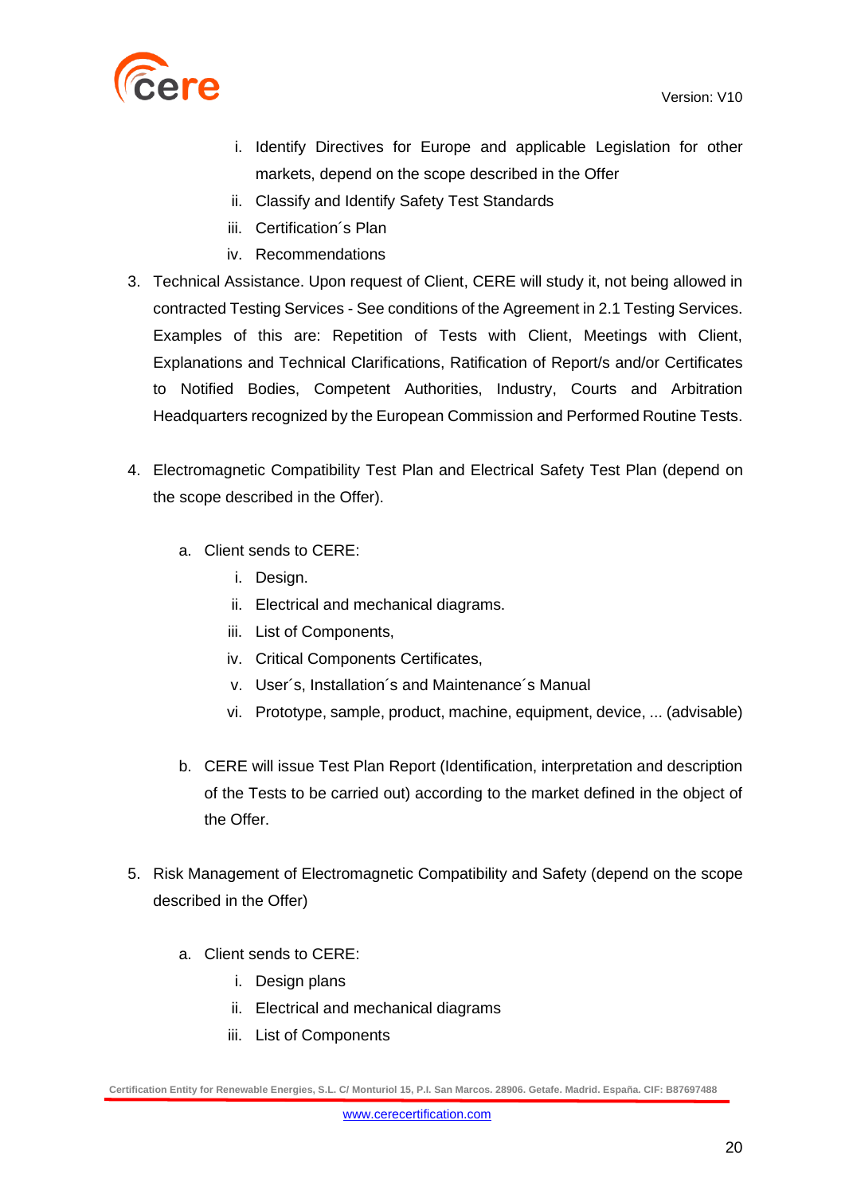

- i. Identify Directives for Europe and applicable Legislation for other markets, depend on the scope described in the Offer
- ii. Classify and Identify Safety Test Standards
- iii. Certification´s Plan
- iv. Recommendations
- 3. Technical Assistance. Upon request of Client, CERE will study it, not being allowed in contracted Testing Services - See conditions of the Agreement in 2.1 Testing Services. Examples of this are: Repetition of Tests with Client, Meetings with Client, Explanations and Technical Clarifications, Ratification of Report/s and/or Certificates to Notified Bodies, Competent Authorities, Industry, Courts and Arbitration Headquarters recognized by the European Commission and Performed Routine Tests.
- 4. Electromagnetic Compatibility Test Plan and Electrical Safety Test Plan (depend on the scope described in the Offer).
	- a. Client sends to CERE:
		- i. Design.
		- ii. Electrical and mechanical diagrams.
		- iii. List of Components,
		- iv. Critical Components Certificates,
		- v. User´s, Installation´s and Maintenance´s Manual
		- vi. Prototype, sample, product, machine, equipment, device, ... (advisable)
	- b. CERE will issue Test Plan Report (Identification, interpretation and description of the Tests to be carried out) according to the market defined in the object of the Offer.
- 5. Risk Management of Electromagnetic Compatibility and Safety (depend on the scope described in the Offer)
	- a. Client sends to CERE:
		- i. Design plans
		- ii. Electrical and mechanical diagrams
		- iii. List of Components

**Certification Entity for Renewable Energies, S.L. C/ Monturiol 15, P.I. San Marcos. 28906. Getafe. Madrid. España. CIF: B87697488**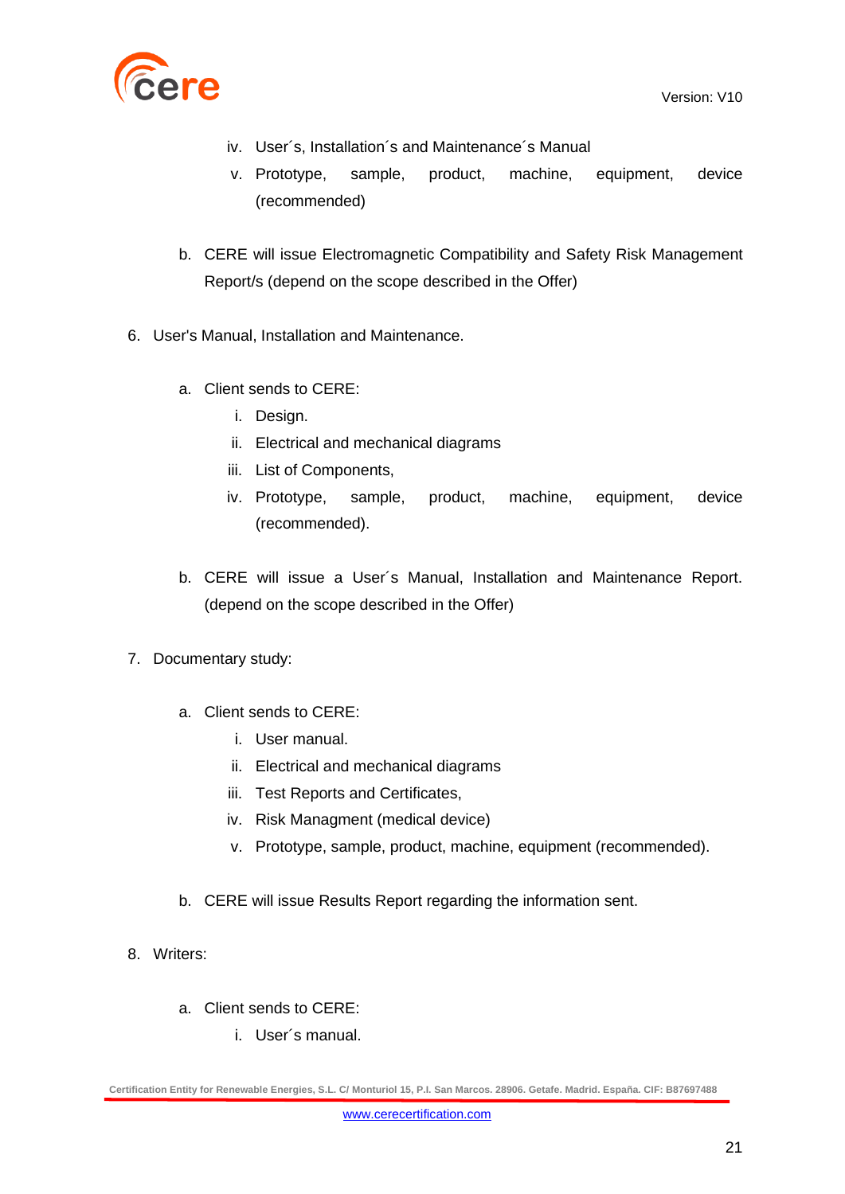

- iv. User´s, Installation´s and Maintenance´s Manual
- v. Prototype, sample, product, machine, equipment, device (recommended)
- b. CERE will issue Electromagnetic Compatibility and Safety Risk Management Report/s (depend on the scope described in the Offer)
- 6. User's Manual, Installation and Maintenance.
	- a. Client sends to CERE:
		- i. Design.
		- ii. Electrical and mechanical diagrams
		- iii. List of Components,
		- iv. Prototype, sample, product, machine, equipment, device (recommended).
	- b. CERE will issue a User´s Manual, Installation and Maintenance Report. (depend on the scope described in the Offer)
- 7. Documentary study:
	- a. Client sends to CERE:
		- i. User manual.
		- ii. Electrical and mechanical diagrams
		- iii. Test Reports and Certificates,
		- iv. Risk Managment (medical device)
		- v. Prototype, sample, product, machine, equipment (recommended).
	- b. CERE will issue Results Report regarding the information sent.
- 8. Writers:
	- a. Client sends to CERE:
		- i. User´s manual.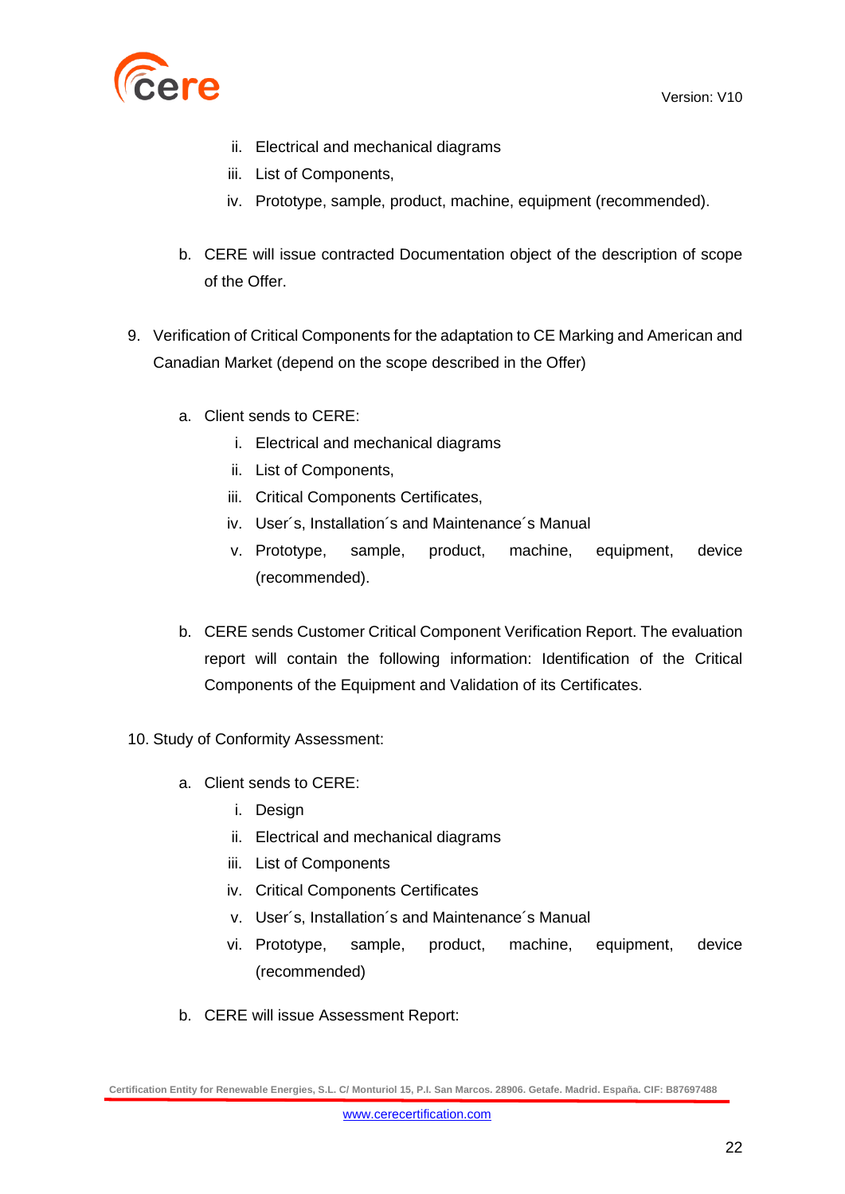

- ii. Electrical and mechanical diagrams
- iii. List of Components,
- iv. Prototype, sample, product, machine, equipment (recommended).
- b. CERE will issue contracted Documentation object of the description of scope of the Offer.
- 9. Verification of Critical Components for the adaptation to CE Marking and American and Canadian Market (depend on the scope described in the Offer)
	- a. Client sends to CERE:
		- i. Electrical and mechanical diagrams
		- ii. List of Components,
		- iii. Critical Components Certificates,
		- iv. User´s, Installation´s and Maintenance´s Manual
		- v. Prototype, sample, product, machine, equipment, device (recommended).
	- b. CERE sends Customer Critical Component Verification Report. The evaluation report will contain the following information: Identification of the Critical Components of the Equipment and Validation of its Certificates.
- 10. Study of Conformity Assessment:
	- a. Client sends to CERE:
		- i. Design
		- ii. Electrical and mechanical diagrams
		- iii. List of Components
		- iv. Critical Components Certificates
		- v. User´s, Installation´s and Maintenance´s Manual
		- vi. Prototype, sample, product, machine, equipment, device (recommended)
	- b. CERE will issue Assessment Report: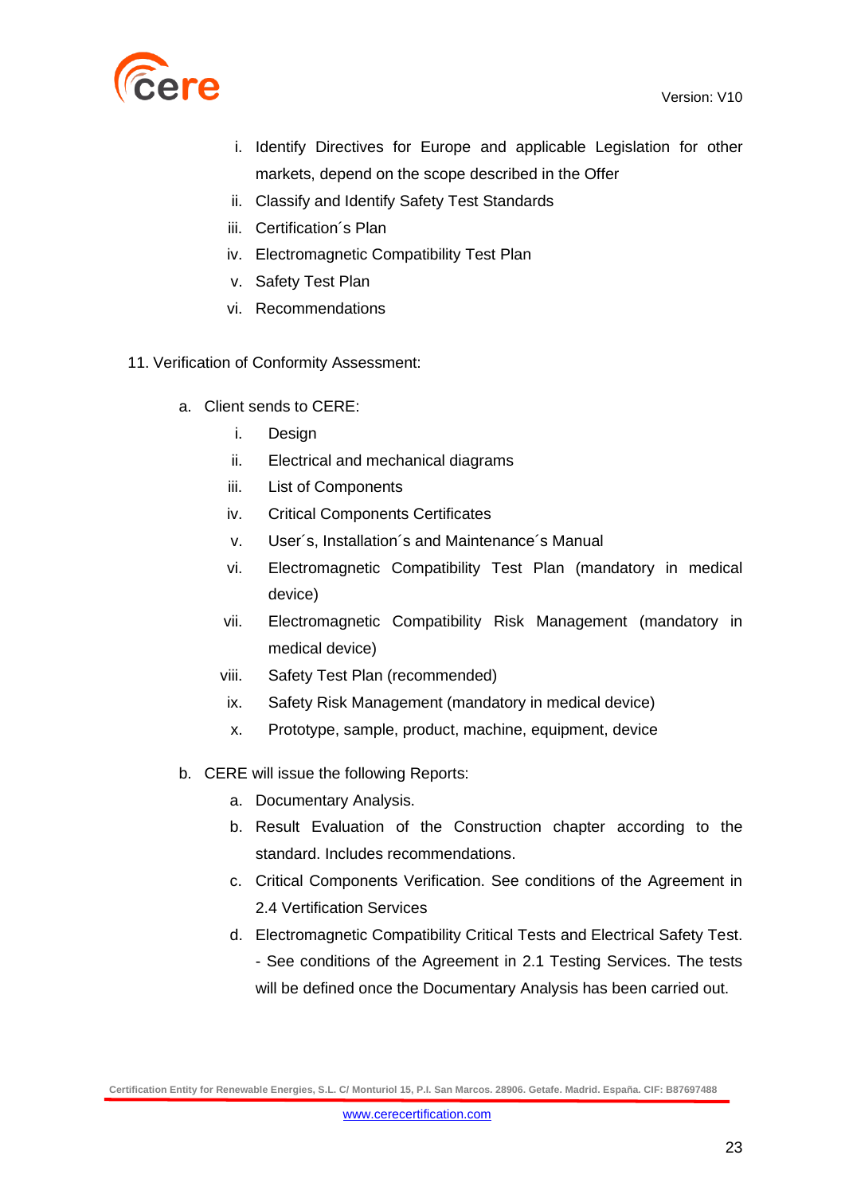

- i. Identify Directives for Europe and applicable Legislation for other markets, depend on the scope described in the Offer
- ii. Classify and Identify Safety Test Standards
- iii. Certification´s Plan
- iv. Electromagnetic Compatibility Test Plan
- v. Safety Test Plan
- vi. Recommendations
- 11. Verification of Conformity Assessment:
	- a. Client sends to CERE:
		- i. Design
		- ii. Electrical and mechanical diagrams
		- iii. List of Components
		- iv. Critical Components Certificates
		- v. User´s, Installation´s and Maintenance´s Manual
		- vi. Electromagnetic Compatibility Test Plan (mandatory in medical device)
		- vii. Electromagnetic Compatibility Risk Management (mandatory in medical device)
		- viii. Safety Test Plan (recommended)
		- ix. Safety Risk Management (mandatory in medical device)
		- x. Prototype, sample, product, machine, equipment, device
	- b. CERE will issue the following Reports:
		- a. Documentary Analysis.
		- b. Result Evaluation of the Construction chapter according to the standard. Includes recommendations.
		- c. Critical Components Verification. See conditions of the Agreement in 2.4 Vertification Services
		- d. Electromagnetic Compatibility Critical Tests and Electrical Safety Test.
			- See conditions of the Agreement in 2.1 Testing Services. The tests will be defined once the Documentary Analysis has been carried out.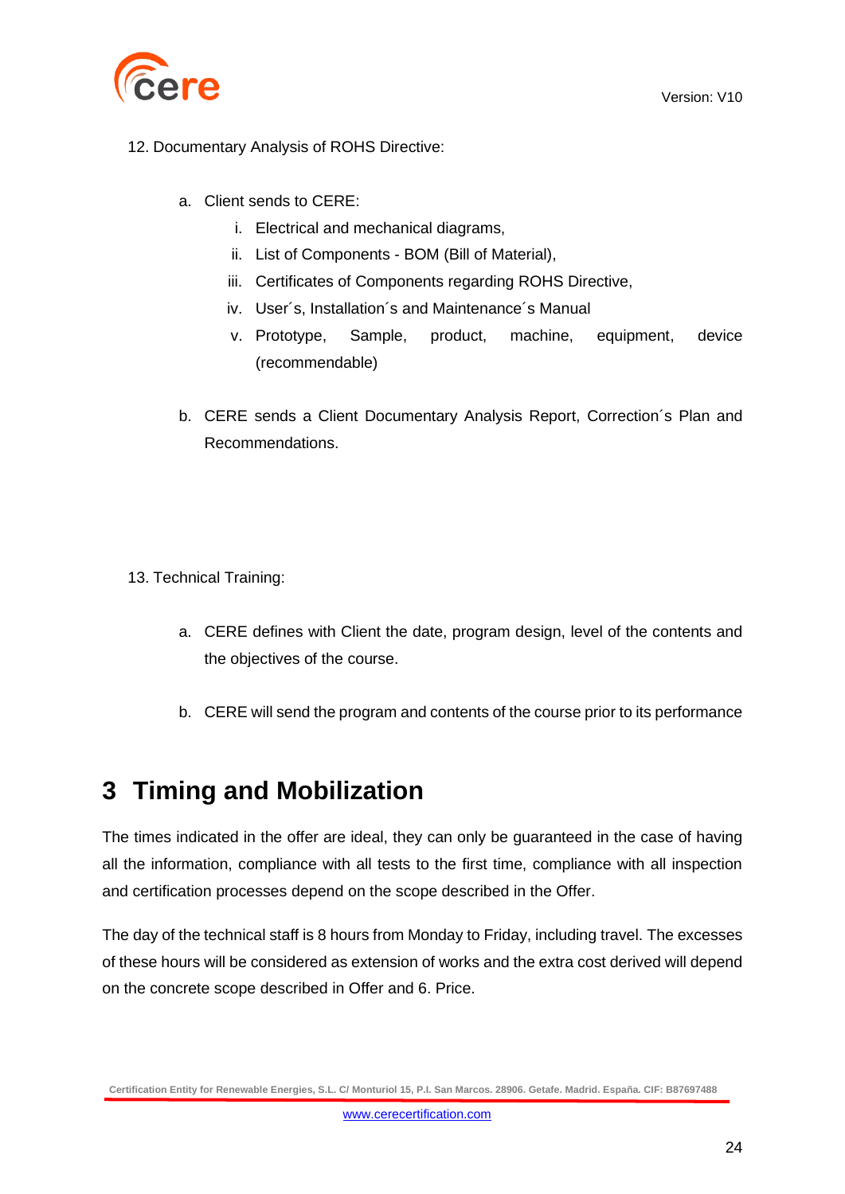

- 12. Documentary Analysis of ROHS Directive:
	- a. Client sends to CERE:
		- i. Electrical and mechanical diagrams,
		- ii. List of Components BOM (Bill of Material),
		- iii. Certificates of Components regarding ROHS Directive,
		- iv. User´s, Installation´s and Maintenance´s Manual
		- v. Prototype, Sample, product, machine, equipment, device (recommendable)
	- b. CERE sends a Client Documentary Analysis Report, Correction´s Plan and Recommendations.
- 13. Technical Training:
	- a. CERE defines with Client the date, program design, level of the contents and the objectives of the course.
	- b. CERE will send the program and contents of the course prior to its performance

## <span id="page-23-0"></span>**3 Timing and Mobilization**

The times indicated in the offer are ideal, they can only be guaranteed in the case of having all the information, compliance with all tests to the first time, compliance with all inspection and certification processes depend on the scope described in the Offer.

The day of the technical staff is 8 hours from Monday to Friday, including travel. The excesses of these hours will be considered as extension of works and the extra cost derived will depend on the concrete scope described in Offer and 6. Price.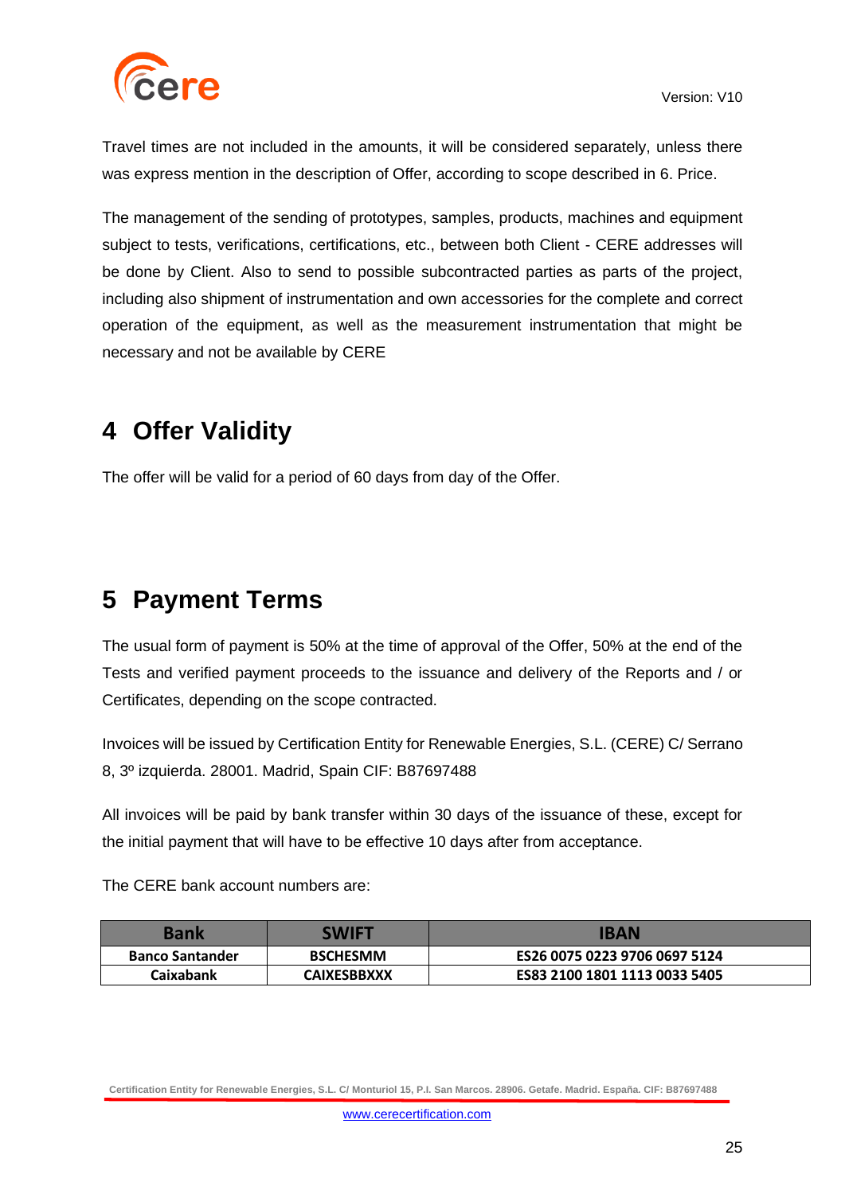

Travel times are not included in the amounts, it will be considered separately, unless there was express mention in the description of Offer, according to scope described in 6. Price.

The management of the sending of prototypes, samples, products, machines and equipment subject to tests, verifications, certifications, etc., between both Client - CERE addresses will be done by Client. Also to send to possible subcontracted parties as parts of the project, including also shipment of instrumentation and own accessories for the complete and correct operation of the equipment, as well as the measurement instrumentation that might be necessary and not be available by CERE

# <span id="page-24-0"></span>**4 Offer Validity**

The offer will be valid for a period of 60 days from day of the Offer.

# <span id="page-24-1"></span>**5 Payment Terms**

The usual form of payment is 50% at the time of approval of the Offer, 50% at the end of the Tests and verified payment proceeds to the issuance and delivery of the Reports and / or Certificates, depending on the scope contracted.

Invoices will be issued by Certification Entity for Renewable Energies, S.L. (CERE) C/ Serrano 8, 3º izquierda. 28001. Madrid, Spain CIF: B87697488

All invoices will be paid by bank transfer within 30 days of the issuance of these, except for the initial payment that will have to be effective 10 days after from acceptance.

The CERE bank account numbers are:

| <b>Bank</b>            | SWIFT              | IBAN                          |
|------------------------|--------------------|-------------------------------|
| <b>Banco Santander</b> | <b>BSCHESMM</b>    | ES26 0075 0223 9706 0697 5124 |
| <b>Caixabank</b>       | <b>CAIXESBBXXX</b> | ES83 2100 1801 1113 0033 5405 |

**Certification Entity for Renewable Energies, S.L. C/ Monturiol 15, P.I. San Marcos. 28906. Getafe. Madrid. España. CIF: B87697488**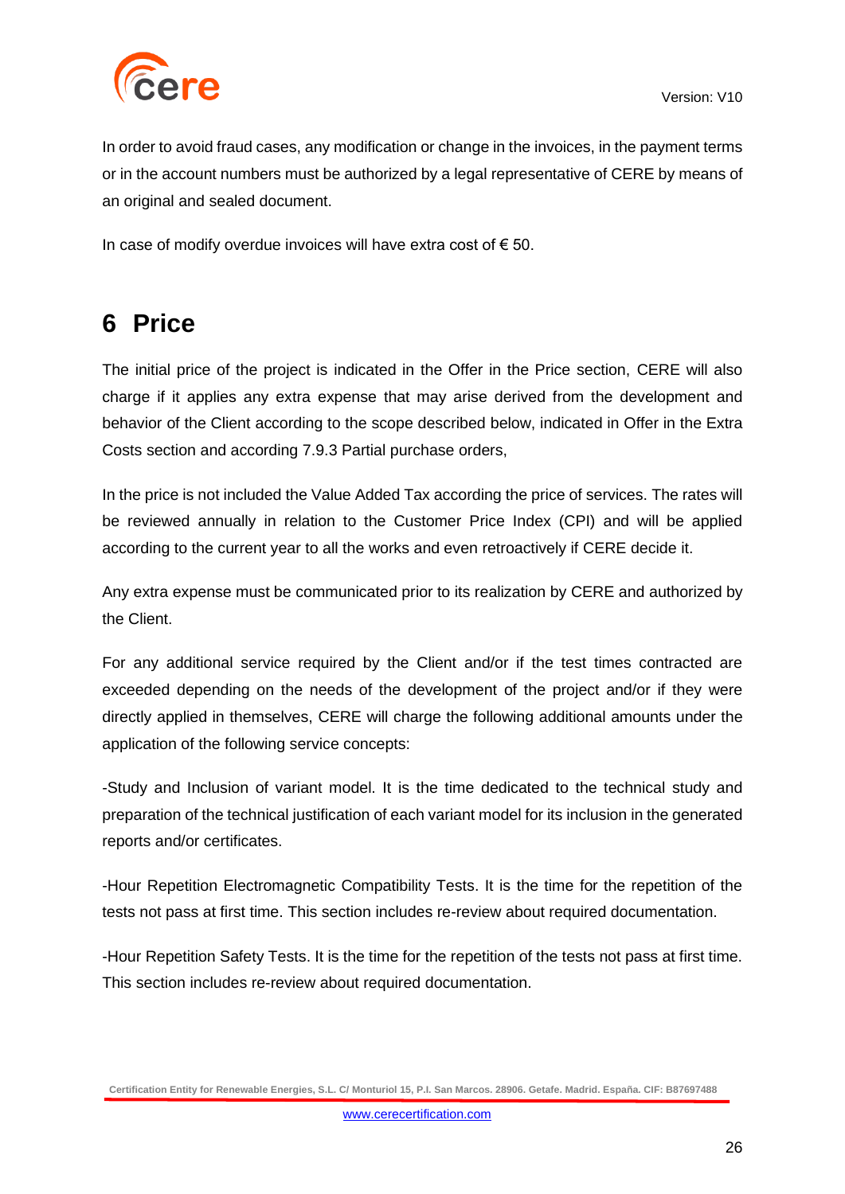

In order to avoid fraud cases, any modification or change in the invoices, in the payment terms or in the account numbers must be authorized by a legal representative of CERE by means of an original and sealed document.

In case of modify overdue invoices will have extra cost of  $\epsilon$  50.

# <span id="page-25-0"></span>**6 Price**

The initial price of the project is indicated in the Offer in the Price section, CERE will also charge if it applies any extra expense that may arise derived from the development and behavior of the Client according to the scope described below, indicated in Offer in the Extra Costs section and according 7.9.3 Partial purchase orders,

In the price is not included the Value Added Tax according the price of services. The rates will be reviewed annually in relation to the Customer Price Index (CPI) and will be applied according to the current year to all the works and even retroactively if CERE decide it.

Any extra expense must be communicated prior to its realization by CERE and authorized by the Client.

For any additional service required by the Client and/or if the test times contracted are exceeded depending on the needs of the development of the project and/or if they were directly applied in themselves, CERE will charge the following additional amounts under the application of the following service concepts:

-Study and Inclusion of variant model. It is the time dedicated to the technical study and preparation of the technical justification of each variant model for its inclusion in the generated reports and/or certificates.

-Hour Repetition Electromagnetic Compatibility Tests. It is the time for the repetition of the tests not pass at first time. This section includes re-review about required documentation.

-Hour Repetition Safety Tests. It is the time for the repetition of the tests not pass at first time. This section includes re-review about required documentation.

**Certification Entity for Renewable Energies, S.L. C/ Monturiol 15, P.I. San Marcos. 28906. Getafe. Madrid. España. CIF: B87697488**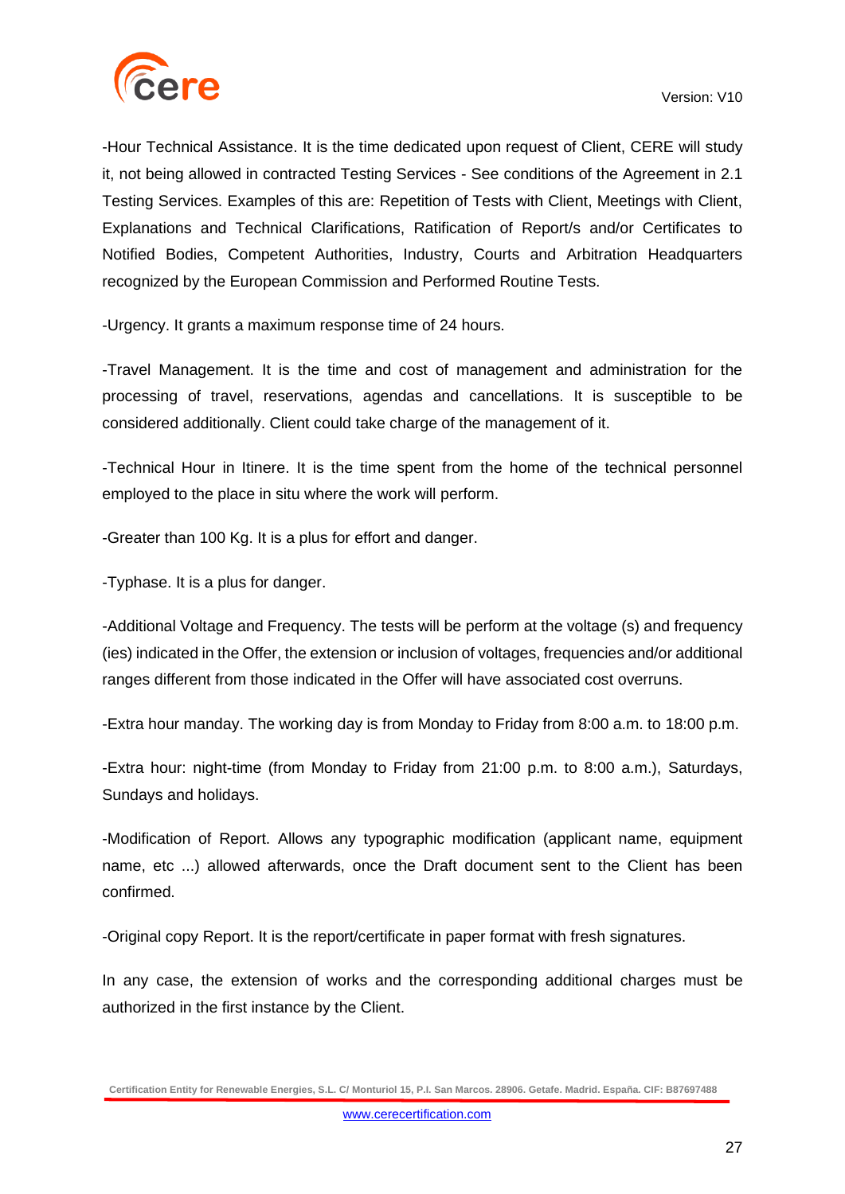

-Hour Technical Assistance. It is the time dedicated upon request of Client, CERE will study it, not being allowed in contracted Testing Services - See conditions of the Agreement in 2.1 Testing Services. Examples of this are: Repetition of Tests with Client, Meetings with Client, Explanations and Technical Clarifications, Ratification of Report/s and/or Certificates to Notified Bodies, Competent Authorities, Industry, Courts and Arbitration Headquarters recognized by the European Commission and Performed Routine Tests.

-Urgency. It grants a maximum response time of 24 hours.

-Travel Management. It is the time and cost of management and administration for the processing of travel, reservations, agendas and cancellations. It is susceptible to be considered additionally. Client could take charge of the management of it.

-Technical Hour in Itinere. It is the time spent from the home of the technical personnel employed to the place in situ where the work will perform.

-Greater than 100 Kg. It is a plus for effort and danger.

-Typhase. It is a plus for danger.

-Additional Voltage and Frequency. The tests will be perform at the voltage (s) and frequency (ies) indicated in the Offer, the extension or inclusion of voltages, frequencies and/or additional ranges different from those indicated in the Offer will have associated cost overruns.

-Extra hour manday. The working day is from Monday to Friday from 8:00 a.m. to 18:00 p.m.

-Extra hour: night-time (from Monday to Friday from 21:00 p.m. to 8:00 a.m.), Saturdays, Sundays and holidays.

-Modification of Report. Allows any typographic modification (applicant name, equipment name, etc ...) allowed afterwards, once the Draft document sent to the Client has been confirmed.

-Original copy Report. It is the report/certificate in paper format with fresh signatures.

In any case, the extension of works and the corresponding additional charges must be authorized in the first instance by the Client.

**Certification Entity for Renewable Energies, S.L. C/ Monturiol 15, P.I. San Marcos. 28906. Getafe. Madrid. España. CIF: B87697488**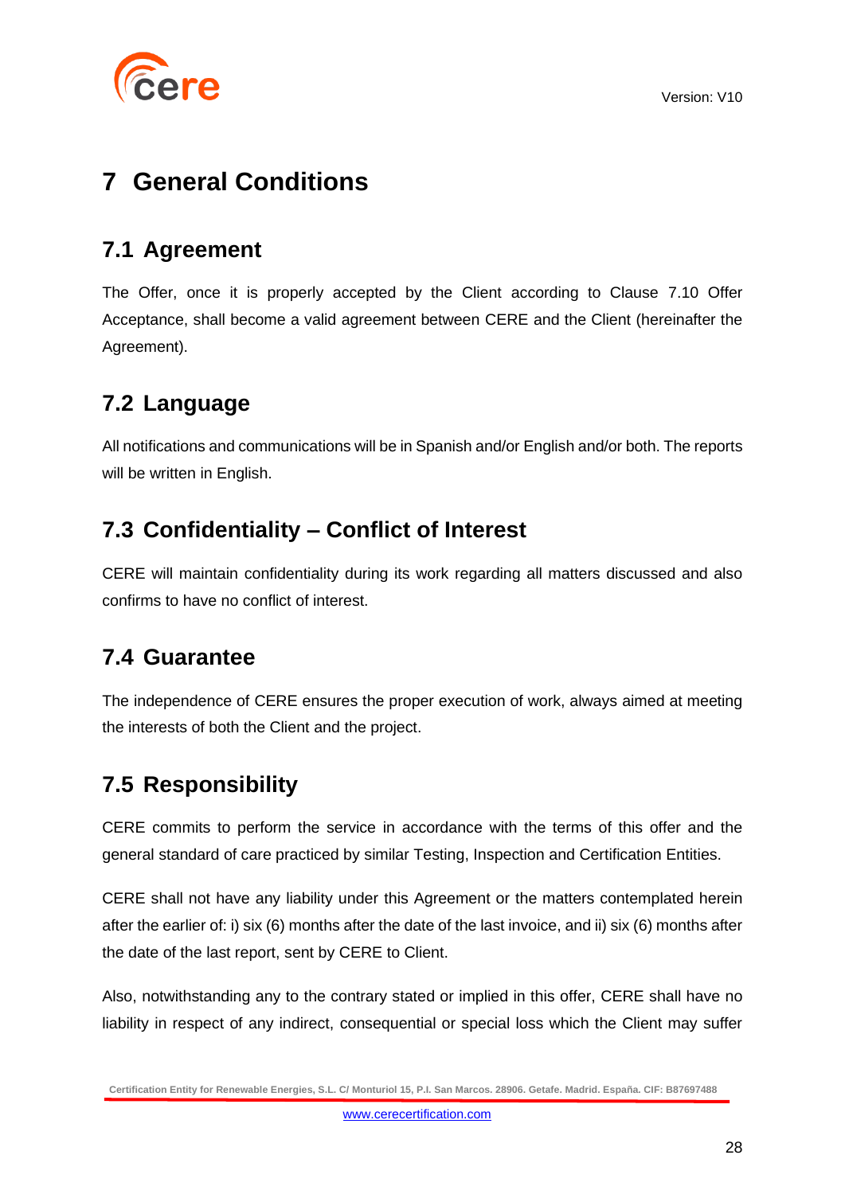

# <span id="page-27-0"></span>**7 General Conditions**

## <span id="page-27-1"></span>**7.1 Agreement**

The Offer, once it is properly accepted by the Client according to Clause 7.10 Offer Acceptance, shall become a valid agreement between CERE and the Client (hereinafter the Agreement).

## <span id="page-27-2"></span>**7.2 Language**

All notifications and communications will be in Spanish and/or English and/or both. The reports will be written in English.

## <span id="page-27-3"></span>**7.3 Confidentiality – Conflict of Interest**

CERE will maintain confidentiality during its work regarding all matters discussed and also confirms to have no conflict of interest.

### <span id="page-27-4"></span>**7.4 Guarantee**

The independence of CERE ensures the proper execution of work, always aimed at meeting the interests of both the Client and the project.

## <span id="page-27-5"></span>**7.5 Responsibility**

CERE commits to perform the service in accordance with the terms of this offer and the general standard of care practiced by similar Testing, Inspection and Certification Entities.

CERE shall not have any liability under this Agreement or the matters contemplated herein after the earlier of: i) six (6) months after the date of the last invoice, and ii) six (6) months after the date of the last report, sent by CERE to Client.

Also, notwithstanding any to the contrary stated or implied in this offer, CERE shall have no liability in respect of any indirect, consequential or special loss which the Client may suffer

**Certification Entity for Renewable Energies, S.L. C/ Monturiol 15, P.I. San Marcos. 28906. Getafe. Madrid. España. CIF: B87697488**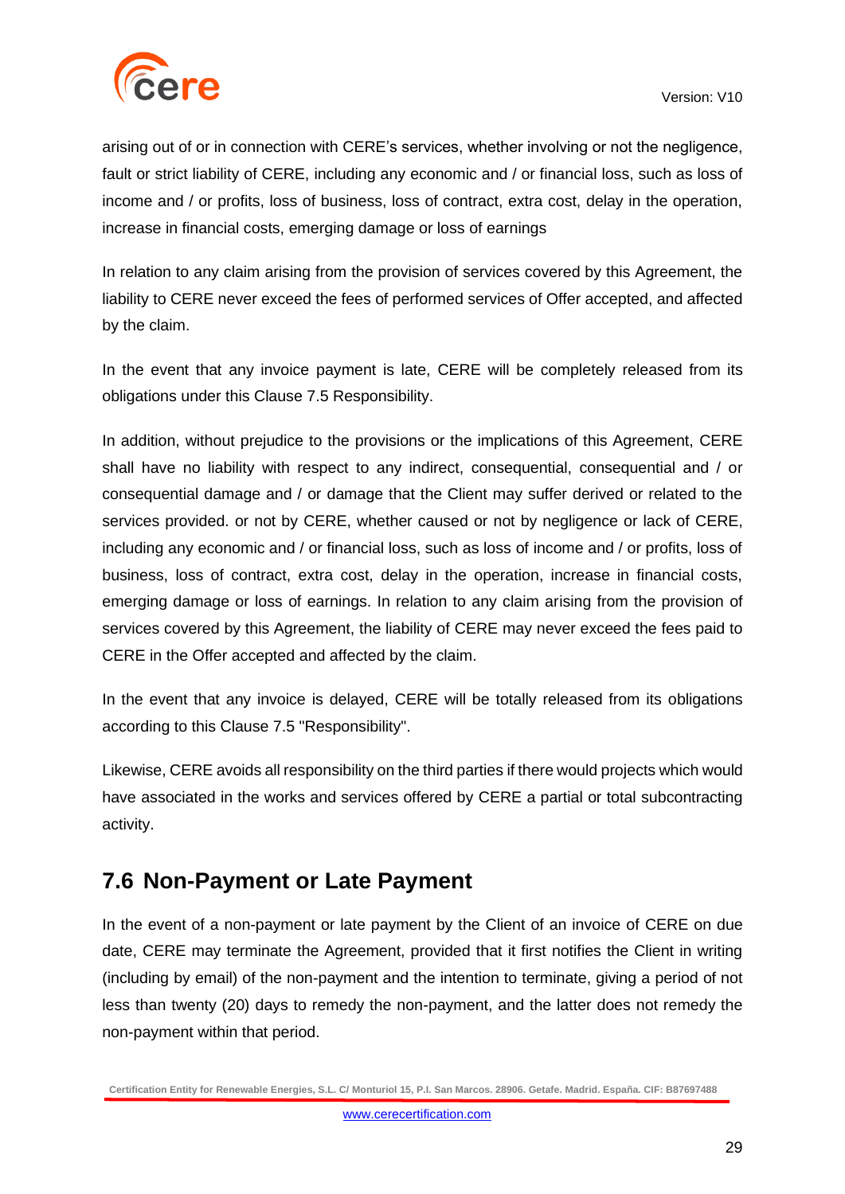

arising out of or in connection with CERE's services, whether involving or not the negligence, fault or strict liability of CERE, including any economic and / or financial loss, such as loss of income and / or profits, loss of business, loss of contract, extra cost, delay in the operation, increase in financial costs, emerging damage or loss of earnings

In relation to any claim arising from the provision of services covered by this Agreement, the liability to CERE never exceed the fees of performed services of Offer accepted, and affected by the claim.

In the event that any invoice payment is late, CERE will be completely released from its obligations under this Clause 7.5 Responsibility.

In addition, without prejudice to the provisions or the implications of this Agreement, CERE shall have no liability with respect to any indirect, consequential, consequential and / or consequential damage and / or damage that the Client may suffer derived or related to the services provided. or not by CERE, whether caused or not by negligence or lack of CERE, including any economic and / or financial loss, such as loss of income and / or profits, loss of business, loss of contract, extra cost, delay in the operation, increase in financial costs, emerging damage or loss of earnings. In relation to any claim arising from the provision of services covered by this Agreement, the liability of CERE may never exceed the fees paid to CERE in the Offer accepted and affected by the claim.

In the event that any invoice is delayed, CERE will be totally released from its obligations according to this Clause 7.5 "Responsibility".

Likewise, CERE avoids all responsibility on the third parties if there would projects which would have associated in the works and services offered by CERE a partial or total subcontracting activity.

### <span id="page-28-0"></span>**7.6 Non-Payment or Late Payment**

In the event of a non-payment or late payment by the Client of an invoice of CERE on due date, CERE may terminate the Agreement, provided that it first notifies the Client in writing (including by email) of the non-payment and the intention to terminate, giving a period of not less than twenty (20) days to remedy the non-payment, and the latter does not remedy the non-payment within that period.

**Certification Entity for Renewable Energies, S.L. C/ Monturiol 15, P.I. San Marcos. 28906. Getafe. Madrid. España. CIF: B87697488**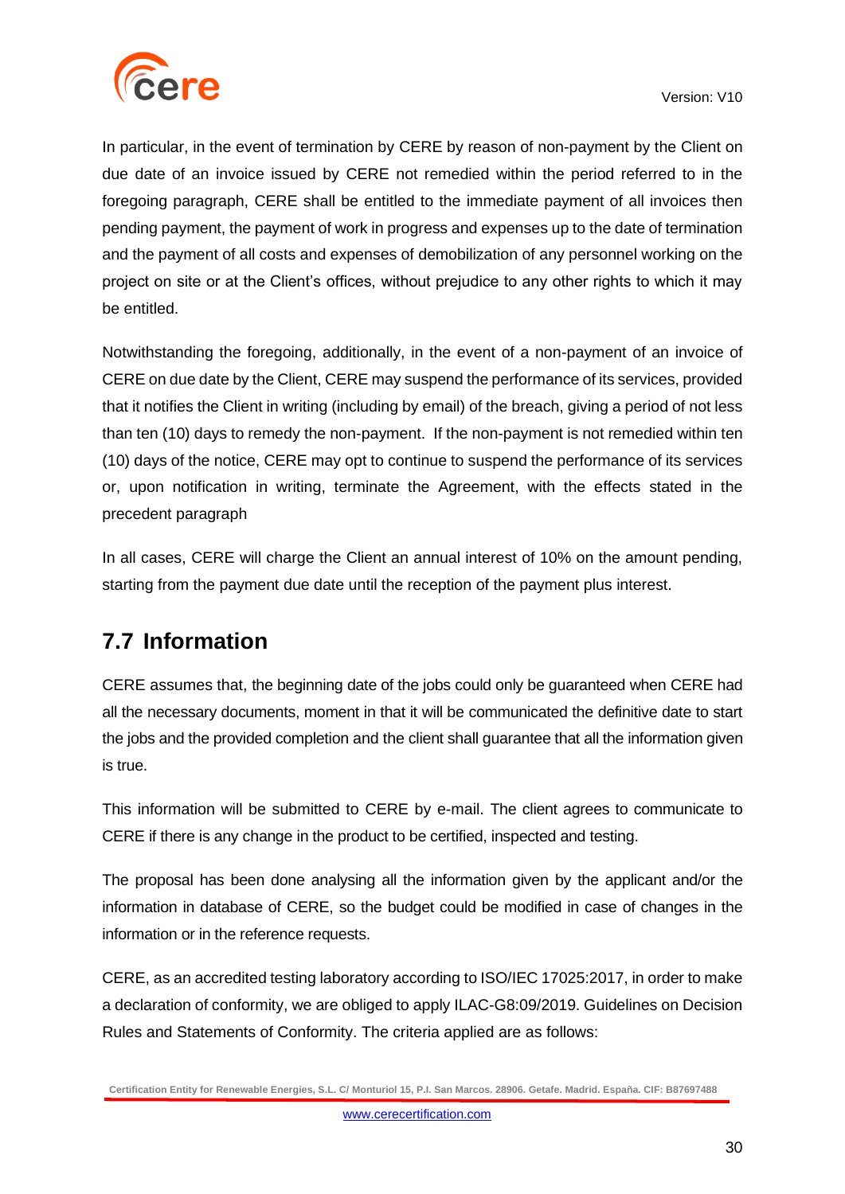

In particular, in the event of termination by CERE by reason of non-payment by the Client on due date of an invoice issued by CERE not remedied within the period referred to in the foregoing paragraph, CERE shall be entitled to the immediate payment of all invoices then pending payment, the payment of work in progress and expenses up to the date of termination and the payment of all costs and expenses of demobilization of any personnel working on the project on site or at the Client's offices, without prejudice to any other rights to which it may be entitled.

Notwithstanding the foregoing, additionally, in the event of a non-payment of an invoice of CERE on due date by the Client, CERE may suspend the performance of its services, provided that it notifies the Client in writing (including by email) of the breach, giving a period of not less than ten (10) days to remedy the non-payment. If the non-payment is not remedied within ten (10) days of the notice, CERE may opt to continue to suspend the performance of its services or, upon notification in writing, terminate the Agreement, with the effects stated in the precedent paragraph

In all cases, CERE will charge the Client an annual interest of 10% on the amount pending, starting from the payment due date until the reception of the payment plus interest.

## <span id="page-29-0"></span>**7.7 Information**

CERE assumes that, the beginning date of the jobs could only be guaranteed when CERE had all the necessary documents, moment in that it will be communicated the definitive date to start the jobs and the provided completion and the client shall guarantee that all the information given is true.

This information will be submitted to CERE by e-mail. The client agrees to communicate to CERE if there is any change in the product to be certified, inspected and testing.

The proposal has been done analysing all the information given by the applicant and/or the information in database of CERE, so the budget could be modified in case of changes in the information or in the reference requests.

CERE, as an accredited testing laboratory according to ISO/IEC 17025:2017, in order to make a declaration of conformity, we are obliged to apply ILAC-G8:09/2019. Guidelines on Decision Rules and Statements of Conformity. The criteria applied are as follows:

**Certification Entity for Renewable Energies, S.L. C/ Monturiol 15, P.I. San Marcos. 28906. Getafe. Madrid. España. CIF: B87697488**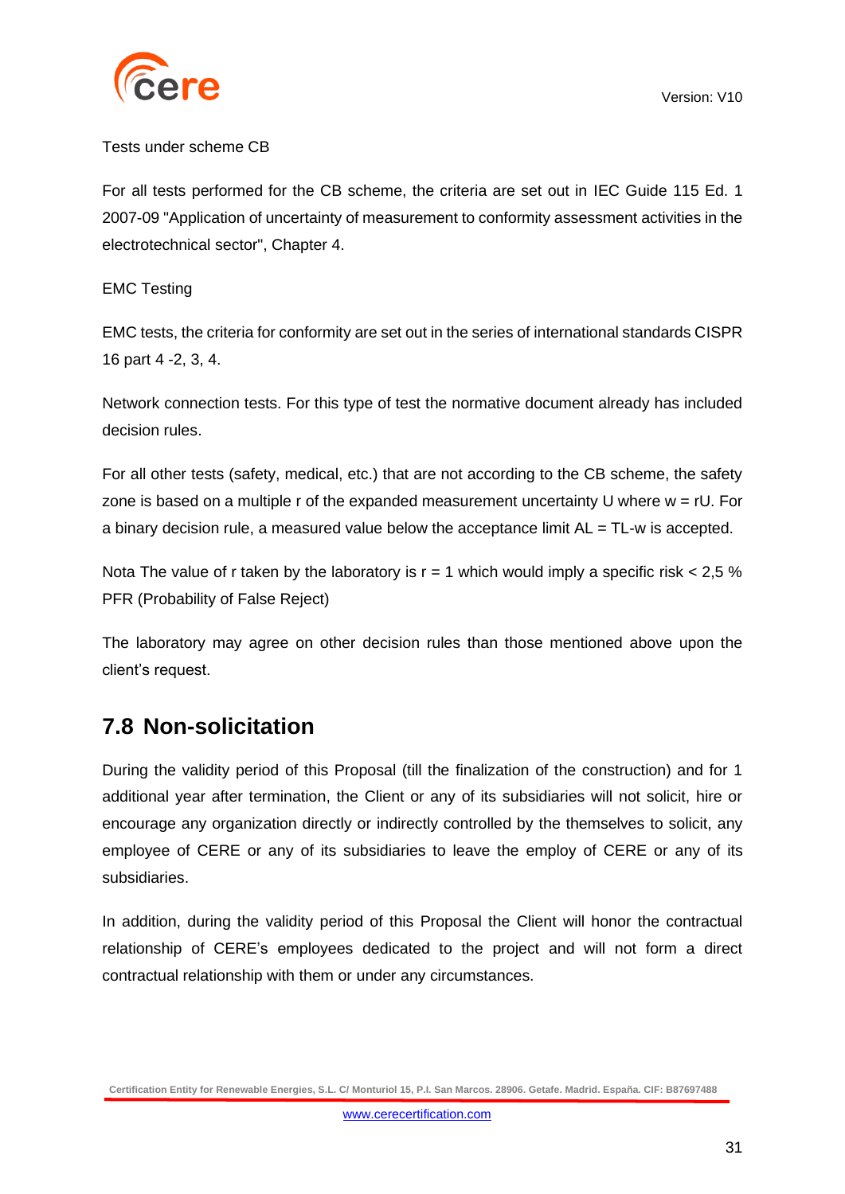

### Tests under scheme CB

For all tests performed for the CB scheme, the criteria are set out in IEC Guide 115 Ed. 1 2007-09 "Application of uncertainty of measurement to conformity assessment activities in the electrotechnical sector", Chapter 4.

### EMC Testing

EMC tests, the criteria for conformity are set out in the series of international standards CISPR 16 part 4 -2, 3, 4.

Network connection tests. For this type of test the normative document already has included decision rules.

For all other tests (safety, medical, etc.) that are not according to the CB scheme, the safety zone is based on a multiple r of the expanded measurement uncertainty U where  $w = rU$ . For a binary decision rule, a measured value below the acceptance limit  $AL = TL-w$  is accepted.

Nota The value of r taken by the laboratory is  $r = 1$  which would imply a specific risk  $< 2.5$  % PFR (Probability of False Reject)

The laboratory may agree on other decision rules than those mentioned above upon the client's request.

### <span id="page-30-0"></span>**7.8 Non-solicitation**

During the validity period of this Proposal (till the finalization of the construction) and for 1 additional year after termination, the Client or any of its subsidiaries will not solicit, hire or encourage any organization directly or indirectly controlled by the themselves to solicit, any employee of CERE or any of its subsidiaries to leave the employ of CERE or any of its subsidiaries.

In addition, during the validity period of this Proposal the Client will honor the contractual relationship of CERE's employees dedicated to the project and will not form a direct contractual relationship with them or under any circumstances.

**Certification Entity for Renewable Energies, S.L. C/ Monturiol 15, P.I. San Marcos. 28906. Getafe. Madrid. España. CIF: B87697488**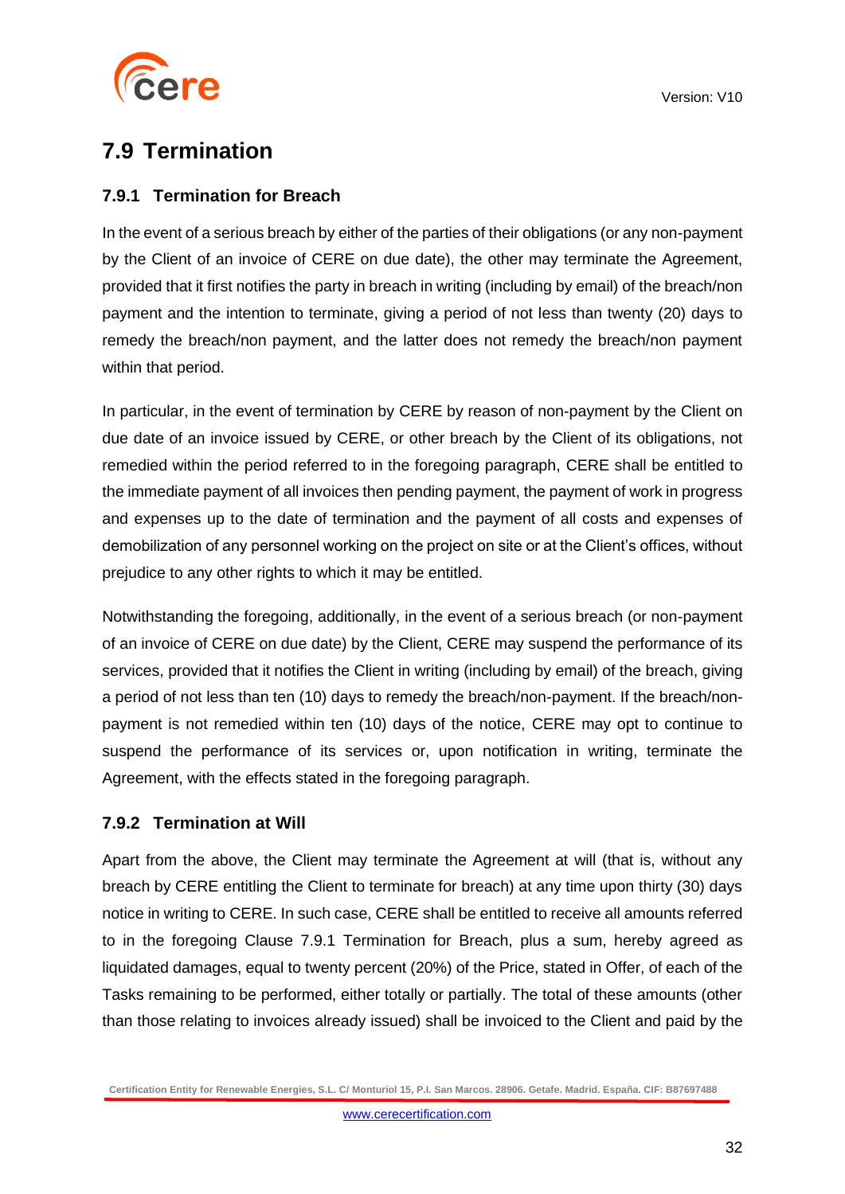

### <span id="page-31-0"></span>**7.9 Termination**

### <span id="page-31-1"></span>**7.9.1 Termination for Breach**

In the event of a serious breach by either of the parties of their obligations (or any non-payment by the Client of an invoice of CERE on due date), the other may terminate the Agreement, provided that it first notifies the party in breach in writing (including by email) of the breach/non payment and the intention to terminate, giving a period of not less than twenty (20) days to remedy the breach/non payment, and the latter does not remedy the breach/non payment within that period.

In particular, in the event of termination by CERE by reason of non-payment by the Client on due date of an invoice issued by CERE, or other breach by the Client of its obligations, not remedied within the period referred to in the foregoing paragraph, CERE shall be entitled to the immediate payment of all invoices then pending payment, the payment of work in progress and expenses up to the date of termination and the payment of all costs and expenses of demobilization of any personnel working on the project on site or at the Client's offices, without prejudice to any other rights to which it may be entitled.

Notwithstanding the foregoing, additionally, in the event of a serious breach (or non-payment of an invoice of CERE on due date) by the Client, CERE may suspend the performance of its services, provided that it notifies the Client in writing (including by email) of the breach, giving a period of not less than ten (10) days to remedy the breach/non-payment. If the breach/nonpayment is not remedied within ten (10) days of the notice, CERE may opt to continue to suspend the performance of its services or, upon notification in writing, terminate the Agreement, with the effects stated in the foregoing paragraph.

### <span id="page-31-2"></span>**7.9.2 Termination at Will**

Apart from the above, the Client may terminate the Agreement at will (that is, without any breach by CERE entitling the Client to terminate for breach) at any time upon thirty (30) days notice in writing to CERE. In such case, CERE shall be entitled to receive all amounts referred to in the foregoing Clause 7.9.1 Termination for Breach, plus a sum, hereby agreed as liquidated damages, equal to twenty percent (20%) of the Price, stated in Offer, of each of the Tasks remaining to be performed, either totally or partially. The total of these amounts (other than those relating to invoices already issued) shall be invoiced to the Client and paid by the

**Certification Entity for Renewable Energies, S.L. C/ Monturiol 15, P.I. San Marcos. 28906. Getafe. Madrid. España. CIF: B87697488**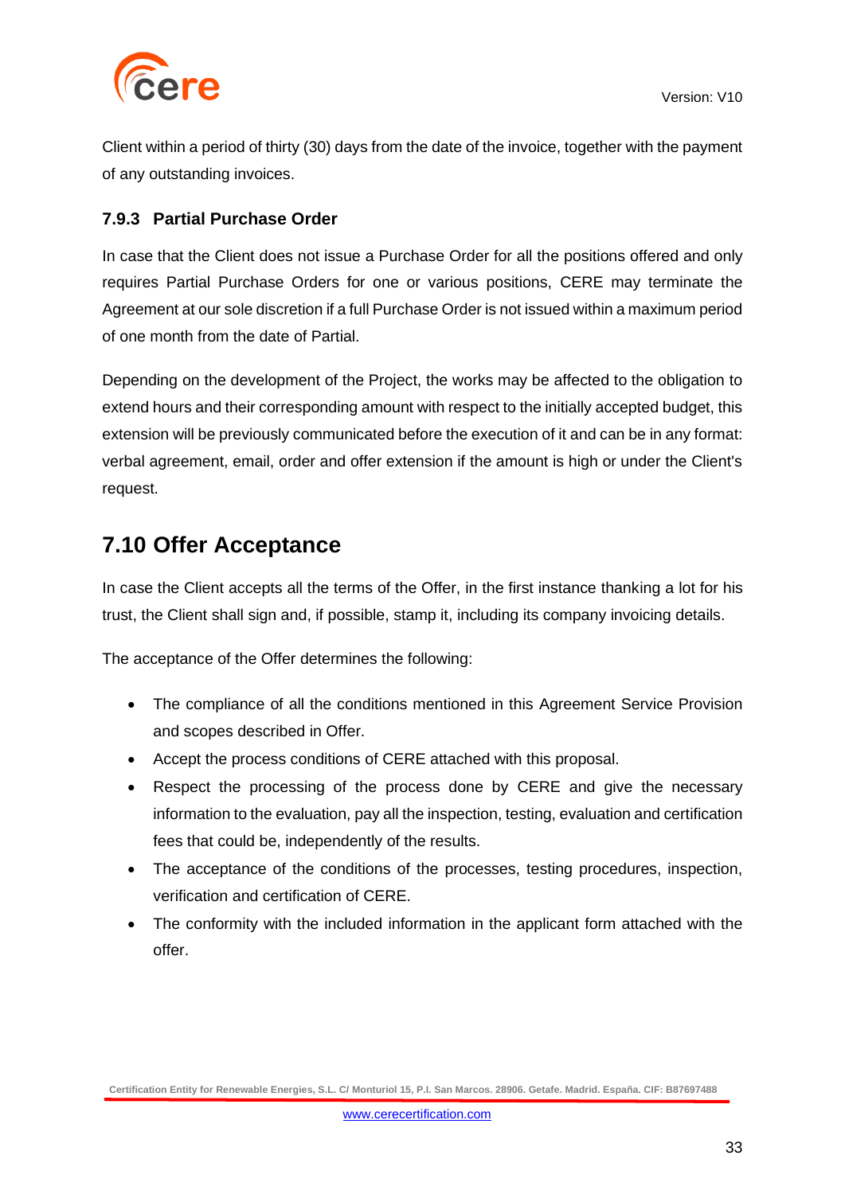

Client within a period of thirty (30) days from the date of the invoice, together with the payment of any outstanding invoices.

### <span id="page-32-0"></span>**7.9.3 Partial Purchase Order**

In case that the Client does not issue a Purchase Order for all the positions offered and only requires Partial Purchase Orders for one or various positions, CERE may terminate the Agreement at our sole discretion if a full Purchase Order is not issued within a maximum period of one month from the date of Partial.

Depending on the development of the Project, the works may be affected to the obligation to extend hours and their corresponding amount with respect to the initially accepted budget, this extension will be previously communicated before the execution of it and can be in any format: verbal agreement, email, order and offer extension if the amount is high or under the Client's request.

### <span id="page-32-1"></span>**7.10 Offer Acceptance**

In case the Client accepts all the terms of the Offer, in the first instance thanking a lot for his trust, the Client shall sign and, if possible, stamp it, including its company invoicing details.

The acceptance of the Offer determines the following:

- The compliance of all the conditions mentioned in this Agreement Service Provision and scopes described in Offer.
- Accept the process conditions of CERE attached with this proposal.
- Respect the processing of the process done by CERE and give the necessary information to the evaluation, pay all the inspection, testing, evaluation and certification fees that could be, independently of the results.
- The acceptance of the conditions of the processes, testing procedures, inspection, verification and certification of CERE.
- The conformity with the included information in the applicant form attached with the offer.

**Certification Entity for Renewable Energies, S.L. C/ Monturiol 15, P.I. San Marcos. 28906. Getafe. Madrid. España. CIF: B87697488**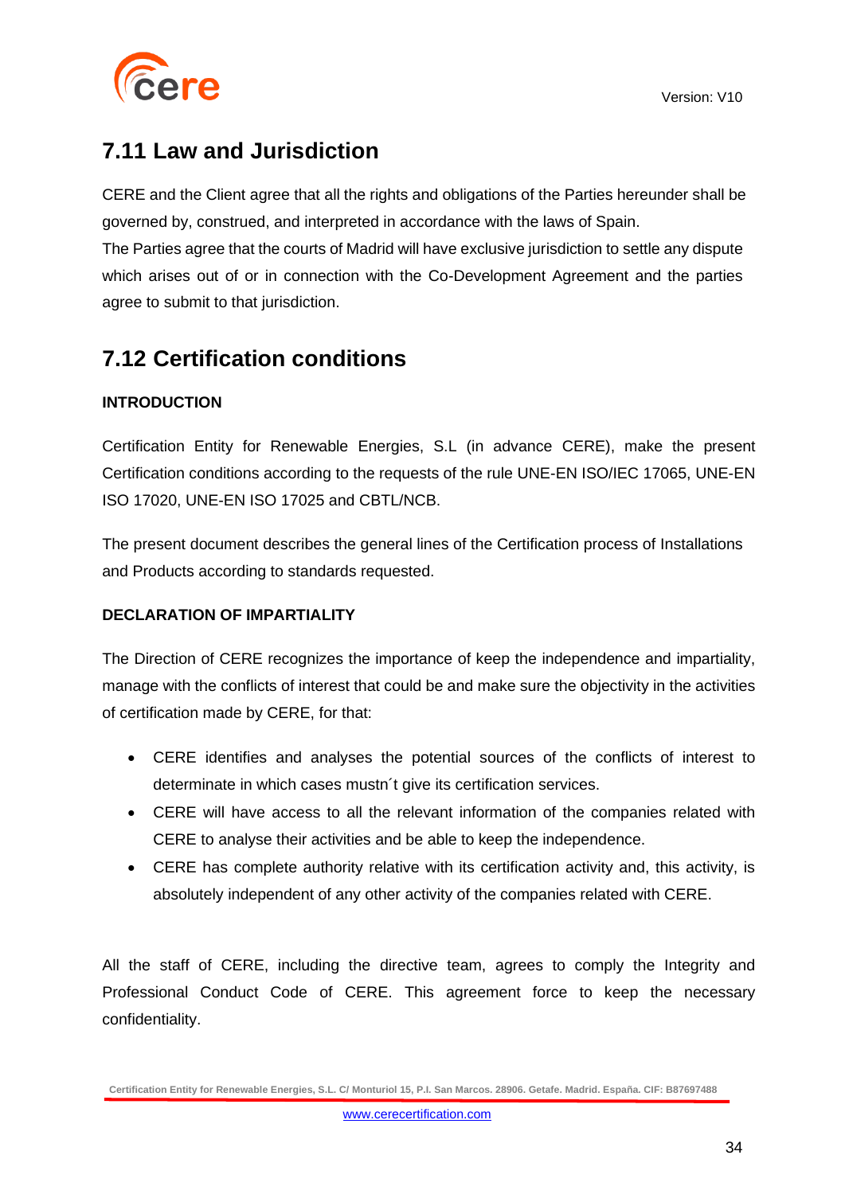

### <span id="page-33-0"></span>**7.11 Law and Jurisdiction**

CERE and the Client agree that all the rights and obligations of the Parties hereunder shall be governed by, construed, and interpreted in accordance with the laws of Spain.

The Parties agree that the courts of Madrid will have exclusive jurisdiction to settle any dispute which arises out of or in connection with the Co-Development Agreement and the parties agree to submit to that jurisdiction.

### <span id="page-33-1"></span>**7.12 Certification conditions**

### **INTRODUCTION**

Certification Entity for Renewable Energies, S.L (in advance CERE), make the present Certification conditions according to the requests of the rule UNE-EN ISO/IEC 17065, UNE-EN ISO 17020, UNE-EN ISO 17025 and CBTL/NCB.

The present document describes the general lines of the Certification process of Installations and Products according to standards requested.

### **DECLARATION OF IMPARTIALITY**

The Direction of CERE recognizes the importance of keep the independence and impartiality, manage with the conflicts of interest that could be and make sure the objectivity in the activities of certification made by CERE, for that:

- CERE identifies and analyses the potential sources of the conflicts of interest to determinate in which cases mustn´t give its certification services.
- CERE will have access to all the relevant information of the companies related with CERE to analyse their activities and be able to keep the independence.
- CERE has complete authority relative with its certification activity and, this activity, is absolutely independent of any other activity of the companies related with CERE.

All the staff of CERE, including the directive team, agrees to comply the Integrity and Professional Conduct Code of CERE. This agreement force to keep the necessary confidentiality.

**Certification Entity for Renewable Energies, S.L. C/ Monturiol 15, P.I. San Marcos. 28906. Getafe. Madrid. España. CIF: B87697488**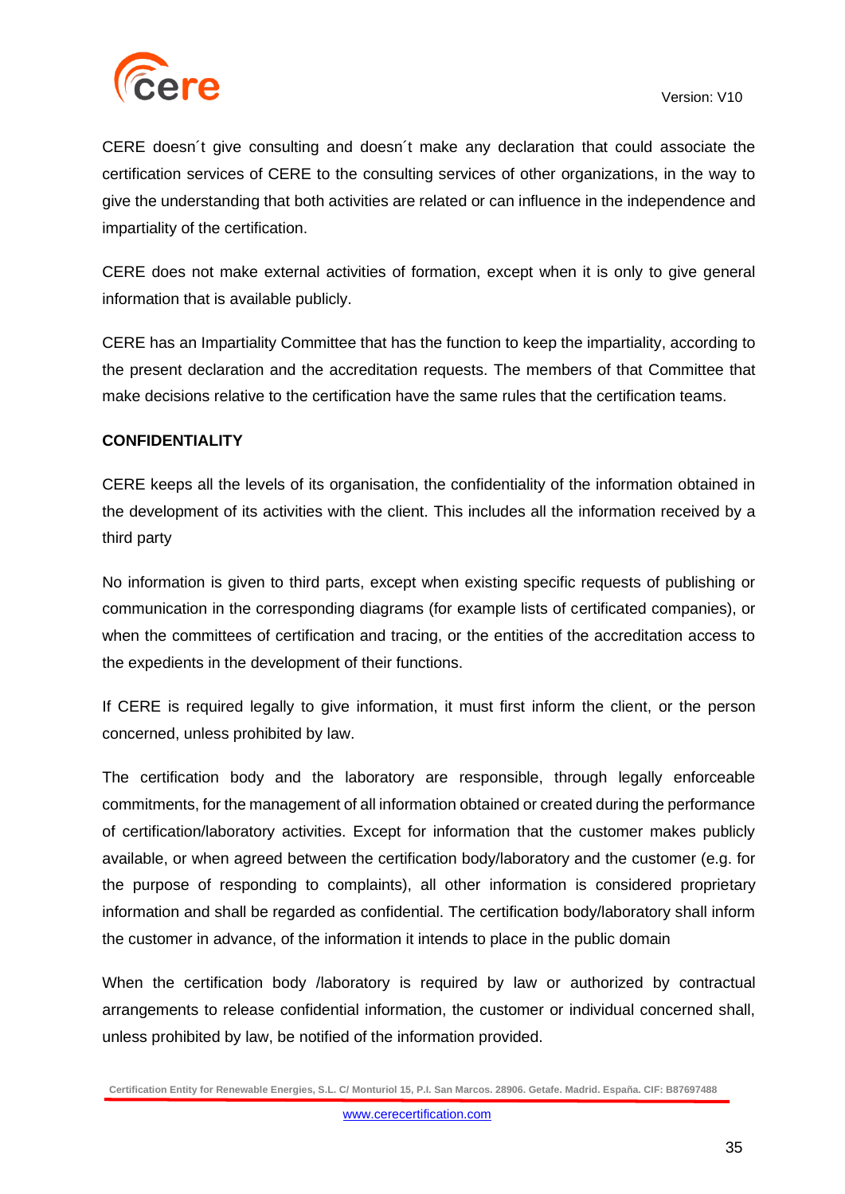

CERE doesn´t give consulting and doesn´t make any declaration that could associate the certification services of CERE to the consulting services of other organizations, in the way to give the understanding that both activities are related or can influence in the independence and impartiality of the certification.

CERE does not make external activities of formation, except when it is only to give general information that is available publicly.

CERE has an Impartiality Committee that has the function to keep the impartiality, according to the present declaration and the accreditation requests. The members of that Committee that make decisions relative to the certification have the same rules that the certification teams.

### **CONFIDENTIALITY**

CERE keeps all the levels of its organisation, the confidentiality of the information obtained in the development of its activities with the client. This includes all the information received by a third party

No information is given to third parts, except when existing specific requests of publishing or communication in the corresponding diagrams (for example lists of certificated companies), or when the committees of certification and tracing, or the entities of the accreditation access to the expedients in the development of their functions.

If CERE is required legally to give information, it must first inform the client, or the person concerned, unless prohibited by law.

The certification body and the laboratory are responsible, through legally enforceable commitments, for the management of all information obtained or created during the performance of certification/laboratory activities. Except for information that the customer makes publicly available, or when agreed between the certification body/laboratory and the customer (e.g. for the purpose of responding to complaints), all other information is considered proprietary information and shall be regarded as confidential. The certification body/laboratory shall inform the customer in advance, of the information it intends to place in the public domain

When the certification body /laboratory is required by law or authorized by contractual arrangements to release confidential information, the customer or individual concerned shall, unless prohibited by law, be notified of the information provided.

**Certification Entity for Renewable Energies, S.L. C/ Monturiol 15, P.I. San Marcos. 28906. Getafe. Madrid. España. CIF: B87697488**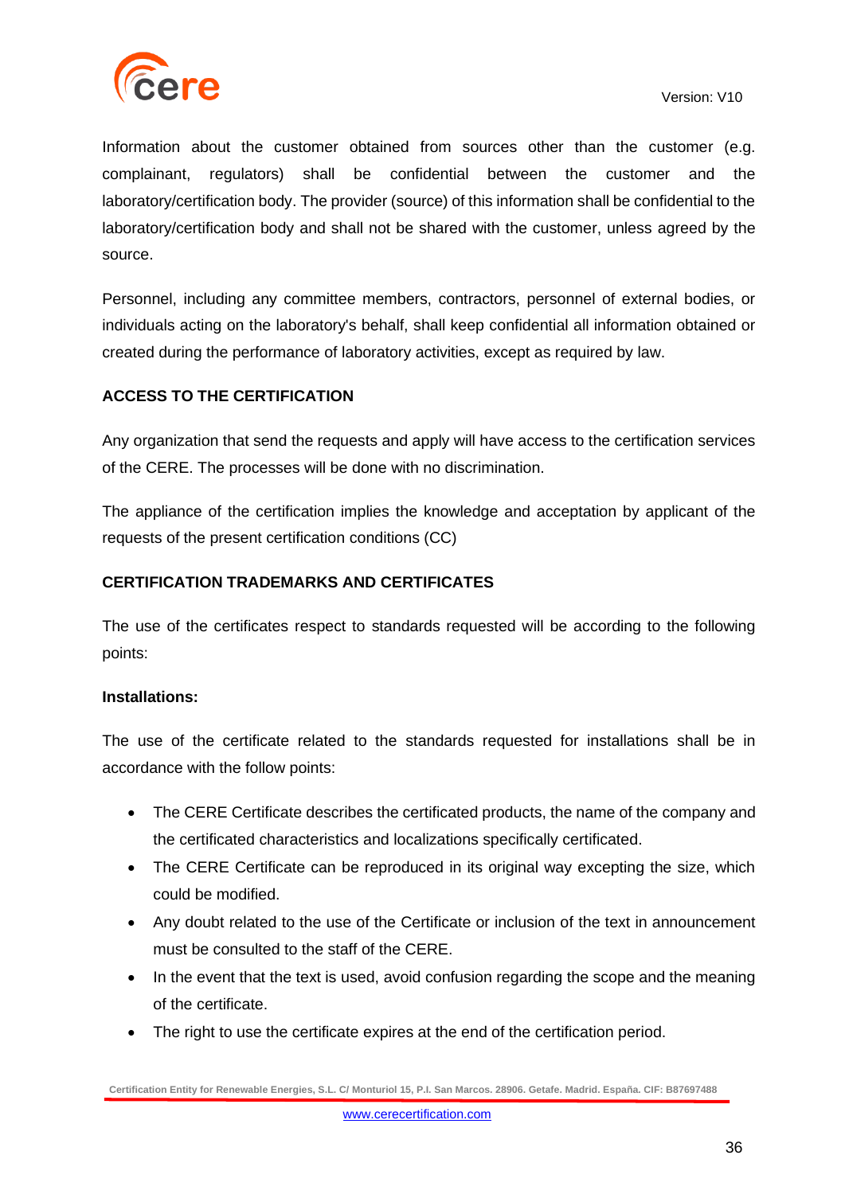

Information about the customer obtained from sources other than the customer (e.g. complainant, regulators) shall be confidential between the customer and the laboratory/certification body. The provider (source) of this information shall be confidential to the laboratory/certification body and shall not be shared with the customer, unless agreed by the source.

Personnel, including any committee members, contractors, personnel of external bodies, or individuals acting on the laboratory's behalf, shall keep confidential all information obtained or created during the performance of laboratory activities, except as required by law.

### **ACCESS TO THE CERTIFICATION**

Any organization that send the requests and apply will have access to the certification services of the CERE. The processes will be done with no discrimination.

The appliance of the certification implies the knowledge and acceptation by applicant of the requests of the present certification conditions (CC)

### **CERTIFICATION TRADEMARKS AND CERTIFICATES**

The use of the certificates respect to standards requested will be according to the following points:

#### **Installations:**

The use of the certificate related to the standards requested for installations shall be in accordance with the follow points:

- The CERE Certificate describes the certificated products, the name of the company and the certificated characteristics and localizations specifically certificated.
- The CERE Certificate can be reproduced in its original way excepting the size, which could be modified.
- Any doubt related to the use of the Certificate or inclusion of the text in announcement must be consulted to the staff of the CERE.
- In the event that the text is used, avoid confusion regarding the scope and the meaning of the certificate.
- The right to use the certificate expires at the end of the certification period.

**Certification Entity for Renewable Energies, S.L. C/ Monturiol 15, P.I. San Marcos. 28906. Getafe. Madrid. España. CIF: B87697488**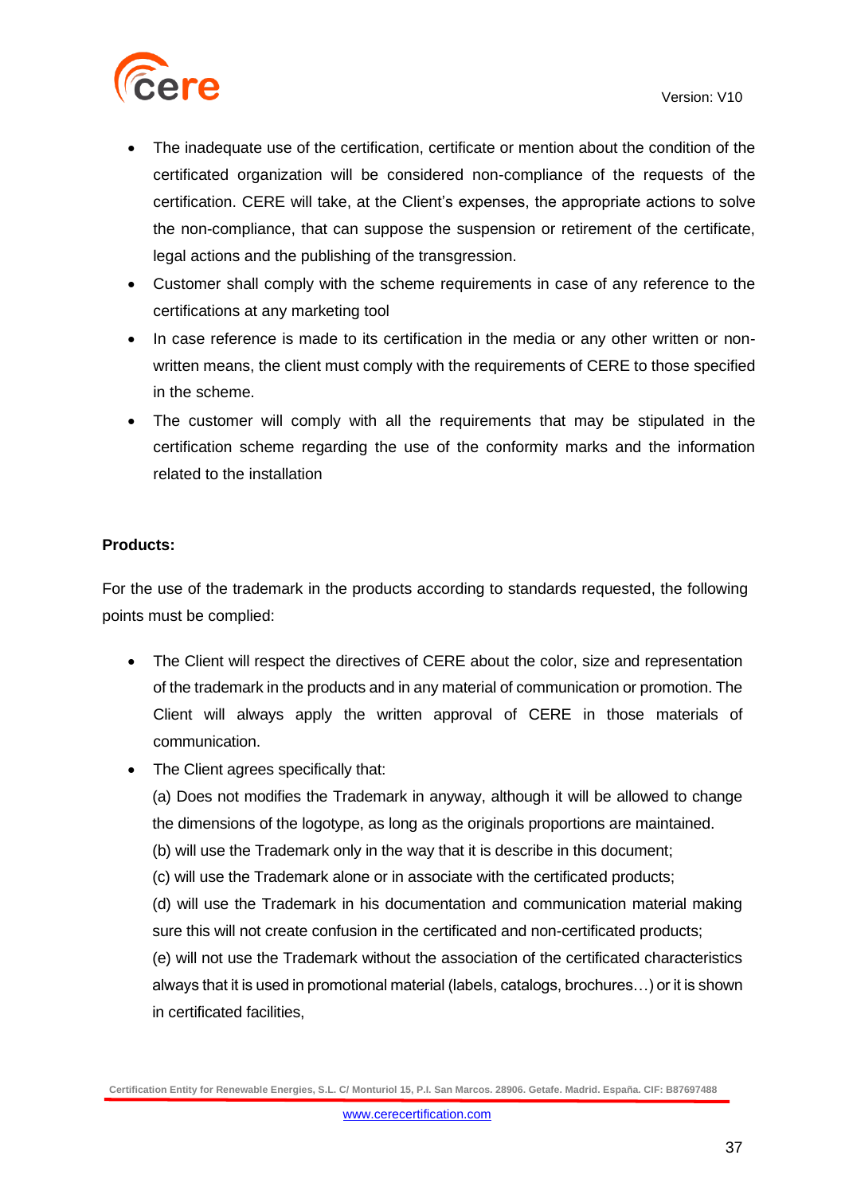

- The inadequate use of the certification, certificate or mention about the condition of the certificated organization will be considered non-compliance of the requests of the certification. CERE will take, at the Client's expenses, the appropriate actions to solve the non-compliance, that can suppose the suspension or retirement of the certificate, legal actions and the publishing of the transgression.
- Customer shall comply with the scheme requirements in case of any reference to the certifications at any marketing tool
- In case reference is made to its certification in the media or any other written or nonwritten means, the client must comply with the requirements of CERE to those specified in the scheme.
- The customer will comply with all the requirements that may be stipulated in the certification scheme regarding the use of the conformity marks and the information related to the installation

#### **Products:**

For the use of the trademark in the products according to standards requested, the following points must be complied:

- The Client will respect the directives of CERE about the color, size and representation of the trademark in the products and in any material of communication or promotion. The Client will always apply the written approval of CERE in those materials of communication.
- The Client agrees specifically that:

(a) Does not modifies the Trademark in anyway, although it will be allowed to change the dimensions of the logotype, as long as the originals proportions are maintained.

- (b) will use the Trademark only in the way that it is describe in this document;
- (c) will use the Trademark alone or in associate with the certificated products;

(d) will use the Trademark in his documentation and communication material making sure this will not create confusion in the certificated and non-certificated products;

(e) will not use the Trademark without the association of the certificated characteristics always that it is used in promotional material (labels, catalogs, brochures…) or it is shown in certificated facilities,

**Certification Entity for Renewable Energies, S.L. C/ Monturiol 15, P.I. San Marcos. 28906. Getafe. Madrid. España. CIF: B87697488**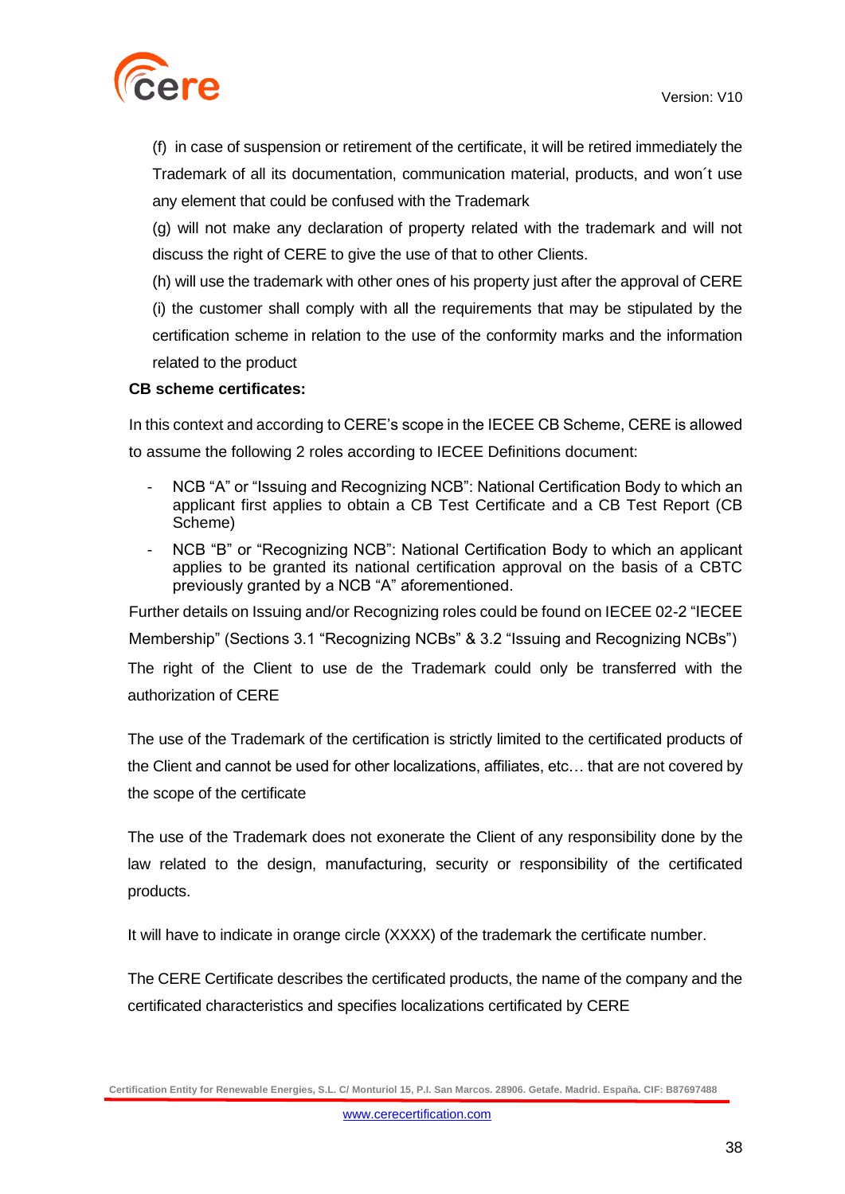

(f) in case of suspension or retirement of the certificate, it will be retired immediately the Trademark of all its documentation, communication material, products, and won´t use any element that could be confused with the Trademark

(g) will not make any declaration of property related with the trademark and will not discuss the right of CERE to give the use of that to other Clients.

(h) will use the trademark with other ones of his property just after the approval of CERE (i) the customer shall comply with all the requirements that may be stipulated by the certification scheme in relation to the use of the conformity marks and the information related to the product

#### **CB scheme certificates:**

In this context and according to CERE's scope in the IECEE CB Scheme, CERE is allowed to assume the following 2 roles according to IECEE Definitions document:

- NCB "A" or "Issuing and Recognizing NCB": National Certification Body to which an applicant first applies to obtain a CB Test Certificate and a CB Test Report (CB Scheme)
- NCB "B" or "Recognizing NCB": National Certification Body to which an applicant applies to be granted its national certification approval on the basis of a CBTC previously granted by a NCB "A" aforementioned.

Further details on Issuing and/or Recognizing roles could be found on IECEE 02-2 "IECEE Membership" (Sections 3.1 "Recognizing NCBs" & 3.2 "Issuing and Recognizing NCBs")

The right of the Client to use de the Trademark could only be transferred with the authorization of CERE

The use of the Trademark of the certification is strictly limited to the certificated products of the Client and cannot be used for other localizations, affiliates, etc… that are not covered by the scope of the certificate

The use of the Trademark does not exonerate the Client of any responsibility done by the law related to the design, manufacturing, security or responsibility of the certificated products.

It will have to indicate in orange circle (XXXX) of the trademark the certificate number.

The CERE Certificate describes the certificated products, the name of the company and the certificated characteristics and specifies localizations certificated by CERE

**Certification Entity for Renewable Energies, S.L. C/ Monturiol 15, P.I. San Marcos. 28906. Getafe. Madrid. España. CIF: B87697488**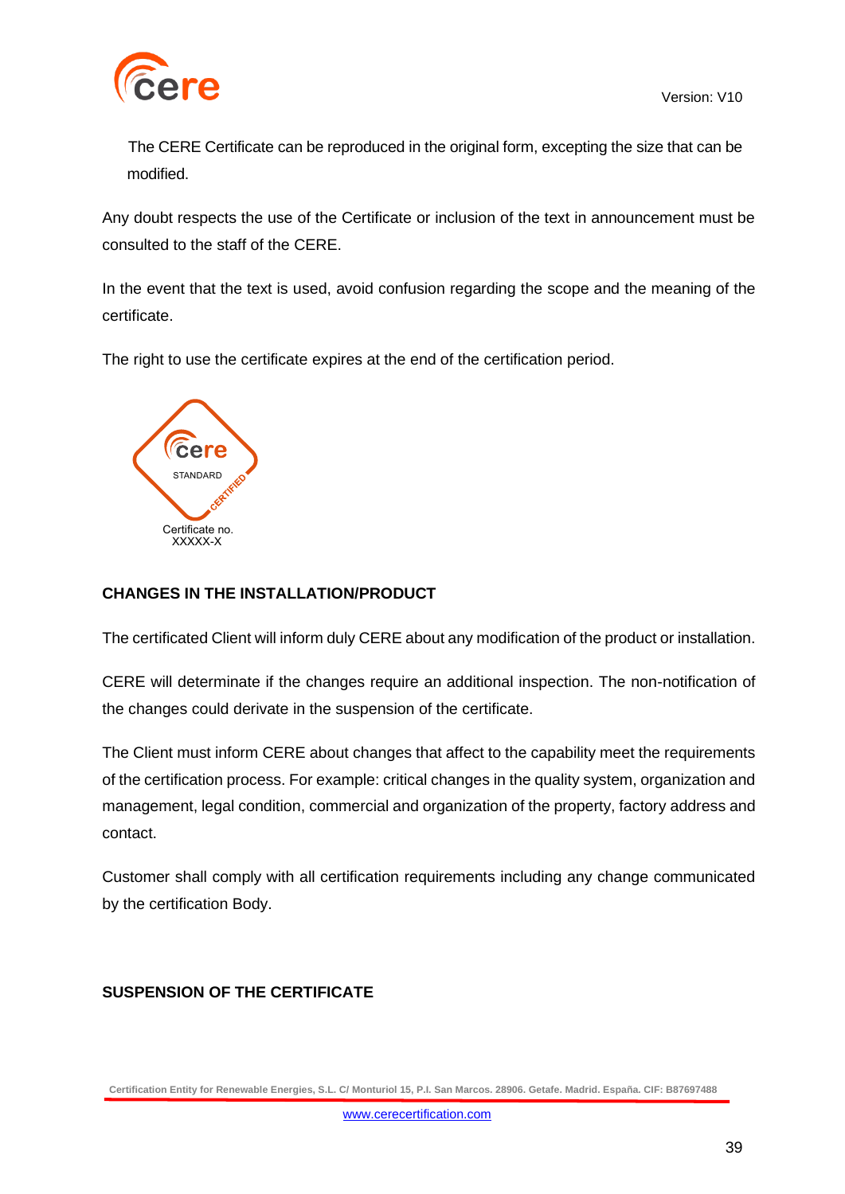

The CERE Certificate can be reproduced in the original form, excepting the size that can be modified.

Any doubt respects the use of the Certificate or inclusion of the text in announcement must be consulted to the staff of the CERE.

In the event that the text is used, avoid confusion regarding the scope and the meaning of the certificate.

The right to use the certificate expires at the end of the certification period.



### **CHANGES IN THE INSTALLATION/PRODUCT**

The certificated Client will inform duly CERE about any modification of the product or installation.

CERE will determinate if the changes require an additional inspection. The non-notification of the changes could derivate in the suspension of the certificate.

The Client must inform CERE about changes that affect to the capability meet the requirements of the certification process. For example: critical changes in the quality system, organization and management, legal condition, commercial and organization of the property, factory address and contact.

Customer shall comply with all certification requirements including any change communicated by the certification Body.

### **SUSPENSION OF THE CERTIFICATE**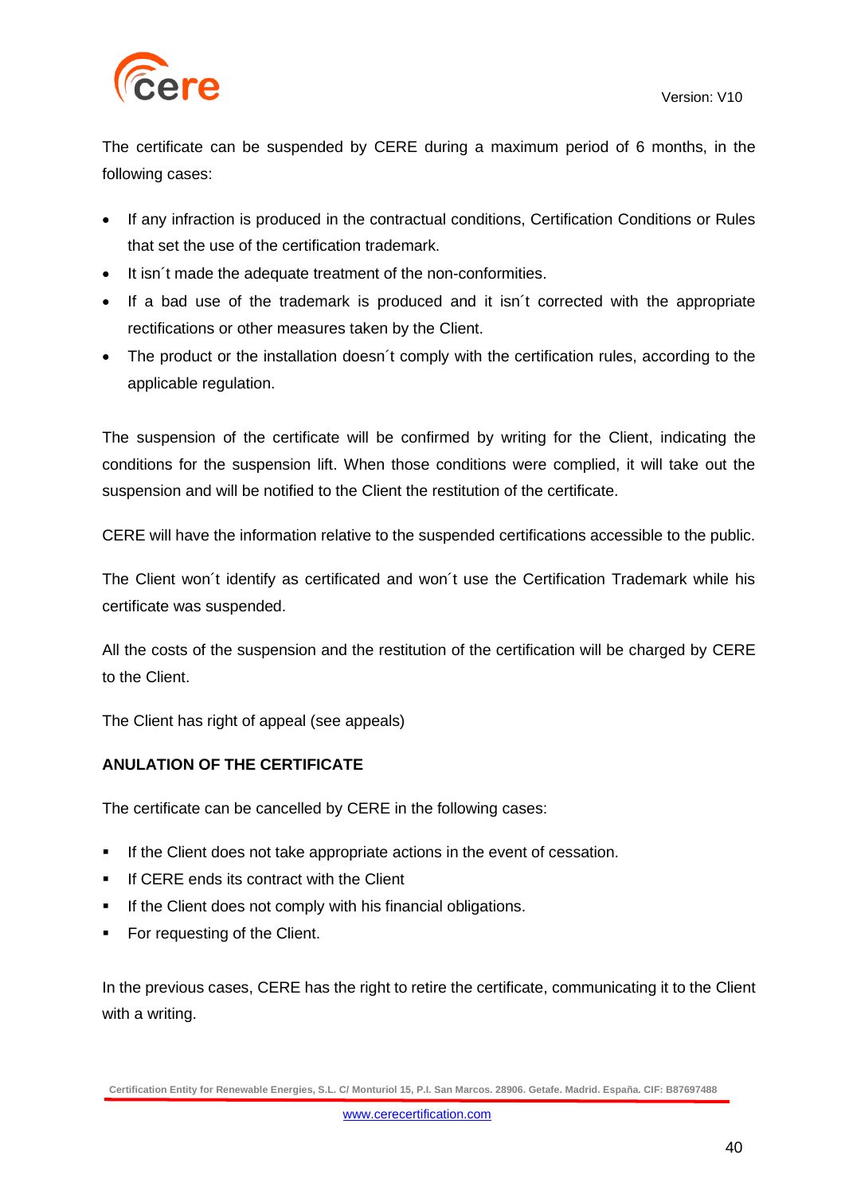

The certificate can be suspended by CERE during a maximum period of 6 months, in the following cases:

- If any infraction is produced in the contractual conditions, Certification Conditions or Rules that set the use of the certification trademark.
- It isn´t made the adequate treatment of the non-conformities.
- If a bad use of the trademark is produced and it isn´t corrected with the appropriate rectifications or other measures taken by the Client.
- The product or the installation doesn't comply with the certification rules, according to the applicable regulation.

The suspension of the certificate will be confirmed by writing for the Client, indicating the conditions for the suspension lift. When those conditions were complied, it will take out the suspension and will be notified to the Client the restitution of the certificate.

CERE will have the information relative to the suspended certifications accessible to the public.

The Client won´t identify as certificated and won´t use the Certification Trademark while his certificate was suspended.

All the costs of the suspension and the restitution of the certification will be charged by CERE to the Client.

The Client has right of appeal (see appeals)

### **ANULATION OF THE CERTIFICATE**

The certificate can be cancelled by CERE in the following cases:

- **•** If the Client does not take appropriate actions in the event of cessation.
- **.** If CERE ends its contract with the Client
- **.** If the Client does not comply with his financial obligations.
- For requesting of the Client.

In the previous cases, CERE has the right to retire the certificate, communicating it to the Client with a writing.

**Certification Entity for Renewable Energies, S.L. C/ Monturiol 15, P.I. San Marcos. 28906. Getafe. Madrid. España. CIF: B87697488**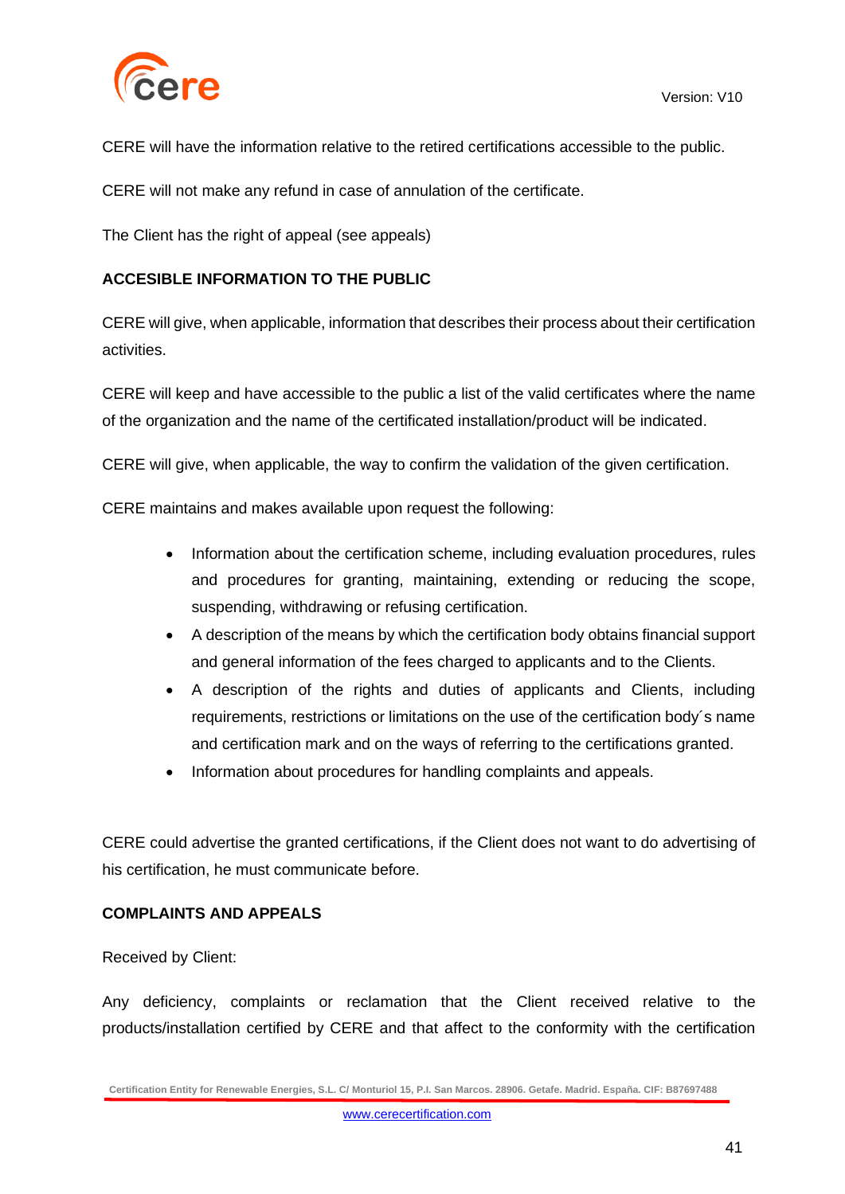

CERE will have the information relative to the retired certifications accessible to the public.

CERE will not make any refund in case of annulation of the certificate.

The Client has the right of appeal (see appeals)

### **ACCESIBLE INFORMATION TO THE PUBLIC**

CERE will give, when applicable, information that describes their process about their certification activities.

CERE will keep and have accessible to the public a list of the valid certificates where the name of the organization and the name of the certificated installation/product will be indicated.

CERE will give, when applicable, the way to confirm the validation of the given certification.

CERE maintains and makes available upon request the following:

- Information about the certification scheme, including evaluation procedures, rules and procedures for granting, maintaining, extending or reducing the scope, suspending, withdrawing or refusing certification.
- A description of the means by which the certification body obtains financial support and general information of the fees charged to applicants and to the Clients.
- A description of the rights and duties of applicants and Clients, including requirements, restrictions or limitations on the use of the certification body´s name and certification mark and on the ways of referring to the certifications granted.
- Information about procedures for handling complaints and appeals.

CERE could advertise the granted certifications, if the Client does not want to do advertising of his certification, he must communicate before.

#### **COMPLAINTS AND APPEALS**

#### Received by Client:

Any deficiency, complaints or reclamation that the Client received relative to the products/installation certified by CERE and that affect to the conformity with the certification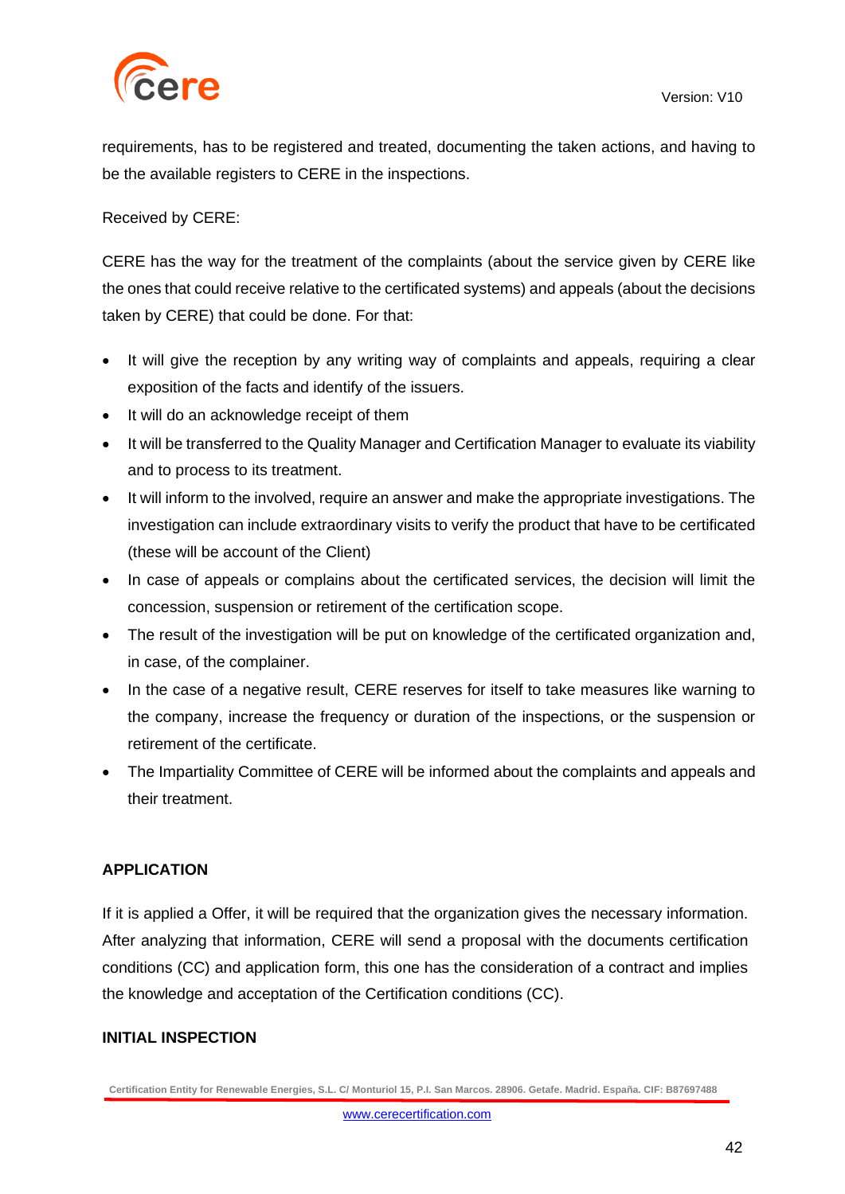

requirements, has to be registered and treated, documenting the taken actions, and having to be the available registers to CERE in the inspections.

Received by CERE:

CERE has the way for the treatment of the complaints (about the service given by CERE like the ones that could receive relative to the certificated systems) and appeals (about the decisions taken by CERE) that could be done. For that:

- It will give the reception by any writing way of complaints and appeals, requiring a clear exposition of the facts and identify of the issuers.
- It will do an acknowledge receipt of them
- It will be transferred to the Quality Manager and Certification Manager to evaluate its viability and to process to its treatment.
- It will inform to the involved, require an answer and make the appropriate investigations. The investigation can include extraordinary visits to verify the product that have to be certificated (these will be account of the Client)
- In case of appeals or complains about the certificated services, the decision will limit the concession, suspension or retirement of the certification scope.
- The result of the investigation will be put on knowledge of the certificated organization and, in case, of the complainer.
- In the case of a negative result, CERE reserves for itself to take measures like warning to the company, increase the frequency or duration of the inspections, or the suspension or retirement of the certificate.
- The Impartiality Committee of CERE will be informed about the complaints and appeals and their treatment.

### **APPLICATION**

If it is applied a Offer, it will be required that the organization gives the necessary information. After analyzing that information, CERE will send a proposal with the documents certification conditions (CC) and application form, this one has the consideration of a contract and implies the knowledge and acceptation of the Certification conditions (CC).

### **INITIAL INSPECTION**

**Certification Entity for Renewable Energies, S.L. C/ Monturiol 15, P.I. San Marcos. 28906. Getafe. Madrid. España. CIF: B87697488**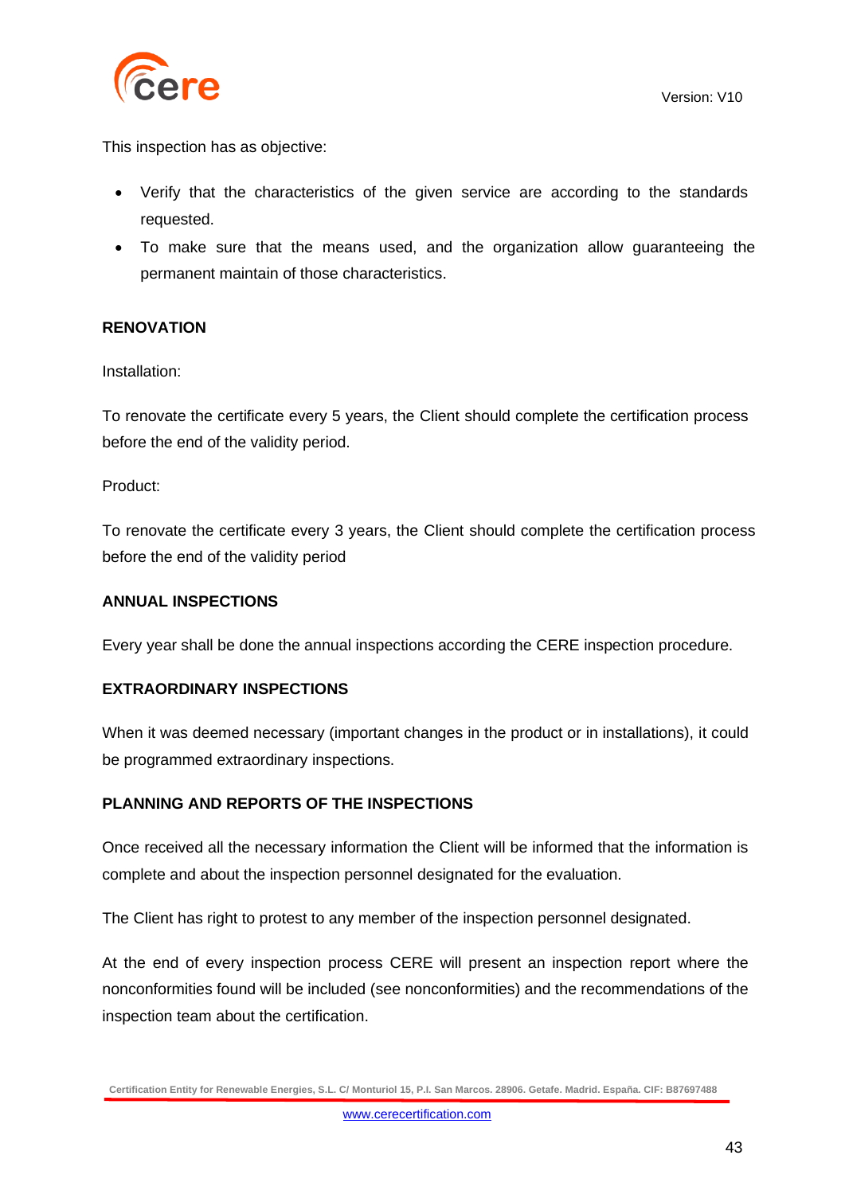

This inspection has as objective:

- Verify that the characteristics of the given service are according to the standards requested.
- To make sure that the means used, and the organization allow guaranteeing the permanent maintain of those characteristics.

#### **RENOVATION**

Installation:

To renovate the certificate every 5 years, the Client should complete the certification process before the end of the validity period.

Product:

To renovate the certificate every 3 years, the Client should complete the certification process before the end of the validity period

#### **ANNUAL INSPECTIONS**

Every year shall be done the annual inspections according the CERE inspection procedure.

#### **EXTRAORDINARY INSPECTIONS**

When it was deemed necessary (important changes in the product or in installations), it could be programmed extraordinary inspections.

### **PLANNING AND REPORTS OF THE INSPECTIONS**

Once received all the necessary information the Client will be informed that the information is complete and about the inspection personnel designated for the evaluation.

The Client has right to protest to any member of the inspection personnel designated.

At the end of every inspection process CERE will present an inspection report where the nonconformities found will be included (see nonconformities) and the recommendations of the inspection team about the certification.

**Certification Entity for Renewable Energies, S.L. C/ Monturiol 15, P.I. San Marcos. 28906. Getafe. Madrid. España. CIF: B87697488**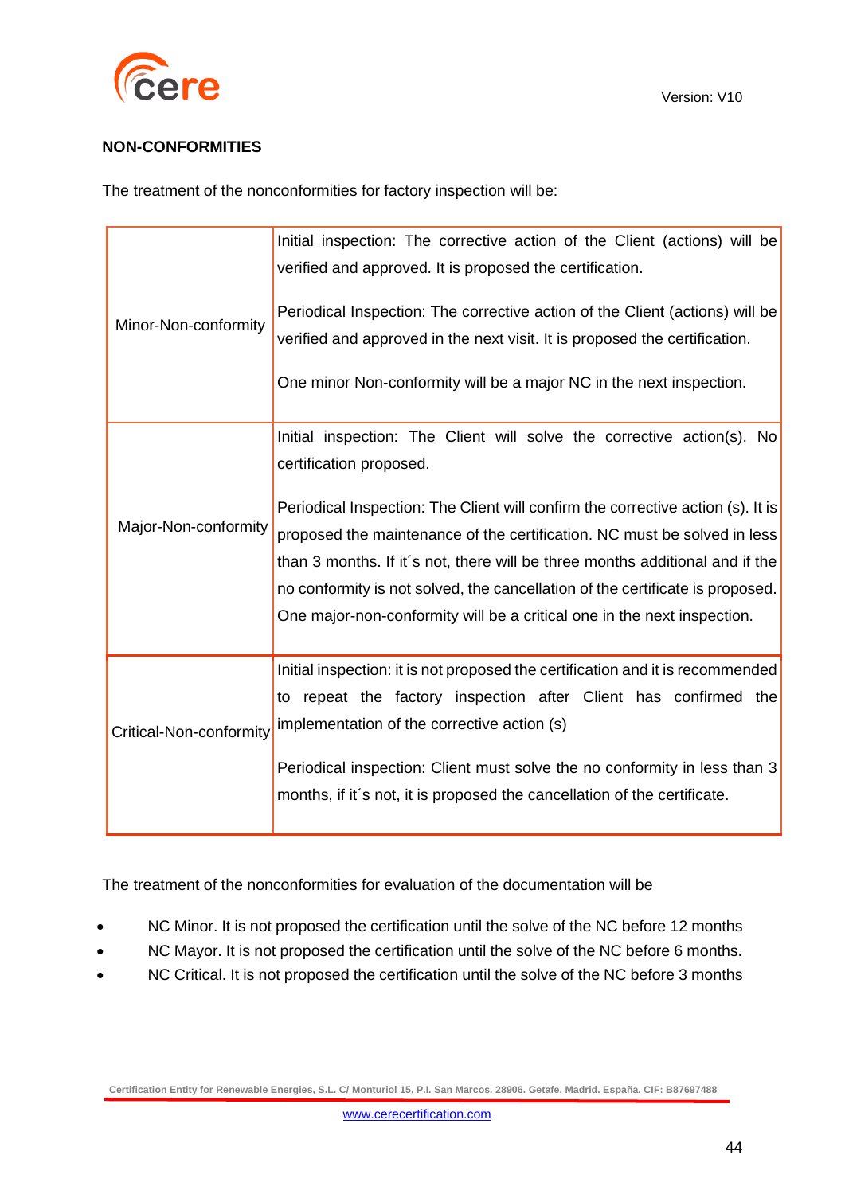

### **NON-CONFORMITIES**

The treatment of the nonconformities for factory inspection will be:

| Minor-Non-conformity    | Initial inspection: The corrective action of the Client (actions) will be<br>verified and approved. It is proposed the certification.<br>Periodical Inspection: The corrective action of the Client (actions) will be<br>verified and approved in the next visit. It is proposed the certification.                                                                                                                                                                                                          |
|-------------------------|--------------------------------------------------------------------------------------------------------------------------------------------------------------------------------------------------------------------------------------------------------------------------------------------------------------------------------------------------------------------------------------------------------------------------------------------------------------------------------------------------------------|
|                         | One minor Non-conformity will be a major NC in the next inspection.                                                                                                                                                                                                                                                                                                                                                                                                                                          |
| Major-Non-conformity    | Initial inspection: The Client will solve the corrective action(s). No<br>certification proposed.<br>Periodical Inspection: The Client will confirm the corrective action (s). It is<br>proposed the maintenance of the certification. NC must be solved in less<br>than 3 months. If it's not, there will be three months additional and if the<br>no conformity is not solved, the cancellation of the certificate is proposed.<br>One major-non-conformity will be a critical one in the next inspection. |
| Critical-Non-conformity | Initial inspection: it is not proposed the certification and it is recommended<br>to repeat the factory inspection after Client has confirmed the<br>implementation of the corrective action (s)<br>Periodical inspection: Client must solve the no conformity in less than 3<br>months, if it's not, it is proposed the cancellation of the certificate.                                                                                                                                                    |

The treatment of the nonconformities for evaluation of the documentation will be

- NC Minor. It is not proposed the certification until the solve of the NC before 12 months
- NC Mayor. It is not proposed the certification until the solve of the NC before 6 months.
- NC Critical. It is not proposed the certification until the solve of the NC before 3 months

**Certification Entity for Renewable Energies, S.L. C/ Monturiol 15, P.I. San Marcos. 28906. Getafe. Madrid. España. CIF: B87697488**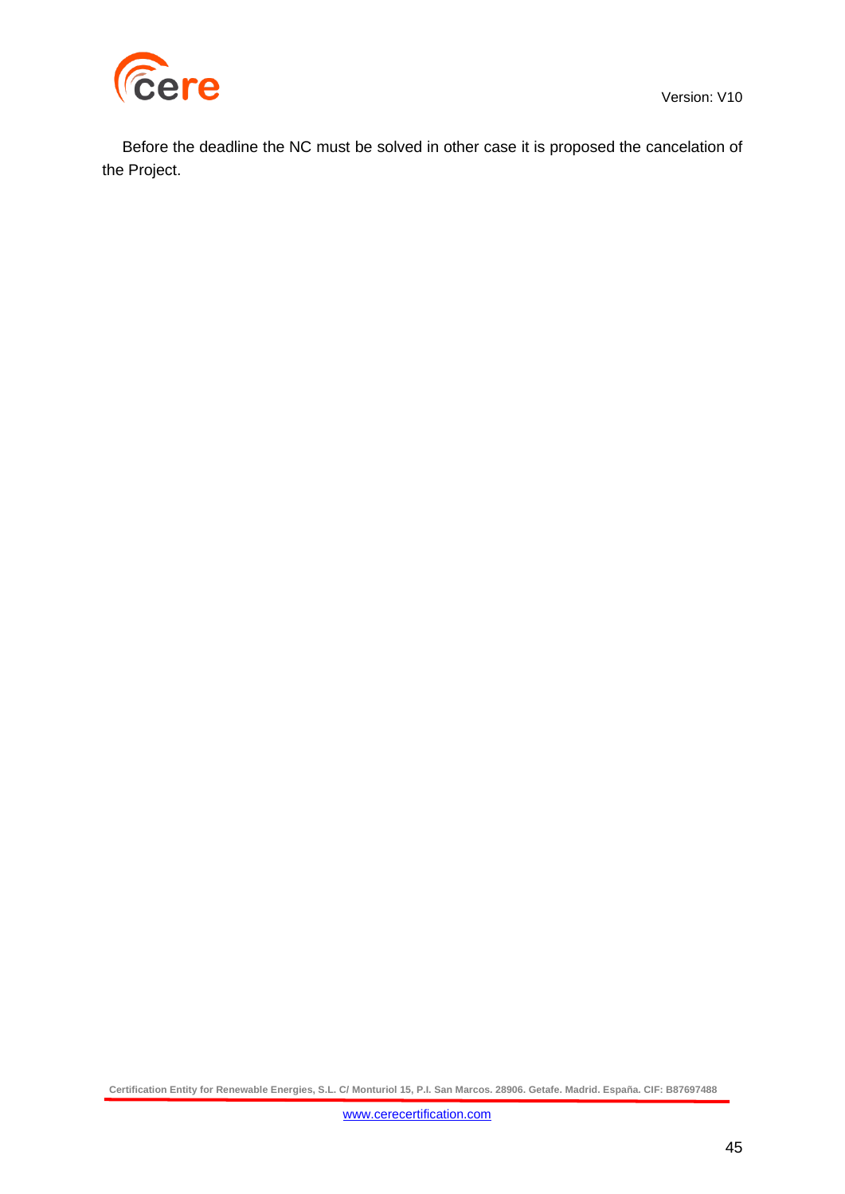



Before the deadline the NC must be solved in other case it is proposed the cancelation of the Project.

**Certification Entity for Renewable Energies, S.L. C/ Monturiol 15, P.I. San Marcos. 28906. Getafe. Madrid. España. CIF: B87697488**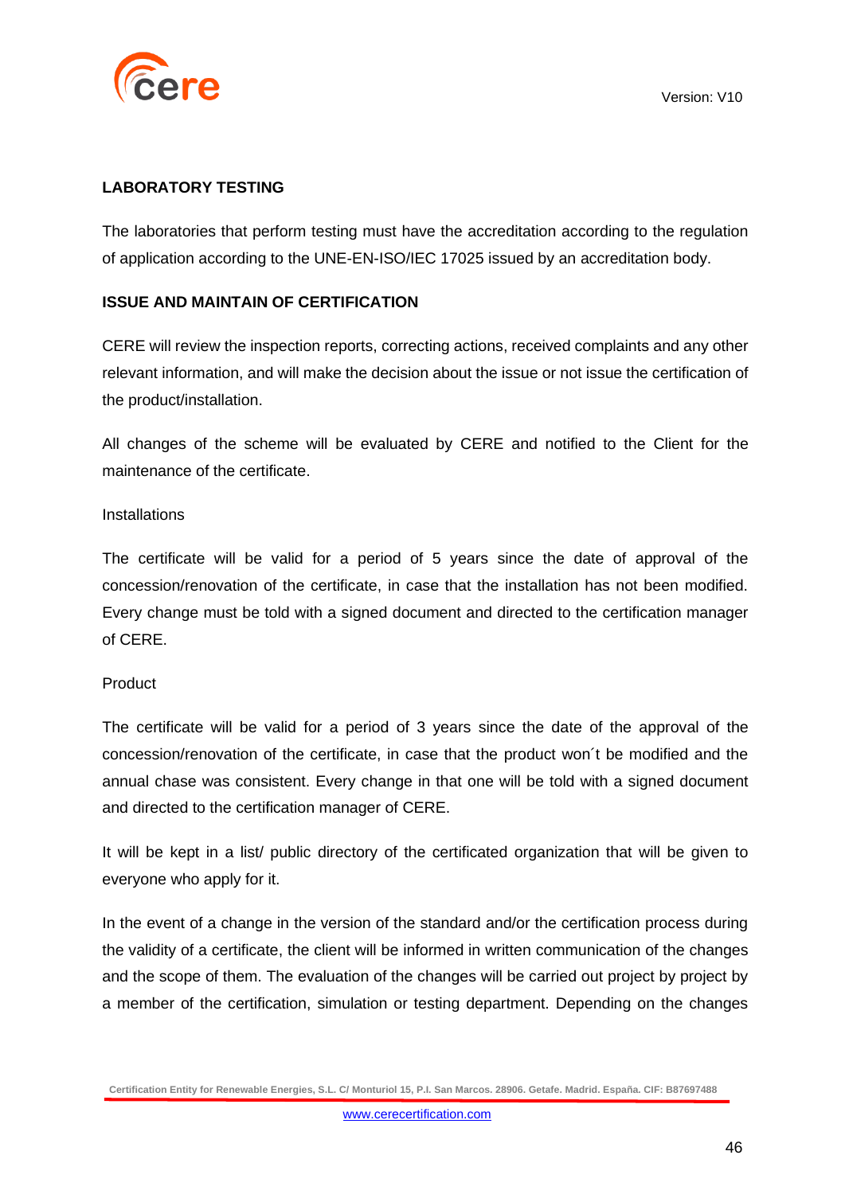

### **LABORATORY TESTING**

The laboratories that perform testing must have the accreditation according to the regulation of application according to the UNE-EN-ISO/IEC 17025 issued by an accreditation body.

#### **ISSUE AND MAINTAIN OF CERTIFICATION**

CERE will review the inspection reports, correcting actions, received complaints and any other relevant information, and will make the decision about the issue or not issue the certification of the product/installation.

All changes of the scheme will be evaluated by CERE and notified to the Client for the maintenance of the certificate.

#### **Installations**

The certificate will be valid for a period of 5 years since the date of approval of the concession/renovation of the certificate, in case that the installation has not been modified. Every change must be told with a signed document and directed to the certification manager of CERE.

#### Product

The certificate will be valid for a period of 3 years since the date of the approval of the concession/renovation of the certificate, in case that the product won´t be modified and the annual chase was consistent. Every change in that one will be told with a signed document and directed to the certification manager of CERE.

It will be kept in a list/ public directory of the certificated organization that will be given to everyone who apply for it.

In the event of a change in the version of the standard and/or the certification process during the validity of a certificate, the client will be informed in written communication of the changes and the scope of them. The evaluation of the changes will be carried out project by project by a member of the certification, simulation or testing department. Depending on the changes

**Certification Entity for Renewable Energies, S.L. C/ Monturiol 15, P.I. San Marcos. 28906. Getafe. Madrid. España. CIF: B87697488**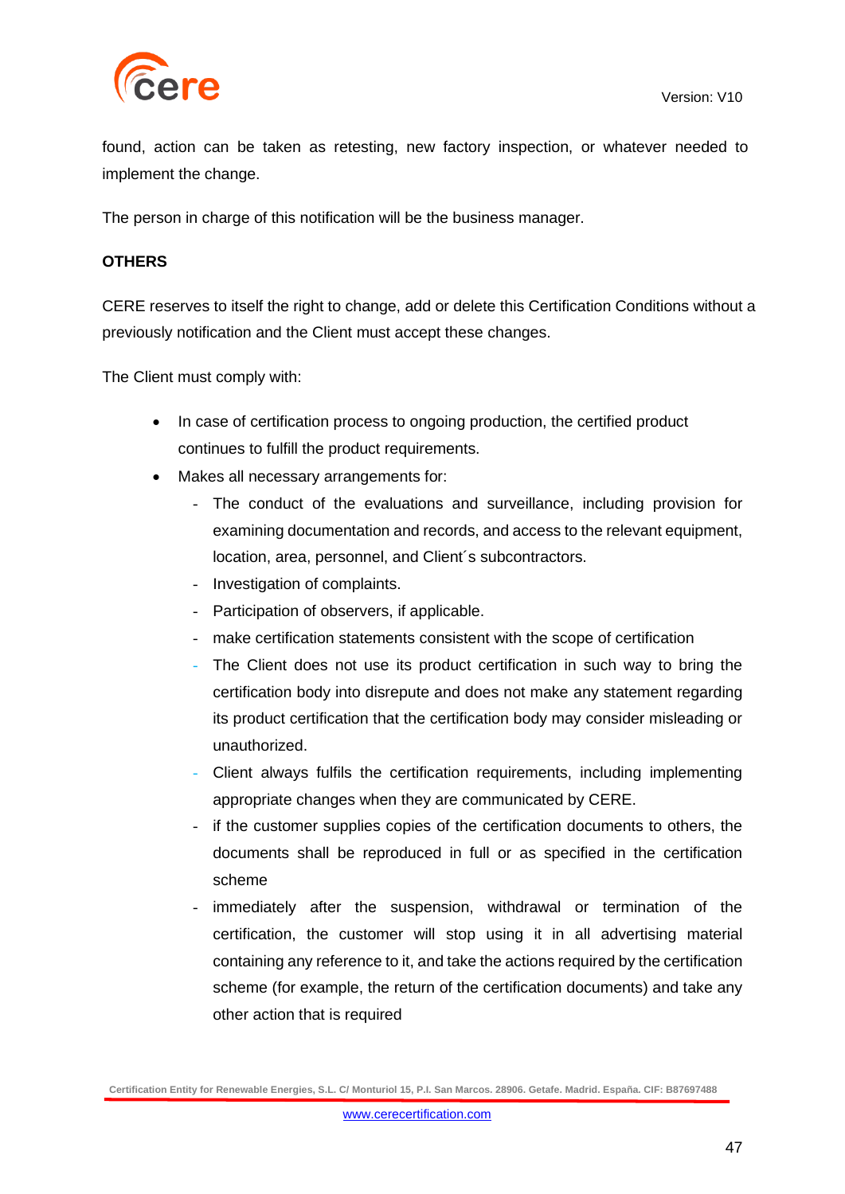

found, action can be taken as retesting, new factory inspection, or whatever needed to implement the change.

The person in charge of this notification will be the business manager.

### **OTHERS**

CERE reserves to itself the right to change, add or delete this Certification Conditions without a previously notification and the Client must accept these changes.

The Client must comply with:

- In case of certification process to ongoing production, the certified product continues to fulfill the product requirements.
- Makes all necessary arrangements for:
	- The conduct of the evaluations and surveillance, including provision for examining documentation and records, and access to the relevant equipment, location, area, personnel, and Client´s subcontractors.
	- Investigation of complaints.
	- Participation of observers, if applicable.
	- make certification statements consistent with the scope of certification
	- The Client does not use its product certification in such way to bring the certification body into disrepute and does not make any statement regarding its product certification that the certification body may consider misleading or unauthorized.
	- Client always fulfils the certification requirements, including implementing appropriate changes when they are communicated by CERE.
	- if the customer supplies copies of the certification documents to others, the documents shall be reproduced in full or as specified in the certification scheme
	- immediately after the suspension, withdrawal or termination of the certification, the customer will stop using it in all advertising material containing any reference to it, and take the actions required by the certification scheme (for example, the return of the certification documents) and take any other action that is required

**Certification Entity for Renewable Energies, S.L. C/ Monturiol 15, P.I. San Marcos. 28906. Getafe. Madrid. España. CIF: B87697488**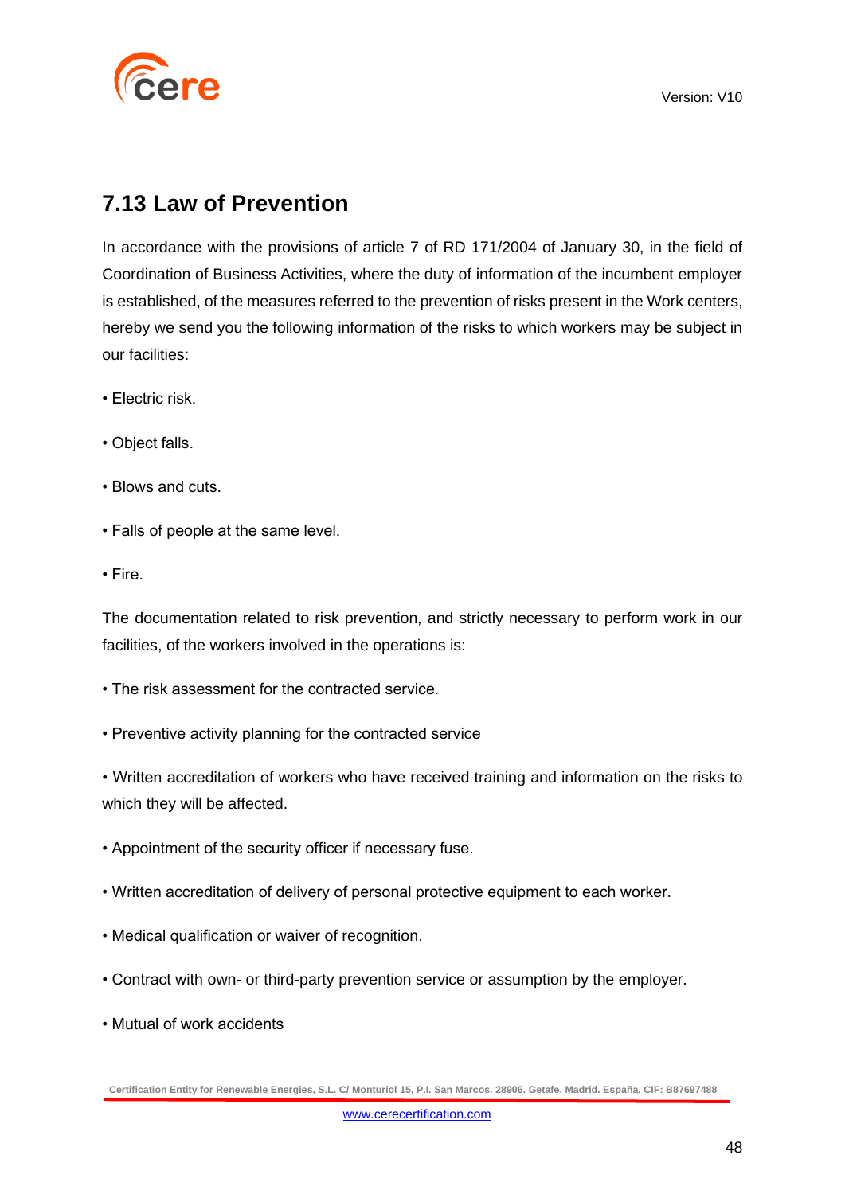

### <span id="page-47-0"></span>**7.13 Law of Prevention**

In accordance with the provisions of article 7 of RD 171/2004 of January 30, in the field of Coordination of Business Activities, where the duty of information of the incumbent employer is established, of the measures referred to the prevention of risks present in the Work centers, hereby we send you the following information of the risks to which workers may be subject in our facilities:

- Electric risk.
- Object falls.
- Blows and cuts.
- Falls of people at the same level.
- Fire.

The documentation related to risk prevention, and strictly necessary to perform work in our facilities, of the workers involved in the operations is:

- The risk assessment for the contracted service.
- Preventive activity planning for the contracted service

• Written accreditation of workers who have received training and information on the risks to which they will be affected.

- Appointment of the security officer if necessary fuse.
- Written accreditation of delivery of personal protective equipment to each worker.
- Medical qualification or waiver of recognition.
- Contract with own- or third-party prevention service or assumption by the employer.
- Mutual of work accidents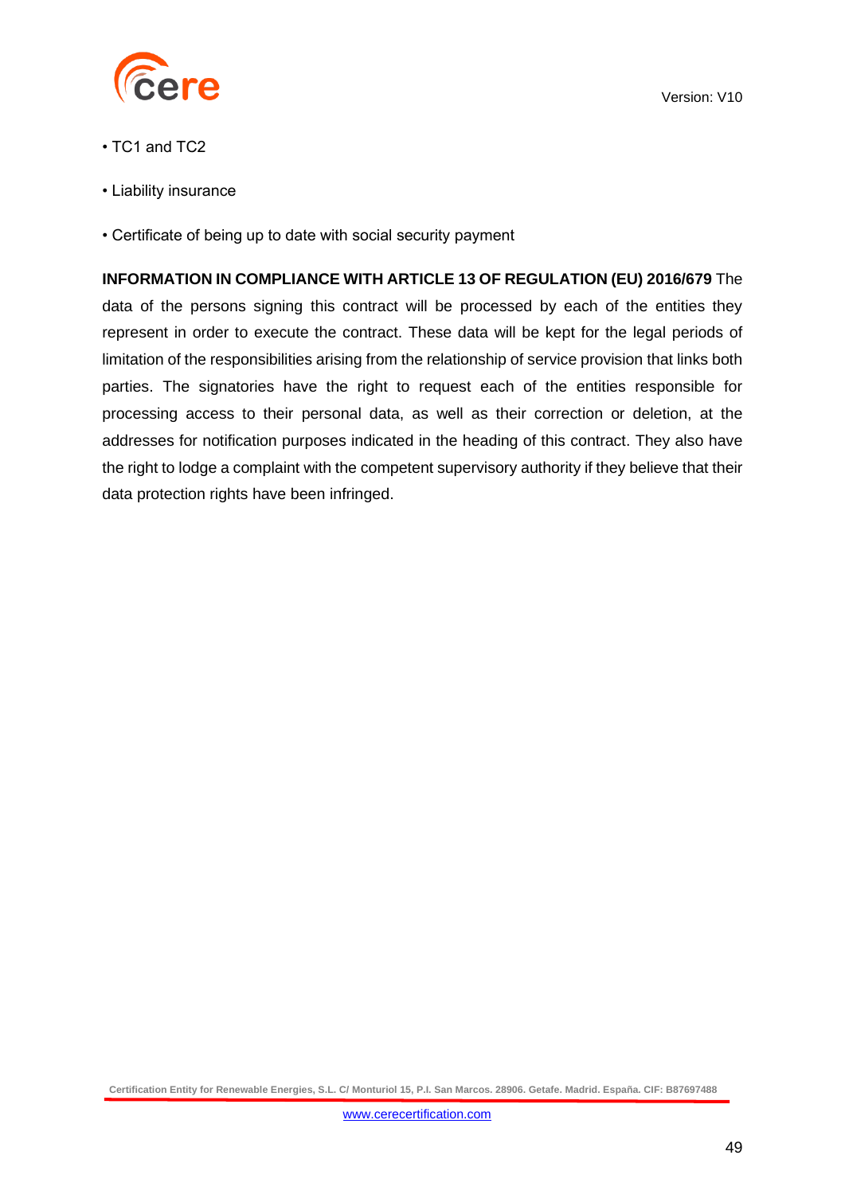

- TC1 and TC2
- Liability insurance
- Certificate of being up to date with social security payment

## **INFORMATION IN COMPLIANCE WITH ARTICLE 13 OF REGULATION (EU) 2016/679** The

data of the persons signing this contract will be processed by each of the entities they represent in order to execute the contract. These data will be kept for the legal periods of limitation of the responsibilities arising from the relationship of service provision that links both parties. The signatories have the right to request each of the entities responsible for processing access to their personal data, as well as their correction or deletion, at the addresses for notification purposes indicated in the heading of this contract. They also have the right to lodge a complaint with the competent supervisory authority if they believe that their data protection rights have been infringed.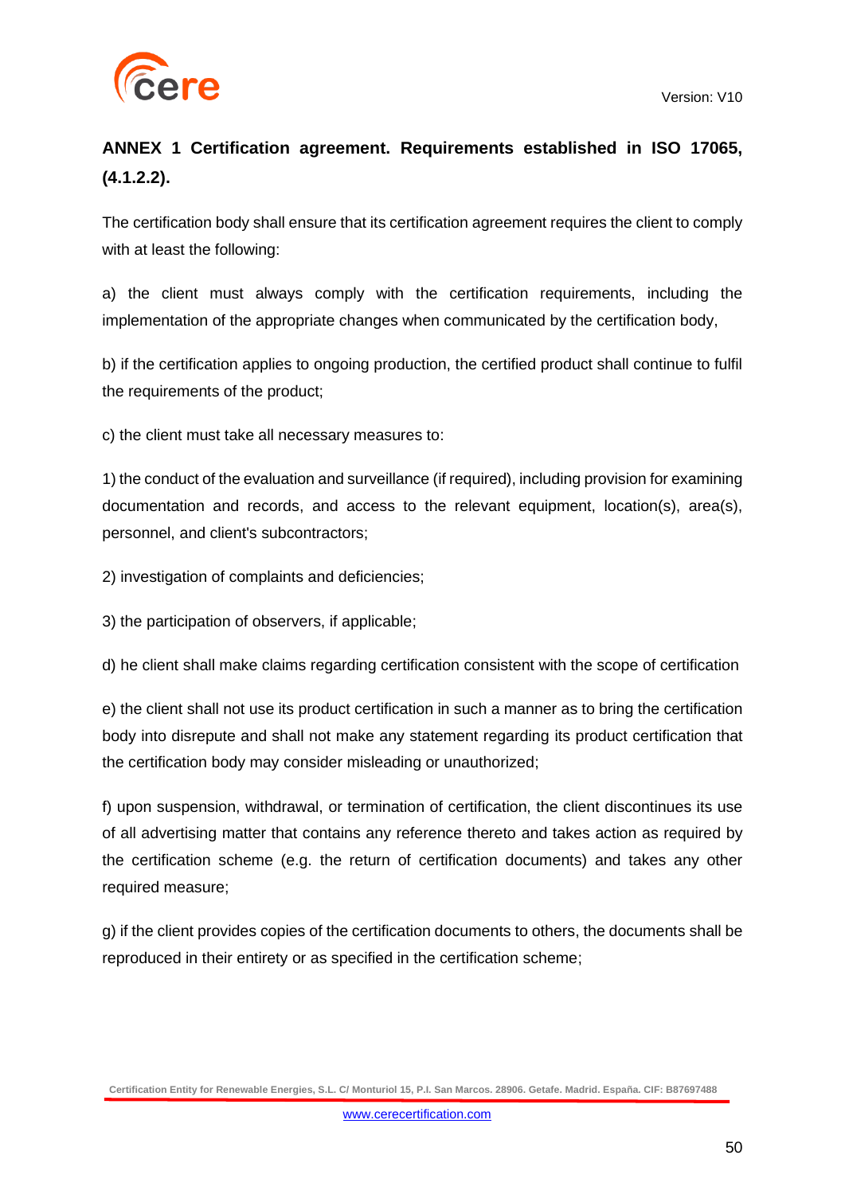

### **ANNEX 1 Certification agreement. Requirements established in ISO 17065, (4.1.2.2).**

The certification body shall ensure that its certification agreement requires the client to comply with at least the following:

a) the client must always comply with the certification requirements, including the implementation of the appropriate changes when communicated by the certification body,

b) if the certification applies to ongoing production, the certified product shall continue to fulfil the requirements of the product;

c) the client must take all necessary measures to:

1) the conduct of the evaluation and surveillance (if required), including provision for examining documentation and records, and access to the relevant equipment, location(s), area(s), personnel, and client's subcontractors;

2) investigation of complaints and deficiencies;

3) the participation of observers, if applicable;

d) he client shall make claims regarding certification consistent with the scope of certification

e) the client shall not use its product certification in such a manner as to bring the certification body into disrepute and shall not make any statement regarding its product certification that the certification body may consider misleading or unauthorized;

f) upon suspension, withdrawal, or termination of certification, the client discontinues its use of all advertising matter that contains any reference thereto and takes action as required by the certification scheme (e.g. the return of certification documents) and takes any other required measure;

g) if the client provides copies of the certification documents to others, the documents shall be reproduced in their entirety or as specified in the certification scheme;

**Certification Entity for Renewable Energies, S.L. C/ Monturiol 15, P.I. San Marcos. 28906. Getafe. Madrid. España. CIF: B87697488**